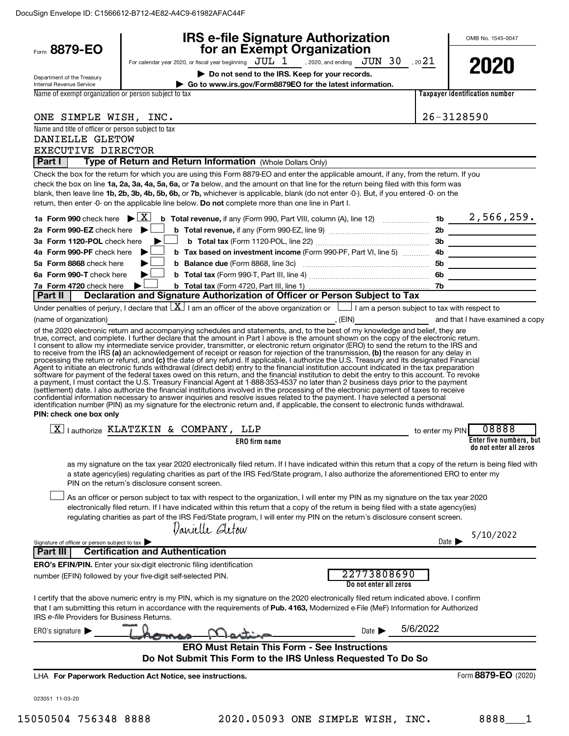| Form 8879-EO                                                  | <b>IRS e-file Signature Authorization</b><br>for an Exempt Organization                                                                                                                                                                                                                                                                                                                                                                                                                                                                                                                                                                                                                                                                                                                                                                                                                                                                                                                                                                                                                                                                                                                                                                                                                                                                                                                                                                                                                                                                                              |                 | OMB No. 1545-0047                     |
|---------------------------------------------------------------|----------------------------------------------------------------------------------------------------------------------------------------------------------------------------------------------------------------------------------------------------------------------------------------------------------------------------------------------------------------------------------------------------------------------------------------------------------------------------------------------------------------------------------------------------------------------------------------------------------------------------------------------------------------------------------------------------------------------------------------------------------------------------------------------------------------------------------------------------------------------------------------------------------------------------------------------------------------------------------------------------------------------------------------------------------------------------------------------------------------------------------------------------------------------------------------------------------------------------------------------------------------------------------------------------------------------------------------------------------------------------------------------------------------------------------------------------------------------------------------------------------------------------------------------------------------------|-----------------|---------------------------------------|
|                                                               | For calendar year 2020, or fiscal year beginning $JUL$ $1$ , 2020, and ending $JUN$ $30$ , 20 $21$                                                                                                                                                                                                                                                                                                                                                                                                                                                                                                                                                                                                                                                                                                                                                                                                                                                                                                                                                                                                                                                                                                                                                                                                                                                                                                                                                                                                                                                                   |                 |                                       |
|                                                               | Do not send to the IRS. Keep for your records.                                                                                                                                                                                                                                                                                                                                                                                                                                                                                                                                                                                                                                                                                                                                                                                                                                                                                                                                                                                                                                                                                                                                                                                                                                                                                                                                                                                                                                                                                                                       |                 | 2020                                  |
| Department of the Treasury<br><b>Internal Revenue Service</b> | Go to www.irs.gov/Form8879EO for the latest information.                                                                                                                                                                                                                                                                                                                                                                                                                                                                                                                                                                                                                                                                                                                                                                                                                                                                                                                                                                                                                                                                                                                                                                                                                                                                                                                                                                                                                                                                                                             |                 |                                       |
| Name of exempt organization or person subject to tax          |                                                                                                                                                                                                                                                                                                                                                                                                                                                                                                                                                                                                                                                                                                                                                                                                                                                                                                                                                                                                                                                                                                                                                                                                                                                                                                                                                                                                                                                                                                                                                                      |                 | <b>Taxpayer identification number</b> |
| ONE SIMPLE WISH, INC.                                         |                                                                                                                                                                                                                                                                                                                                                                                                                                                                                                                                                                                                                                                                                                                                                                                                                                                                                                                                                                                                                                                                                                                                                                                                                                                                                                                                                                                                                                                                                                                                                                      | 26-3128590      |                                       |
| Name and title of officer or person subject to tax            |                                                                                                                                                                                                                                                                                                                                                                                                                                                                                                                                                                                                                                                                                                                                                                                                                                                                                                                                                                                                                                                                                                                                                                                                                                                                                                                                                                                                                                                                                                                                                                      |                 |                                       |
| DANIELLE GLETOW                                               |                                                                                                                                                                                                                                                                                                                                                                                                                                                                                                                                                                                                                                                                                                                                                                                                                                                                                                                                                                                                                                                                                                                                                                                                                                                                                                                                                                                                                                                                                                                                                                      |                 |                                       |
| EXECUTIVE DIRECTOR                                            |                                                                                                                                                                                                                                                                                                                                                                                                                                                                                                                                                                                                                                                                                                                                                                                                                                                                                                                                                                                                                                                                                                                                                                                                                                                                                                                                                                                                                                                                                                                                                                      |                 |                                       |
| Part I                                                        | Type of Return and Return Information (Whole Dollars Only)                                                                                                                                                                                                                                                                                                                                                                                                                                                                                                                                                                                                                                                                                                                                                                                                                                                                                                                                                                                                                                                                                                                                                                                                                                                                                                                                                                                                                                                                                                           |                 |                                       |
|                                                               | Check the box for the return for which you are using this Form 8879-EO and enter the applicable amount, if any, from the return. If you<br>check the box on line 1a, 2a, 3a, 4a, 5a, 6a, or 7a below, and the amount on that line for the return being filed with this form was<br>blank, then leave line 1b, 2b, 3b, 4b, 5b, 6b, or 7b, whichever is applicable, blank (do not enter -0-). But, if you entered -0- on the<br>return, then enter -0- on the applicable line below. Do not complete more than one line in Part I.                                                                                                                                                                                                                                                                                                                                                                                                                                                                                                                                                                                                                                                                                                                                                                                                                                                                                                                                                                                                                                     |                 |                                       |
| 1a Form 990 check here $\mathbf{E}[\mathbf{X}]$               | <b>b</b> Total revenue, if any (Form 990, Part VIII, column (A), line 12)  1b $\frac{2,566,259.}{\cdots}$                                                                                                                                                                                                                                                                                                                                                                                                                                                                                                                                                                                                                                                                                                                                                                                                                                                                                                                                                                                                                                                                                                                                                                                                                                                                                                                                                                                                                                                            |                 |                                       |
| 2a Form 990-EZ check here $\blacktriangleright$               |                                                                                                                                                                                                                                                                                                                                                                                                                                                                                                                                                                                                                                                                                                                                                                                                                                                                                                                                                                                                                                                                                                                                                                                                                                                                                                                                                                                                                                                                                                                                                                      |                 |                                       |
| 3a Form 1120-POL check here                                   |                                                                                                                                                                                                                                                                                                                                                                                                                                                                                                                                                                                                                                                                                                                                                                                                                                                                                                                                                                                                                                                                                                                                                                                                                                                                                                                                                                                                                                                                                                                                                                      |                 |                                       |
| 4a Form 990-PF check here                                     |                                                                                                                                                                                                                                                                                                                                                                                                                                                                                                                                                                                                                                                                                                                                                                                                                                                                                                                                                                                                                                                                                                                                                                                                                                                                                                                                                                                                                                                                                                                                                                      |                 |                                       |
| 5a Form 8868 check here                                       |                                                                                                                                                                                                                                                                                                                                                                                                                                                                                                                                                                                                                                                                                                                                                                                                                                                                                                                                                                                                                                                                                                                                                                                                                                                                                                                                                                                                                                                                                                                                                                      |                 |                                       |
| 6a Form 990-T check here                                      | ▶                                                                                                                                                                                                                                                                                                                                                                                                                                                                                                                                                                                                                                                                                                                                                                                                                                                                                                                                                                                                                                                                                                                                                                                                                                                                                                                                                                                                                                                                                                                                                                    |                 |                                       |
| 7a Form 4720 check here<br>Part II                            | Declaration and Signature Authorization of Officer or Person Subject to Tax                                                                                                                                                                                                                                                                                                                                                                                                                                                                                                                                                                                                                                                                                                                                                                                                                                                                                                                                                                                                                                                                                                                                                                                                                                                                                                                                                                                                                                                                                          |                 |                                       |
|                                                               | Under penalties of perjury, I declare that $\lfloor \frac{X}{1} \rfloor$ I am an officer of the above organization or $\lfloor \frac{1}{1} \rfloor$ I am a person subject to tax with respect to                                                                                                                                                                                                                                                                                                                                                                                                                                                                                                                                                                                                                                                                                                                                                                                                                                                                                                                                                                                                                                                                                                                                                                                                                                                                                                                                                                     |                 |                                       |
| (name of organization)                                        | (EIN) and that I have examined a copy                                                                                                                                                                                                                                                                                                                                                                                                                                                                                                                                                                                                                                                                                                                                                                                                                                                                                                                                                                                                                                                                                                                                                                                                                                                                                                                                                                                                                                                                                                                                |                 |                                       |
| PIN: check one box only                                       | of the 2020 electronic return and accompanying schedules and statements, and, to the best of my knowledge and belief, they are<br>true, correct, and complete. I further declare that the amount in Part I above is the amount shown on the copy of the electronic return.<br>I consent to allow my intermediate service provider, transmitter, or electronic return originator (ERO) to send the return to the IRS and<br>to receive from the IRS (a) an acknowledgement of receipt or reason for rejection of the transmission, (b) the reason for any delay in<br>processing the return or refund, and (c) the date of any refund. If applicable, I authorize the U.S. Treasury and its designated Financial<br>Agent to initiate an electronic funds withdrawal (direct debit) entry to the financial institution account indicated in the tax preparation<br>software for payment of the federal taxes owed on this return, and the financial institution to debit the entry to this account. To revoke<br>a payment, I must contact the U.S. Treasury Financial Agent at 1-888-353-4537 no later than 2 business days prior to the payment<br>(settlement) date. I also authorize the financial institutions involved in the processing of the electronic payment of taxes to receive<br>confidential information necessary to answer inquiries and resolve issues related to the payment. I have selected a personal<br>identification number (PIN) as my signature for the electronic return and, if applicable, the consent to electronic funds withdrawal. |                 |                                       |
|                                                               | $\boxed{\text{X}}$   authorize KLATZKIN & COMPANY, LLP                                                                                                                                                                                                                                                                                                                                                                                                                                                                                                                                                                                                                                                                                                                                                                                                                                                                                                                                                                                                                                                                                                                                                                                                                                                                                                                                                                                                                                                                                                               | to enter my PIN | 08888                                 |
|                                                               | ERO firm name                                                                                                                                                                                                                                                                                                                                                                                                                                                                                                                                                                                                                                                                                                                                                                                                                                                                                                                                                                                                                                                                                                                                                                                                                                                                                                                                                                                                                                                                                                                                                        |                 | Enter five numbers, but               |
|                                                               |                                                                                                                                                                                                                                                                                                                                                                                                                                                                                                                                                                                                                                                                                                                                                                                                                                                                                                                                                                                                                                                                                                                                                                                                                                                                                                                                                                                                                                                                                                                                                                      |                 | do not enter all zeros                |
|                                                               | as my signature on the tax year 2020 electronically filed return. If I have indicated within this return that a copy of the return is being filed with<br>a state agency(ies) regulating charities as part of the IRS Fed/State program, I also authorize the aforementioned ERO to enter my<br>PIN on the return's disclosure consent screen.<br>As an officer or person subject to tax with respect to the organization, I will enter my PIN as my signature on the tax year 2020<br>electronically filed return. If I have indicated within this return that a copy of the return is being filed with a state agency(ies)<br>regulating charities as part of the IRS Fed/State program, I will enter my PIN on the return's disclosure consent screen.                                                                                                                                                                                                                                                                                                                                                                                                                                                                                                                                                                                                                                                                                                                                                                                                            |                 |                                       |
|                                                               | Varielle Gletow                                                                                                                                                                                                                                                                                                                                                                                                                                                                                                                                                                                                                                                                                                                                                                                                                                                                                                                                                                                                                                                                                                                                                                                                                                                                                                                                                                                                                                                                                                                                                      |                 | 5/10/2022                             |
| Signature of officer or person subject to tax                 |                                                                                                                                                                                                                                                                                                                                                                                                                                                                                                                                                                                                                                                                                                                                                                                                                                                                                                                                                                                                                                                                                                                                                                                                                                                                                                                                                                                                                                                                                                                                                                      | Date            |                                       |
| Part III                                                      | <b>Certification and Authentication</b>                                                                                                                                                                                                                                                                                                                                                                                                                                                                                                                                                                                                                                                                                                                                                                                                                                                                                                                                                                                                                                                                                                                                                                                                                                                                                                                                                                                                                                                                                                                              |                 |                                       |
|                                                               | <b>ERO's EFIN/PIN.</b> Enter your six-digit electronic filing identification<br>22773808690<br>number (EFIN) followed by your five-digit self-selected PIN.<br>Do not enter all zeros                                                                                                                                                                                                                                                                                                                                                                                                                                                                                                                                                                                                                                                                                                                                                                                                                                                                                                                                                                                                                                                                                                                                                                                                                                                                                                                                                                                |                 |                                       |
| IRS e-file Providers for Business Returns.                    | I certify that the above numeric entry is my PIN, which is my signature on the 2020 electronically filed return indicated above. I confirm<br>that I am submitting this return in accordance with the requirements of Pub. 4163, Modernized e-File (MeF) Information for Authorized                                                                                                                                                                                                                                                                                                                                                                                                                                                                                                                                                                                                                                                                                                                                                                                                                                                                                                                                                                                                                                                                                                                                                                                                                                                                                  |                 |                                       |
| ERO's signature $\blacktriangleright$                         | Date $\blacktriangleright$                                                                                                                                                                                                                                                                                                                                                                                                                                                                                                                                                                                                                                                                                                                                                                                                                                                                                                                                                                                                                                                                                                                                                                                                                                                                                                                                                                                                                                                                                                                                           | 5/6/2022        |                                       |
|                                                               | <b>ERO Must Retain This Form - See Instructions</b><br>Do Not Submit This Form to the IRS Unless Requested To Do So                                                                                                                                                                                                                                                                                                                                                                                                                                                                                                                                                                                                                                                                                                                                                                                                                                                                                                                                                                                                                                                                                                                                                                                                                                                                                                                                                                                                                                                  |                 |                                       |
|                                                               |                                                                                                                                                                                                                                                                                                                                                                                                                                                                                                                                                                                                                                                                                                                                                                                                                                                                                                                                                                                                                                                                                                                                                                                                                                                                                                                                                                                                                                                                                                                                                                      |                 |                                       |
|                                                               | LHA For Paperwork Reduction Act Notice, see instructions.                                                                                                                                                                                                                                                                                                                                                                                                                                                                                                                                                                                                                                                                                                                                                                                                                                                                                                                                                                                                                                                                                                                                                                                                                                                                                                                                                                                                                                                                                                            |                 | Form 8879-EO (2020)                   |
| 023051 11-03-20                                               |                                                                                                                                                                                                                                                                                                                                                                                                                                                                                                                                                                                                                                                                                                                                                                                                                                                                                                                                                                                                                                                                                                                                                                                                                                                                                                                                                                                                                                                                                                                                                                      |                 |                                       |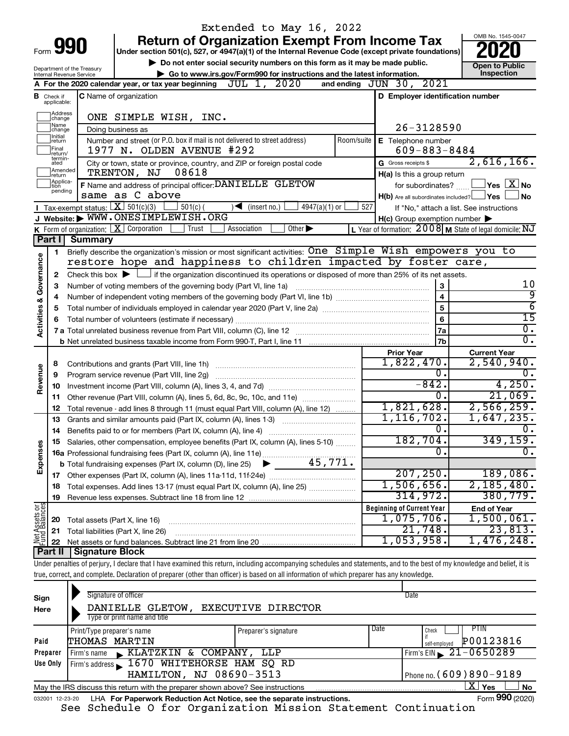|                         |                               |                            |                                                                                                                                                                            | Extended to May 16, 2022                                               |                             |            |                                                     |                                                           |
|-------------------------|-------------------------------|----------------------------|----------------------------------------------------------------------------------------------------------------------------------------------------------------------------|------------------------------------------------------------------------|-----------------------------|------------|-----------------------------------------------------|-----------------------------------------------------------|
|                         |                               |                            | <b>Return of Organization Exempt From Income Tax</b>                                                                                                                       |                                                                        |                             |            |                                                     | OMB No. 1545-0047                                         |
|                         |                               | Form 990                   | Under section 501(c), 527, or 4947(a)(1) of the Internal Revenue Code (except private foundations)                                                                         |                                                                        |                             |            |                                                     |                                                           |
|                         |                               | Department of the Treasury | Do not enter social security numbers on this form as it may be made public.                                                                                                |                                                                        |                             |            |                                                     | <b>Open to Public</b>                                     |
|                         |                               | Internal Revenue Service   |                                                                                                                                                                            | Go to www.irs.gov/Form990 for instructions and the latest information. |                             |            |                                                     | Inspection                                                |
|                         |                               |                            | A For the 2020 calendar year, or tax year beginning $JUL$ 1, $2020$                                                                                                        |                                                                        |                             |            | and ending JUN 30, 2021                             |                                                           |
|                         | <b>B</b> Check if applicable: |                            | <b>C</b> Name of organization                                                                                                                                              |                                                                        |                             |            | D Employer identification number                    |                                                           |
|                         | Address<br>change<br>Name     |                            | ONE SIMPLE WISH, INC.                                                                                                                                                      |                                                                        |                             |            |                                                     |                                                           |
|                         | change<br>Ilnitial            |                            | Doing business as                                                                                                                                                          |                                                                        |                             |            | $26 - 3128590$                                      |                                                           |
|                         | return<br>Final<br>return/    |                            | Number and street (or P.O. box if mail is not delivered to street address)<br>1977 N. OLDEN AVENUE #292                                                                    |                                                                        |                             | Room/suite | E Telephone number<br>$609 - 883 - 8484$            |                                                           |
|                         | termin-<br>ated<br>Amended    |                            | City or town, state or province, country, and ZIP or foreign postal code                                                                                                   |                                                                        |                             |            | G Gross receipts \$                                 | 2,616,166.                                                |
|                         | Ireturn<br>Applica-           |                            | 08618<br>TRENTON, NJ                                                                                                                                                       |                                                                        |                             |            | H(a) Is this a group return                         |                                                           |
|                         | tion<br>pending               |                            | F Name and address of principal officer: DANIELLE GLETOW                                                                                                                   |                                                                        |                             |            | for subordinates?                                   | $\,$ Yes $\,$ $\,$ $\rm X$ $\,$ No $\,$                   |
|                         |                               |                            | same as C above                                                                                                                                                            |                                                                        |                             |            | $H(b)$ Are all subordinates included? $\Box$ Yes    | l No                                                      |
|                         |                               |                            | Tax-exempt status: $X \over 301(c)(3)$<br>$501(c)$ (                                                                                                                       | $\sqrt{\bullet}$ (insert no.)                                          | $4947(a)(1)$ or             | 527        |                                                     | If "No," attach a list. See instructions                  |
|                         |                               |                            | J Website: WWW.ONESIMPLEWISH.ORG                                                                                                                                           |                                                                        |                             |            | $H(c)$ Group exemption number $\blacktriangleright$ |                                                           |
|                         |                               |                            | K Form of organization: $X$ Corporation<br>Trust                                                                                                                           | Association                                                            | Other $\blacktriangleright$ |            |                                                     | L Year of formation: $2008$ M State of legal domicile: NJ |
|                         | Part I                        | <b>Summary</b>             |                                                                                                                                                                            |                                                                        |                             |            |                                                     |                                                           |
|                         | 1                             |                            | Briefly describe the organization's mission or most significant activities: One Simple Wish empowers you to                                                                |                                                                        |                             |            |                                                     |                                                           |
| Governance              |                               |                            | restore hope and happiness to children impacted by foster care,                                                                                                            |                                                                        |                             |            |                                                     |                                                           |
|                         | 2                             |                            | Check this box $\blacktriangleright$ $\Box$ if the organization discontinued its operations or disposed of more than 25% of its net assets.                                |                                                                        |                             |            |                                                     |                                                           |
|                         | з                             |                            | Number of voting members of the governing body (Part VI, line 1a)                                                                                                          |                                                                        |                             |            | 3                                                   | 10                                                        |
|                         | 4                             |                            |                                                                                                                                                                            |                                                                        |                             |            | $\overline{\mathbf{4}}$                             | 9                                                         |
|                         | 5                             |                            |                                                                                                                                                                            |                                                                        |                             |            | 5                                                   | $\overline{6}$                                            |
|                         | 6                             |                            |                                                                                                                                                                            |                                                                        |                             |            | 6                                                   | $\overline{15}$                                           |
| <b>Activities &amp;</b> |                               |                            |                                                                                                                                                                            |                                                                        |                             |            | 7a                                                  | $\overline{0}$ .                                          |
|                         |                               |                            |                                                                                                                                                                            |                                                                        |                             |            | 7b                                                  | $\overline{0}$ .                                          |
|                         |                               |                            |                                                                                                                                                                            |                                                                        |                             |            | <b>Prior Year</b>                                   | <b>Current Year</b>                                       |
|                         | 8                             |                            |                                                                                                                                                                            |                                                                        |                             |            | 1,822,470.                                          | 2,540,940.                                                |
| Revenue                 | 9                             |                            | Program service revenue (Part VIII, line 2g)                                                                                                                               |                                                                        |                             |            | $\overline{0}$ .                                    | $\overline{0}$ .                                          |
|                         | 10                            |                            |                                                                                                                                                                            |                                                                        |                             |            | $-842.$                                             | 4,250.                                                    |
|                         | 11                            |                            | Other revenue (Part VIII, column (A), lines 5, 6d, 8c, 9c, 10c, and 11e)                                                                                                   |                                                                        |                             |            | 0.                                                  | 21,069.                                                   |
|                         | 12                            |                            | Total revenue - add lines 8 through 11 (must equal Part VIII, column (A), line 12)                                                                                         |                                                                        |                             |            | 1,821,628.                                          | 2,566,259.                                                |
|                         | 13                            |                            | Grants and similar amounts paid (Part IX, column (A), lines 1-3)                                                                                                           |                                                                        |                             |            | 1, 116, 702.                                        | 1,647,235.                                                |
|                         |                               |                            |                                                                                                                                                                            |                                                                        |                             |            | $\mathbf{0}$ .                                      | $\overline{0}$ .                                          |
|                         |                               |                            | Salaries, other compensation, employee benefits (Part IX, column (A), lines 5-10)                                                                                          |                                                                        |                             |            | 182,704.                                            | 349, 159.                                                 |
| Expenses                |                               |                            |                                                                                                                                                                            |                                                                        |                             |            | $\overline{0}$ .                                    | $\overline{0}$ .                                          |
|                         |                               |                            |                                                                                                                                                                            |                                                                        |                             |            |                                                     |                                                           |
|                         |                               |                            |                                                                                                                                                                            |                                                                        |                             |            | 207, 250.                                           | 189,086.                                                  |
|                         | 18                            |                            | Total expenses. Add lines 13-17 (must equal Part IX, column (A), line 25)                                                                                                  |                                                                        |                             |            | 1,506,656.                                          | 2,185,480.                                                |
|                         | 19                            |                            |                                                                                                                                                                            |                                                                        |                             |            | 314,972.                                            | 380, 779.                                                 |
|                         |                               |                            |                                                                                                                                                                            |                                                                        |                             |            | <b>Beginning of Current Year</b>                    | <b>End of Year</b>                                        |
| Net Assets or           | 20                            |                            | Total assets (Part X, line 16)                                                                                                                                             |                                                                        |                             |            | 1,075,706.                                          | 1,500,061.                                                |
|                         | 21                            |                            | Total liabilities (Part X, line 26)                                                                                                                                        |                                                                        |                             |            | 21,748.                                             | 23,813.                                                   |
|                         | 22                            |                            |                                                                                                                                                                            |                                                                        |                             |            | 1,053,958.                                          | 1,476,248.                                                |
|                         | Part II                       | Signature Block            |                                                                                                                                                                            |                                                                        |                             |            |                                                     |                                                           |
|                         |                               |                            | Under penalties of perjury, I declare that I have examined this return, including accompanying schedules and statements, and to the best of my knowledge and belief, it is |                                                                        |                             |            |                                                     |                                                           |
|                         |                               |                            | true, correct, and complete. Declaration of preparer (other than officer) is based on all information of which preparer has any knowledge.                                 |                                                                        |                             |            |                                                     |                                                           |
|                         |                               |                            |                                                                                                                                                                            |                                                                        |                             |            |                                                     |                                                           |
|                         |                               |                            | Cianature of officer                                                                                                                                                       |                                                                        |                             |            | Dote                                                |                                                           |

| Sign<br>Here | Signature of officer<br>DANIELLE GLETOW,<br>Type or print name and title                                     | <b>EXECUTIVE DIRECTOR</b> |      | Date                                               |  |  |  |  |  |
|--------------|--------------------------------------------------------------------------------------------------------------|---------------------------|------|----------------------------------------------------|--|--|--|--|--|
| Paid         | Print/Type preparer's name<br>THOMAS MARTIN                                                                  | Preparer's signature      | Date | <b>PTIN</b><br>Check<br>P00123816<br>self-emploved |  |  |  |  |  |
| Preparer     | KLATZKIN & COMPANY, LLP<br>Firm's name                                                                       |                           |      | Firm's EIN $\sqrt{21-0650289}$                     |  |  |  |  |  |
| Use Only     | Firm's address 1670 WHITEHORSE HAM SQ RD                                                                     |                           |      |                                                    |  |  |  |  |  |
|              | HAMILTON, NJ 08690-3513                                                                                      |                           |      | Phone no. $(609)890 - 9189$                        |  |  |  |  |  |
|              | X.<br>Yes<br><b>No</b><br>May the IRS discuss this return with the preparer shown above? See instructions    |                           |      |                                                    |  |  |  |  |  |
|              | Form 990 (2020)<br>LHA For Paperwork Reduction Act Notice, see the separate instructions.<br>032001 12-23-20 |                           |      |                                                    |  |  |  |  |  |

See Schedule O for Organization Mission Statement Continuation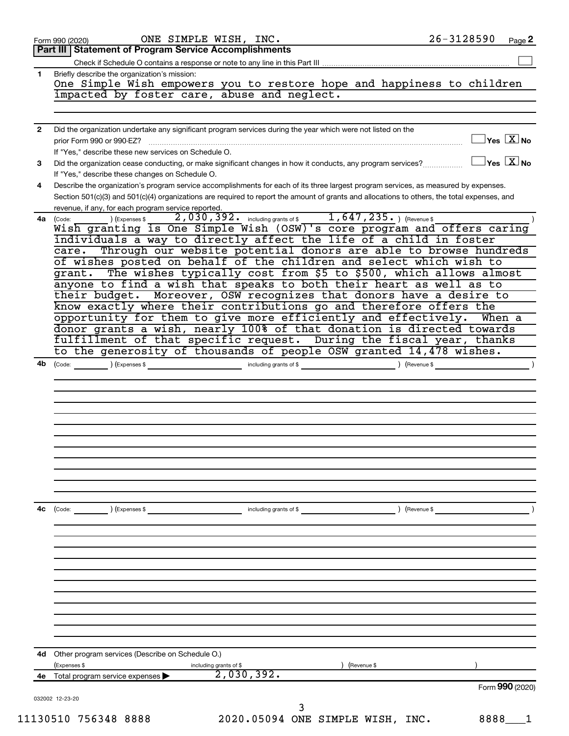|              | ONE SIMPLE WISH, INC.<br>Form 990 (2020)                                                                                                      | 26-3128590                              | Page 2 |
|--------------|-----------------------------------------------------------------------------------------------------------------------------------------------|-----------------------------------------|--------|
|              | Part III   Statement of Program Service Accomplishments                                                                                       |                                         |        |
|              |                                                                                                                                               |                                         |        |
| 1            | Briefly describe the organization's mission:                                                                                                  |                                         |        |
|              | One Simple Wish empowers you to restore hope and happiness to children                                                                        |                                         |        |
|              | impacted by foster care, abuse and neglect.                                                                                                   |                                         |        |
|              |                                                                                                                                               |                                         |        |
| $\mathbf{2}$ | Did the organization undertake any significant program services during the year which were not listed on the                                  |                                         |        |
|              | prior Form 990 or 990-EZ?                                                                                                                     | $\Box$ Yes $\boxed{\text{X}}$ No        |        |
|              | If "Yes," describe these new services on Schedule O.                                                                                          |                                         |        |
| 3            | Did the organization cease conducting, or make significant changes in how it conducts, any program services?                                  | $\Box$ Yes $[\overline{\mathrm{X}}]$ No |        |
|              | If "Yes," describe these changes on Schedule O.                                                                                               |                                         |        |
| 4            | Describe the organization's program service accomplishments for each of its three largest program services, as measured by expenses.          |                                         |        |
|              | Section 501(c)(3) and 501(c)(4) organizations are required to report the amount of grants and allocations to others, the total expenses, and  |                                         |        |
|              | revenue, if any, for each program service reported.                                                                                           |                                         |        |
|              | $2,030,392.$ including grants of $1,647,235.$ (Revenue \$<br>) (Expenses \$<br>4a (Code:                                                      |                                         |        |
|              | Wish granting is One Simple Wish (OSW)'s core program and offers caring<br>individuals a way to directly affect the life of a child in foster |                                         |        |
|              | Through our website potential donors are able to browse hundreds<br>care.                                                                     |                                         |        |
|              | of wishes posted on behalf of the children and select which wish to                                                                           |                                         |        |
|              | grant. The wishes typically cost from \$5 to \$500, which allows almost                                                                       |                                         |        |
|              | anyone to find a wish that speaks to both their heart as well as to                                                                           |                                         |        |
|              | their budget. Moreover, OSW recognizes that donors have a desire to                                                                           |                                         |        |
|              | know exactly where their contributions go and therefore offers the                                                                            |                                         |        |
|              | opportunity for them to give more efficiently and effectively. When a                                                                         |                                         |        |
|              | donor grants a wish, nearly 100% of that donation is directed towards                                                                         |                                         |        |
|              | fulfillment of that specific request. During the fiscal year, thanks                                                                          |                                         |        |
|              | to the generosity of thousands of people OSW granted 14,478 wishes.                                                                           |                                         |        |
| 4b           | (Code: ) (Expenses \$ including grants of \$ ) (Revenue \$                                                                                    |                                         |        |
|              |                                                                                                                                               |                                         |        |
|              |                                                                                                                                               |                                         |        |
|              |                                                                                                                                               |                                         |        |
|              |                                                                                                                                               |                                         |        |
|              |                                                                                                                                               |                                         |        |
|              |                                                                                                                                               |                                         |        |
|              |                                                                                                                                               |                                         |        |
|              |                                                                                                                                               |                                         |        |
|              |                                                                                                                                               |                                         |        |
|              |                                                                                                                                               |                                         |        |
|              |                                                                                                                                               |                                         |        |
|              |                                                                                                                                               |                                         |        |
| 4c           | (Revenue \$<br>(Code:<br>(Expenses \$<br>including grants of \$                                                                               |                                         |        |
|              |                                                                                                                                               |                                         |        |
|              |                                                                                                                                               |                                         |        |
|              |                                                                                                                                               |                                         |        |
|              |                                                                                                                                               |                                         |        |
|              |                                                                                                                                               |                                         |        |
|              |                                                                                                                                               |                                         |        |
|              |                                                                                                                                               |                                         |        |
|              |                                                                                                                                               |                                         |        |
|              |                                                                                                                                               |                                         |        |
|              |                                                                                                                                               |                                         |        |
|              |                                                                                                                                               |                                         |        |
| 4d           | Other program services (Describe on Schedule O.)                                                                                              |                                         |        |
|              | (Revenue \$<br>(Expenses \$<br>including grants of \$                                                                                         |                                         |        |
| 4e           | 2,030,392.<br>Total program service expenses                                                                                                  |                                         |        |
|              |                                                                                                                                               | Form 990 (2020)                         |        |
|              | 032002 12-23-20                                                                                                                               |                                         |        |
|              |                                                                                                                                               |                                         |        |
|              | 2020.05094 ONE SIMPLE WISH, INC.<br>11130510 756348 8888                                                                                      | 8888                                    |        |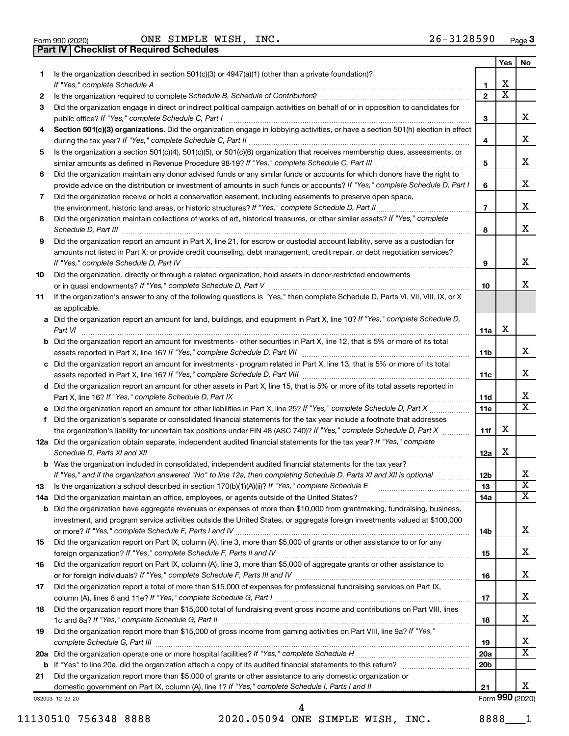| Form 990 (2020) |
|-----------------|
|                 |

**Part IV Checklist of Required Schedules**

Form 990 (2020)  $\qquad \qquad \text{ONE} \quad \text{SIMPLE} \quad \text{WISH}$ , INC.  $26-3128590$  Page

|        |                                                                                                                                                                                               |                   | Yes                          | No                      |
|--------|-----------------------------------------------------------------------------------------------------------------------------------------------------------------------------------------------|-------------------|------------------------------|-------------------------|
| 1      | Is the organization described in section $501(c)(3)$ or $4947(a)(1)$ (other than a private foundation)?                                                                                       |                   |                              |                         |
|        | If "Yes," complete Schedule A                                                                                                                                                                 | 1<br>$\mathbf{2}$ | x<br>$\overline{\textbf{X}}$ |                         |
| 2<br>3 | Did the organization engage in direct or indirect political campaign activities on behalf of or in opposition to candidates for                                                               |                   |                              |                         |
|        | public office? If "Yes," complete Schedule C, Part I                                                                                                                                          | 3                 |                              | X.                      |
| 4      | Section 501(c)(3) organizations. Did the organization engage in lobbying activities, or have a section 501(h) election in effect                                                              |                   |                              |                         |
|        |                                                                                                                                                                                               | 4                 |                              | x                       |
| 5      | Is the organization a section 501(c)(4), 501(c)(5), or 501(c)(6) organization that receives membership dues, assessments, or                                                                  |                   |                              |                         |
|        |                                                                                                                                                                                               | 5                 |                              | x                       |
| 6      | Did the organization maintain any donor advised funds or any similar funds or accounts for which donors have the right to                                                                     |                   |                              |                         |
|        | provide advice on the distribution or investment of amounts in such funds or accounts? If "Yes," complete Schedule D, Part I                                                                  | 6                 |                              | x                       |
| 7      | Did the organization receive or hold a conservation easement, including easements to preserve open space,                                                                                     |                   |                              |                         |
|        | the environment, historic land areas, or historic structures? If "Yes," complete Schedule D, Part II                                                                                          | $\overline{7}$    |                              | x                       |
| 8      | Did the organization maintain collections of works of art, historical treasures, or other similar assets? If "Yes," complete                                                                  |                   |                              |                         |
|        | Schedule D, Part III                                                                                                                                                                          | 8                 |                              | x                       |
| 9      | Did the organization report an amount in Part X, line 21, for escrow or custodial account liability, serve as a custodian for                                                                 |                   |                              |                         |
|        | amounts not listed in Part X; or provide credit counseling, debt management, credit repair, or debt negotiation services?                                                                     |                   |                              |                         |
|        | If "Yes," complete Schedule D, Part IV                                                                                                                                                        | 9                 |                              | x                       |
| 10     | Did the organization, directly or through a related organization, hold assets in donor-restricted endowments<br>or in quasi endowments? If "Yes," complete Schedule D, Part V                 | 10                |                              | X.                      |
| 11     | If the organization's answer to any of the following questions is "Yes," then complete Schedule D, Parts VI, VII, VIII, IX, or X                                                              |                   |                              |                         |
|        | as applicable.                                                                                                                                                                                |                   |                              |                         |
|        | a Did the organization report an amount for land, buildings, and equipment in Part X, line 10? If "Yes," complete Schedule D,                                                                 |                   |                              |                         |
|        | Part VI                                                                                                                                                                                       | 11a               | x                            |                         |
|        | <b>b</b> Did the organization report an amount for investments - other securities in Part X, line 12, that is 5% or more of its total                                                         |                   |                              |                         |
|        |                                                                                                                                                                                               | 11b               |                              | x                       |
|        | c Did the organization report an amount for investments - program related in Part X, line 13, that is 5% or more of its total                                                                 |                   |                              |                         |
|        |                                                                                                                                                                                               | 11c               |                              | x                       |
|        | d Did the organization report an amount for other assets in Part X, line 15, that is 5% or more of its total assets reported in                                                               |                   |                              |                         |
|        |                                                                                                                                                                                               | 11d               |                              | x                       |
|        | e Did the organization report an amount for other liabilities in Part X, line 25? If "Yes," complete Schedule D, Part X                                                                       | 11e               |                              | $\overline{\mathbf{x}}$ |
| f      | Did the organization's separate or consolidated financial statements for the tax year include a footnote that addresses                                                                       |                   |                              |                         |
|        | the organization's liability for uncertain tax positions under FIN 48 (ASC 740)? If "Yes," complete Schedule D, Part X                                                                        | 11f               | x                            |                         |
|        | 12a Did the organization obtain separate, independent audited financial statements for the tax year? If "Yes," complete                                                                       |                   | x                            |                         |
|        | Schedule D, Parts XI and XII<br><b>b</b> Was the organization included in consolidated, independent audited financial statements for the tax year?                                            | 12a               |                              |                         |
|        | If "Yes," and if the organization answered "No" to line 12a, then completing Schedule D, Parts XI and XII is optional                                                                         | 12 <sub>b</sub>   |                              | Χ                       |
| 13     | Is the organization a school described in section 170(b)(1)(A)(ii)? If "Yes," complete Schedule E manufaction and school described in section 170(b)(1)(A)(ii)? If "Yes," complete Schedule E | 13                |                              | $\overline{\textbf{X}}$ |
|        |                                                                                                                                                                                               | 14a               |                              | X                       |
|        | <b>b</b> Did the organization have aggregate revenues or expenses of more than \$10,000 from grantmaking, fundraising, business,                                                              |                   |                              |                         |
|        | investment, and program service activities outside the United States, or aggregate foreign investments valued at \$100,000                                                                    |                   |                              |                         |
|        |                                                                                                                                                                                               | 14b               |                              | x                       |
| 15     | Did the organization report on Part IX, column (A), line 3, more than \$5,000 of grants or other assistance to or for any                                                                     |                   |                              |                         |
|        |                                                                                                                                                                                               | 15                |                              | X.                      |
| 16     | Did the organization report on Part IX, column (A), line 3, more than \$5,000 of aggregate grants or other assistance to                                                                      |                   |                              |                         |
|        |                                                                                                                                                                                               | 16                |                              | X.                      |
| 17     | Did the organization report a total of more than \$15,000 of expenses for professional fundraising services on Part IX,                                                                       |                   |                              |                         |
|        |                                                                                                                                                                                               | 17                |                              | x                       |
| 18     | Did the organization report more than \$15,000 total of fundraising event gross income and contributions on Part VIII, lines                                                                  |                   |                              | x                       |
| 19     | Did the organization report more than \$15,000 of gross income from gaming activities on Part VIII, line 9a? If "Yes,"                                                                        | 18                |                              |                         |
|        |                                                                                                                                                                                               | 19                |                              | x                       |
|        |                                                                                                                                                                                               | 20a               |                              | $\overline{\mathbf{X}}$ |
|        |                                                                                                                                                                                               | 20 <sub>b</sub>   |                              |                         |
| 21     | Did the organization report more than \$5,000 of grants or other assistance to any domestic organization or                                                                                   |                   |                              |                         |
|        |                                                                                                                                                                                               | 21                |                              | x                       |
|        | 032003 12-23-20                                                                                                                                                                               |                   |                              | Form 990 (2020)         |

11130510 756348 8888 2020.05094 ONE SIMPLE WISH, INC. 8888\_\_\_1

4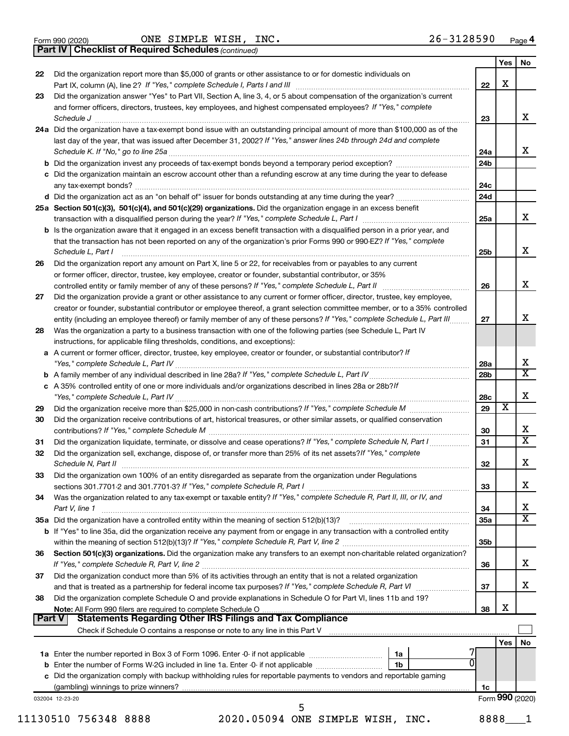|  | Form 990 (2020) |
|--|-----------------|
|  |                 |

Form 990 (2020)  $\qquad \qquad \text{ONE} \quad \text{SIMPLE} \quad \text{WISH}$ , INC.  $26-3128590$  Page

*(continued)* **Part IV Checklist of Required Schedules**

| 22            | Did the organization report more than \$5,000 of grants or other assistance to or for domestic individuals on                                                                                                                                                                                                                                          |                 | Yes             | No                           |
|---------------|--------------------------------------------------------------------------------------------------------------------------------------------------------------------------------------------------------------------------------------------------------------------------------------------------------------------------------------------------------|-----------------|-----------------|------------------------------|
|               |                                                                                                                                                                                                                                                                                                                                                        | 22              | X               |                              |
| 23            | Did the organization answer "Yes" to Part VII, Section A, line 3, 4, or 5 about compensation of the organization's current                                                                                                                                                                                                                             |                 |                 |                              |
|               | and former officers, directors, trustees, key employees, and highest compensated employees? If "Yes," complete                                                                                                                                                                                                                                         | 23              |                 | х                            |
|               | Schedule J <b>Execute Schedule J Execute Schedule J</b><br>24a Did the organization have a tax-exempt bond issue with an outstanding principal amount of more than \$100,000 as of the<br>last day of the year, that was issued after December 31, 2002? If "Yes," answer lines 24b through 24d and complete                                           |                 |                 |                              |
|               |                                                                                                                                                                                                                                                                                                                                                        | 24a             |                 | x                            |
|               |                                                                                                                                                                                                                                                                                                                                                        | 24b             |                 |                              |
|               | c Did the organization maintain an escrow account other than a refunding escrow at any time during the year to defease                                                                                                                                                                                                                                 | 24c             |                 |                              |
|               |                                                                                                                                                                                                                                                                                                                                                        | 24d             |                 |                              |
|               | 25a Section 501(c)(3), 501(c)(4), and 501(c)(29) organizations. Did the organization engage in an excess benefit                                                                                                                                                                                                                                       |                 |                 |                              |
|               |                                                                                                                                                                                                                                                                                                                                                        | 25a             |                 | x                            |
|               | <b>b</b> Is the organization aware that it engaged in an excess benefit transaction with a disqualified person in a prior year, and<br>that the transaction has not been reported on any of the organization's prior Forms 990 or 990-EZ? If "Yes," complete<br>Schedule L, Part I                                                                     | 25b             |                 | х                            |
| 26            | Did the organization report any amount on Part X, line 5 or 22, for receivables from or payables to any current                                                                                                                                                                                                                                        |                 |                 |                              |
|               | or former officer, director, trustee, key employee, creator or founder, substantial contributor, or 35%                                                                                                                                                                                                                                                |                 |                 |                              |
|               |                                                                                                                                                                                                                                                                                                                                                        | 26              |                 | x                            |
| 27            | Did the organization provide a grant or other assistance to any current or former officer, director, trustee, key employee,                                                                                                                                                                                                                            |                 |                 |                              |
|               | creator or founder, substantial contributor or employee thereof, a grant selection committee member, or to a 35% controlled                                                                                                                                                                                                                            | 27              |                 | X                            |
| 28            | entity (including an employee thereof) or family member of any of these persons? If "Yes," complete Schedule L, Part III<br>Was the organization a party to a business transaction with one of the following parties (see Schedule L, Part IV                                                                                                          |                 |                 |                              |
|               | instructions, for applicable filing thresholds, conditions, and exceptions):                                                                                                                                                                                                                                                                           |                 |                 |                              |
|               | a A current or former officer, director, trustee, key employee, creator or founder, or substantial contributor? If                                                                                                                                                                                                                                     | 28a             |                 | х                            |
|               |                                                                                                                                                                                                                                                                                                                                                        | 28b             |                 | $\overline{\mathbf{x}}$      |
|               | c A 35% controlled entity of one or more individuals and/or organizations described in lines 28a or 28b?If                                                                                                                                                                                                                                             |                 |                 |                              |
|               |                                                                                                                                                                                                                                                                                                                                                        | 28c             |                 | X                            |
| 29<br>30      | Did the organization receive contributions of art, historical treasures, or other similar assets, or qualified conservation                                                                                                                                                                                                                            | 29              | х               | х                            |
| 31            | Did the organization liquidate, terminate, or dissolve and cease operations? If "Yes," complete Schedule N, Part I                                                                                                                                                                                                                                     | 30<br>31        |                 | $\overline{\texttt{x}}$      |
| 32            | Did the organization sell, exchange, dispose of, or transfer more than 25% of its net assets? If "Yes," complete<br>Schedule N, Part II <b>Markov Markov Alexander Schedule N, Part II Markov Markov Markov Markov Markov Markov Markov Markov Markov Markov Markov Markov Markov Markov Markov Markov Markov Markov Markov Markov Markov Markov M</b> | 32              |                 | X                            |
| 33            | Did the organization own 100% of an entity disregarded as separate from the organization under Regulations                                                                                                                                                                                                                                             |                 |                 |                              |
|               | sections 301.7701-2 and 301.7701-3? If "Yes," complete Schedule R, Part I [1] [1] [1] [1] [1] [1] sections 301.7701-2 and 301.7701-3? If "Yes," complete Schedule R, Part I                                                                                                                                                                            | 33              |                 | х                            |
| 34            | Was the organization related to any tax-exempt or taxable entity? If "Yes," complete Schedule R, Part II, III, or IV, and                                                                                                                                                                                                                              |                 |                 |                              |
|               | Part V, line 1                                                                                                                                                                                                                                                                                                                                         | 34              |                 | х<br>$\overline{\texttt{x}}$ |
|               | b If "Yes" to line 35a, did the organization receive any payment from or engage in any transaction with a controlled entity                                                                                                                                                                                                                            | 35a             |                 |                              |
|               |                                                                                                                                                                                                                                                                                                                                                        | 35 <sub>b</sub> |                 |                              |
| 36            | Section 501(c)(3) organizations. Did the organization make any transfers to an exempt non-charitable related organization?                                                                                                                                                                                                                             |                 |                 |                              |
|               |                                                                                                                                                                                                                                                                                                                                                        | 36              |                 | x                            |
| 37            | Did the organization conduct more than 5% of its activities through an entity that is not a related organization                                                                                                                                                                                                                                       |                 |                 | х                            |
|               | Did the organization complete Schedule O and provide explanations in Schedule O for Part VI, lines 11b and 19?                                                                                                                                                                                                                                         | 37              |                 |                              |
| 38            |                                                                                                                                                                                                                                                                                                                                                        | 38              | х               |                              |
| <b>Part V</b> |                                                                                                                                                                                                                                                                                                                                                        |                 |                 |                              |
|               |                                                                                                                                                                                                                                                                                                                                                        |                 | Yes             |                              |
|               | 1a                                                                                                                                                                                                                                                                                                                                                     |                 |                 | No                           |
|               | 1 <sub>b</sub>                                                                                                                                                                                                                                                                                                                                         |                 |                 |                              |
|               | c Did the organization comply with backup withholding rules for reportable payments to vendors and reportable gaming                                                                                                                                                                                                                                   |                 |                 |                              |
|               |                                                                                                                                                                                                                                                                                                                                                        | 1c              |                 |                              |
|               | 032004 12-23-20                                                                                                                                                                                                                                                                                                                                        |                 | Form 990 (2020) |                              |
|               | 11130510 756348 8888<br>2020.05094 ONE SIMPLE WISH, INC.                                                                                                                                                                                                                                                                                               | 8888            |                 |                              |
|               |                                                                                                                                                                                                                                                                                                                                                        |                 |                 |                              |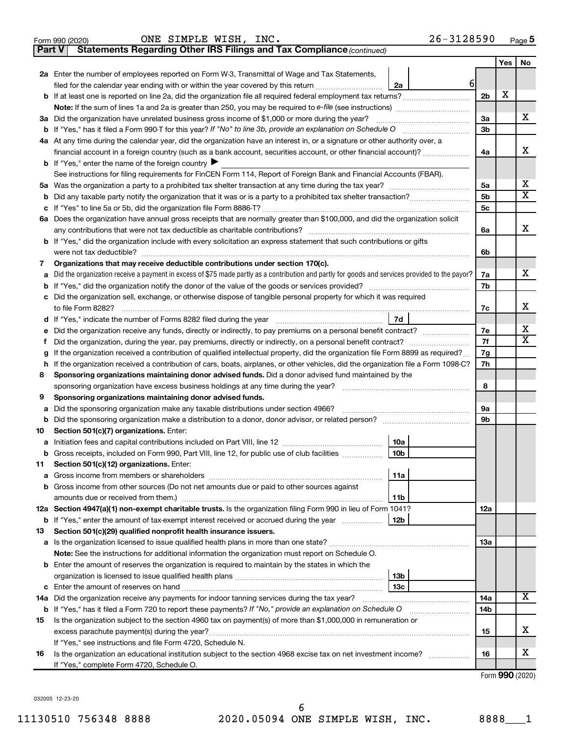|        | $26 - 3128590$<br>ONE SIMPLE WISH, INC.<br>Form 990 (2020)                                                                                                                                            |                 |            | Page 5                       |
|--------|-------------------------------------------------------------------------------------------------------------------------------------------------------------------------------------------------------|-----------------|------------|------------------------------|
| Part V | Statements Regarding Other IRS Filings and Tax Compliance (continued)                                                                                                                                 |                 |            |                              |
|        |                                                                                                                                                                                                       |                 | <b>Yes</b> | No                           |
|        | 2a Enter the number of employees reported on Form W-3, Transmittal of Wage and Tax Statements,                                                                                                        |                 |            |                              |
|        | $6 \mid$<br>filed for the calendar year ending with or within the year covered by this return <i>manumumumum</i><br>2a                                                                                |                 |            |                              |
|        | <b>b</b> If at least one is reported on line 2a, did the organization file all required federal employment tax returns?                                                                               | 2 <sub>b</sub>  | х          |                              |
|        | <b>Note:</b> If the sum of lines 1a and 2a is greater than 250, you may be required to e-file (see instructions)                                                                                      |                 |            |                              |
|        | 3a Did the organization have unrelated business gross income of \$1,000 or more during the year?                                                                                                      | 3a              |            | x                            |
|        | <b>b</b> If "Yes," has it filed a Form 990-T for this year? If "No" to line 3b, provide an explanation on Schedule O                                                                                  | 3b              |            |                              |
|        | 4a At any time during the calendar year, did the organization have an interest in, or a signature or other authority over, a                                                                          |                 |            |                              |
|        | financial account in a foreign country (such as a bank account, securities account, or other financial account)?                                                                                      | 4a              |            | х                            |
|        | <b>b</b> If "Yes," enter the name of the foreign country $\blacktriangleright$                                                                                                                        |                 |            |                              |
|        | See instructions for filing requirements for FinCEN Form 114, Report of Foreign Bank and Financial Accounts (FBAR).                                                                                   |                 |            |                              |
|        |                                                                                                                                                                                                       | 5a              |            | x<br>$\overline{\mathtt{x}}$ |
|        |                                                                                                                                                                                                       | 5b              |            |                              |
| с      |                                                                                                                                                                                                       | 5c              |            |                              |
|        | 6a Does the organization have annual gross receipts that are normally greater than \$100,000, and did the organization solicit                                                                        |                 |            | x                            |
|        | any contributions that were not tax deductible as charitable contributions?<br>b If "Yes," did the organization include with every solicitation an express statement that such contributions or gifts | 6a              |            |                              |
|        | were not tax deductible?                                                                                                                                                                              | 6b              |            |                              |
| 7      | Organizations that may receive deductible contributions under section 170(c).                                                                                                                         |                 |            |                              |
| а      | Did the organization receive a payment in excess of \$75 made partly as a contribution and partly for goods and services provided to the payor?                                                       | 7a              |            | x                            |
| b      | If "Yes," did the organization notify the donor of the value of the goods or services provided?                                                                                                       | 7b              |            |                              |
|        | c Did the organization sell, exchange, or otherwise dispose of tangible personal property for which it was required                                                                                   |                 |            |                              |
|        | to file Form 8282?                                                                                                                                                                                    | 7с              |            | х                            |
|        | 7d                                                                                                                                                                                                    |                 |            |                              |
| е      |                                                                                                                                                                                                       | 7е              |            | х                            |
| Ť.     | Did the organization, during the year, pay premiums, directly or indirectly, on a personal benefit contract?                                                                                          | 7f              |            | $\overline{\texttt{x}}$      |
| g      | If the organization received a contribution of qualified intellectual property, did the organization file Form 8899 as required?                                                                      | 7g              |            |                              |
| h      | If the organization received a contribution of cars, boats, airplanes, or other vehicles, did the organization file a Form 1098-C?                                                                    | 7h              |            |                              |
| 8      | Sponsoring organizations maintaining donor advised funds. Did a donor advised fund maintained by the                                                                                                  |                 |            |                              |
|        | sponsoring organization have excess business holdings at any time during the year?                                                                                                                    | 8               |            |                              |
| 9      | Sponsoring organizations maintaining donor advised funds.                                                                                                                                             |                 |            |                              |
| а      | Did the sponsoring organization make any taxable distributions under section 4966?                                                                                                                    | 9а              |            |                              |
| b      |                                                                                                                                                                                                       | 9b              |            |                              |
| 10     | Section 501(c)(7) organizations. Enter:                                                                                                                                                               |                 |            |                              |
|        | 10a                                                                                                                                                                                                   |                 |            |                              |
| b      | Gross receipts, included on Form 990, Part VIII, line 12, for public use of club facilities<br>10b                                                                                                    |                 |            |                              |
| 11     | Section 501(c)(12) organizations. Enter:                                                                                                                                                              |                 |            |                              |
|        | 11a                                                                                                                                                                                                   |                 |            |                              |
|        | b Gross income from other sources (Do not net amounts due or paid to other sources against                                                                                                            |                 |            |                              |
|        | 11b                                                                                                                                                                                                   |                 |            |                              |
|        | 12a Section 4947(a)(1) non-exempt charitable trusts. Is the organization filing Form 990 in lieu of Form 1041?                                                                                        | 12a             |            |                              |
| b      | If "Yes," enter the amount of tax-exempt interest received or accrued during the year<br>12b                                                                                                          |                 |            |                              |
| 13     | Section 501(c)(29) qualified nonprofit health insurance issuers.                                                                                                                                      | 13a             |            |                              |
|        | Note: See the instructions for additional information the organization must report on Schedule O.                                                                                                     |                 |            |                              |
|        | <b>b</b> Enter the amount of reserves the organization is required to maintain by the states in which the                                                                                             |                 |            |                              |
|        | 13 <sub>b</sub>                                                                                                                                                                                       |                 |            |                              |
|        | 13 <sub>c</sub>                                                                                                                                                                                       |                 |            |                              |
| 14a    | Did the organization receive any payments for indoor tanning services during the tax year? [111] Did the organization receive any payments for indoor tanning services during the tax year?           | 14a             |            | X                            |
| b      |                                                                                                                                                                                                       | 14 <sub>b</sub> |            |                              |
| 15     | Is the organization subject to the section 4960 tax on payment(s) of more than \$1,000,000 in remuneration or                                                                                         |                 |            |                              |
|        |                                                                                                                                                                                                       | 15              |            | х                            |
|        | If "Yes," see instructions and file Form 4720, Schedule N.                                                                                                                                            |                 |            |                              |
| 16     | Is the organization an educational institution subject to the section 4968 excise tax on net investment income?                                                                                       | 16              |            | х                            |
|        | If "Yes," complete Form 4720, Schedule O.                                                                                                                                                             |                 |            |                              |
|        |                                                                                                                                                                                                       |                 |            |                              |

Form (2020) **990**

032005 12-23-20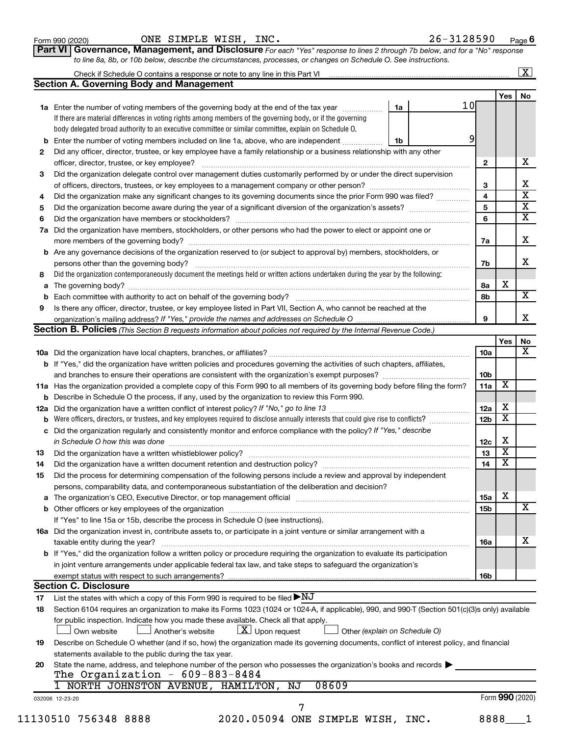Form 990 (2020)  $\qquad \qquad \text{ONE} \quad \text{SIMPLE} \quad \text{WISH}$ , INC.  $26-3128590$  Page

**Part VI** Governance, Management, and Disclosure For each "Yes" response to lines 2 through 7b below, and for a "No" response *to line 8a, 8b, or 10b below, describe the circumstances, processes, or changes on Schedule O. See instructions.*

|     | Check if Schedule O contains a response or note to any line in this Part VI [1] [1] [1] [1] [1] [1] [1] [1] [1                                                                                                                 |    |    |    |                 |                         | $\mathbf{X}$            |
|-----|--------------------------------------------------------------------------------------------------------------------------------------------------------------------------------------------------------------------------------|----|----|----|-----------------|-------------------------|-------------------------|
|     | <b>Section A. Governing Body and Management</b>                                                                                                                                                                                |    |    |    |                 |                         |                         |
|     |                                                                                                                                                                                                                                |    |    |    |                 | Yes                     | No                      |
|     | 1a Enter the number of voting members of the governing body at the end of the tax year                                                                                                                                         |    | 1a | 10 |                 |                         |                         |
|     | If there are material differences in voting rights among members of the governing body, or if the governing                                                                                                                    |    |    |    |                 |                         |                         |
|     | body delegated broad authority to an executive committee or similar committee, explain on Schedule O.                                                                                                                          |    |    |    |                 |                         |                         |
| b   | Enter the number of voting members included on line 1a, above, who are independent                                                                                                                                             | 1b |    | 9  |                 |                         |                         |
| 2   | Did any officer, director, trustee, or key employee have a family relationship or a business relationship with any other                                                                                                       |    |    |    |                 |                         |                         |
|     | officer, director, trustee, or key employee?                                                                                                                                                                                   |    |    |    | $\mathbf{2}$    |                         | x                       |
| 3   | Did the organization delegate control over management duties customarily performed by or under the direct supervision                                                                                                          |    |    |    |                 |                         |                         |
|     |                                                                                                                                                                                                                                |    |    |    | 3               |                         | х                       |
| 4   | Did the organization make any significant changes to its governing documents since the prior Form 990 was filed?                                                                                                               |    |    |    | 4               |                         | $\overline{\textbf{x}}$ |
| 5   |                                                                                                                                                                                                                                |    |    |    | 5               |                         | $\overline{\textbf{X}}$ |
| 6   |                                                                                                                                                                                                                                |    |    |    | 6               |                         | $\overline{\textbf{x}}$ |
| 7a  | Did the organization have members, stockholders, or other persons who had the power to elect or appoint one or                                                                                                                 |    |    |    |                 |                         |                         |
|     |                                                                                                                                                                                                                                |    |    |    |                 |                         | x                       |
|     |                                                                                                                                                                                                                                |    |    |    | 7a              |                         |                         |
| b   | Are any governance decisions of the organization reserved to (or subject to approval by) members, stockholders, or                                                                                                             |    |    |    |                 |                         |                         |
|     |                                                                                                                                                                                                                                |    |    |    | 7b              |                         | X                       |
| 8   | Did the organization contemporaneously document the meetings held or written actions undertaken during the year by the following:                                                                                              |    |    |    |                 |                         |                         |
| а   |                                                                                                                                                                                                                                |    |    |    | 8а              | х                       |                         |
| b   |                                                                                                                                                                                                                                |    |    |    | 8b              |                         | $\overline{\mathbf{X}}$ |
| 9   | Is there any officer, director, trustee, or key employee listed in Part VII, Section A, who cannot be reached at the                                                                                                           |    |    |    |                 |                         |                         |
|     |                                                                                                                                                                                                                                |    |    |    | 9               |                         | x                       |
|     | <b>Section B. Policies</b> (This Section B requests information about policies not required by the Internal Revenue Code.)                                                                                                     |    |    |    |                 |                         |                         |
|     |                                                                                                                                                                                                                                |    |    |    |                 | Yes                     | No                      |
|     |                                                                                                                                                                                                                                |    |    |    | 10a             |                         |                         |
|     | <b>b</b> If "Yes," did the organization have written policies and procedures governing the activities of such chapters, affiliates,                                                                                            |    |    |    |                 |                         |                         |
|     |                                                                                                                                                                                                                                |    |    |    | 10 <sub>b</sub> |                         |                         |
|     | 11a Has the organization provided a complete copy of this Form 990 to all members of its governing body before filing the form?                                                                                                |    |    |    | 11a             | х                       |                         |
|     | <b>b</b> Describe in Schedule O the process, if any, used by the organization to review this Form 990.                                                                                                                         |    |    |    |                 |                         |                         |
| 12a |                                                                                                                                                                                                                                |    |    |    | 12a             | х                       |                         |
| b   | Were officers, directors, or trustees, and key employees required to disclose annually interests that could give rise to conflicts?                                                                                            |    |    |    | 12 <sub>b</sub> | х                       |                         |
| с   | Did the organization regularly and consistently monitor and enforce compliance with the policy? If "Yes," describe                                                                                                             |    |    |    |                 |                         |                         |
|     |                                                                                                                                                                                                                                |    |    |    | 12c             | X                       |                         |
| 13  |                                                                                                                                                                                                                                |    |    |    | 13              | $\overline{\textbf{x}}$ |                         |
|     |                                                                                                                                                                                                                                |    |    |    | 14              | $\overline{\mathbf{X}}$ |                         |
| 14  | Did the organization have a written document retention and destruction policy? [11] manufaction model of the organization have a written document retention and destruction policy?                                            |    |    |    |                 |                         |                         |
| 15  | Did the process for determining compensation of the following persons include a review and approval by independent                                                                                                             |    |    |    |                 |                         |                         |
|     | persons, comparability data, and contemporaneous substantiation of the deliberation and decision?                                                                                                                              |    |    |    |                 |                         |                         |
| а   | The organization's CEO, Executive Director, or top management official manufactured content of the organization's CEO, Executive Director, or top management official manufactured content of the organization's CEO, Executiv |    |    |    | 15a             | х                       |                         |
|     |                                                                                                                                                                                                                                |    |    |    | <b>15b</b>      |                         | х                       |
|     | If "Yes" to line 15a or 15b, describe the process in Schedule O (see instructions).                                                                                                                                            |    |    |    |                 |                         |                         |
|     | 16a Did the organization invest in, contribute assets to, or participate in a joint venture or similar arrangement with a                                                                                                      |    |    |    |                 |                         |                         |
|     | taxable entity during the year?                                                                                                                                                                                                |    |    |    | 16a             |                         | х                       |
|     | b If "Yes," did the organization follow a written policy or procedure requiring the organization to evaluate its participation                                                                                                 |    |    |    |                 |                         |                         |
|     | in joint venture arrangements under applicable federal tax law, and take steps to safeguard the organization's                                                                                                                 |    |    |    |                 |                         |                         |
|     | exempt status with respect to such arrangements?                                                                                                                                                                               |    |    |    | 16b             |                         |                         |
|     | <b>Section C. Disclosure</b>                                                                                                                                                                                                   |    |    |    |                 |                         |                         |
| 17  | List the states with which a copy of this Form 990 is required to be filed $\blacktriangleright\mathrm{NJ}$                                                                                                                    |    |    |    |                 |                         |                         |
| 18  | Section 6104 requires an organization to make its Forms 1023 (1024 or 1024-A, if applicable), 990, and 990-T (Section 501(c)(3)s only) available                                                                               |    |    |    |                 |                         |                         |
|     | for public inspection. Indicate how you made these available. Check all that apply.                                                                                                                                            |    |    |    |                 |                         |                         |
|     | $\lfloor x \rfloor$ Upon request                                                                                                                                                                                               |    |    |    |                 |                         |                         |
|     | Own website<br>Another's website<br>Other (explain on Schedule O)                                                                                                                                                              |    |    |    |                 |                         |                         |
| 19  | Describe on Schedule O whether (and if so, how) the organization made its governing documents, conflict of interest policy, and financial                                                                                      |    |    |    |                 |                         |                         |
|     | statements available to the public during the tax year.                                                                                                                                                                        |    |    |    |                 |                         |                         |
| 20  | State the name, address, and telephone number of the person who possesses the organization's books and records                                                                                                                 |    |    |    |                 |                         |                         |
|     | The Organization - $609-883-8484$                                                                                                                                                                                              |    |    |    |                 |                         |                         |
|     | 08609<br>1 NORTH JOHNSTON AVENUE, HAMILTON,<br>NJ                                                                                                                                                                              |    |    |    |                 |                         |                         |
|     | 032006 12-23-20                                                                                                                                                                                                                |    |    |    |                 | Form 990 (2020)         |                         |
|     | 7                                                                                                                                                                                                                              |    |    |    |                 |                         |                         |
|     | 11130510 756348 8888<br>2020.05094 ONE SIMPLE WISH, INC.                                                                                                                                                                       |    |    |    | 8888            |                         |                         |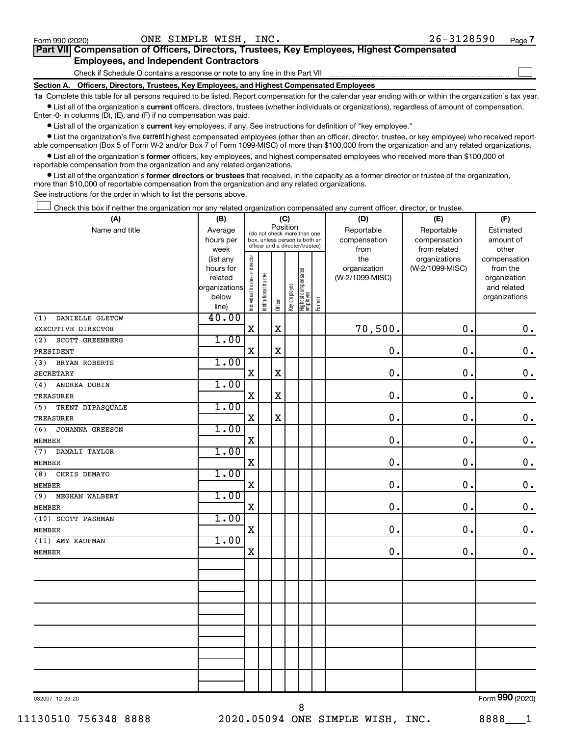$\Box$ 

| Part VII Compensation of Officers, Directors, Trustees, Key Employees, Highest Compensated |  |  |  |
|--------------------------------------------------------------------------------------------|--|--|--|
| <b>Employees, and Independent Contractors</b>                                              |  |  |  |

Check if Schedule O contains a response or note to any line in this Part VII

**Section A. Officers, Directors, Trustees, Key Employees, and Highest Compensated Employees**

**1a**  Complete this table for all persons required to be listed. Report compensation for the calendar year ending with or within the organization's tax year.  $\bullet$  List all of the organization's current officers, directors, trustees (whether individuals or organizations), regardless of amount of compensation.

Enter -0- in columns (D), (E), and (F) if no compensation was paid.

**•** List all of the organization's current key employees, if any. See instructions for definition of "key employee."

• List the organization's five *current* highest compensated employees (other than an officer, director, trustee, or key employee) who received reportable compensation (Box 5 of Form W-2 and/or Box 7 of Form 1099-MISC) of more than \$100,000 from the organization and any related organizations.

 $\bullet$  List all of the organization's former officers, key employees, and highest compensated employees who received more than \$100,000 of reportable compensation from the organization and any related organizations.

**•** List all of the organization's former directors or trustees that received, in the capacity as a former director or trustee of the organization, more than \$10,000 of reportable compensation from the organization and any related organizations.

See instructions for the order in which to list the persons above.

Check this box if neither the organization nor any related organization compensated any current officer, director, or trustee.  $\Box$ 

| (A)                     | (B)                    |                                |                                                                  | (C)                   |              |                                 |        | (D)             | (E)             | (F)             |  |
|-------------------------|------------------------|--------------------------------|------------------------------------------------------------------|-----------------------|--------------|---------------------------------|--------|-----------------|-----------------|-----------------|--|
| Name and title          | Average                |                                | (do not check more than one                                      | Position              |              |                                 |        | Reportable      | Reportable      | Estimated       |  |
|                         | hours per              |                                | box, unless person is both an<br>officer and a director/trustee) |                       |              |                                 |        | compensation    | compensation    | amount of       |  |
|                         | week                   |                                |                                                                  |                       |              |                                 |        | from            | from related    | other           |  |
|                         | (list any              |                                |                                                                  |                       |              |                                 |        | the             | organizations   | compensation    |  |
|                         | hours for              |                                |                                                                  |                       |              |                                 |        | organization    | (W-2/1099-MISC) | from the        |  |
|                         | related                |                                |                                                                  |                       |              |                                 |        | (W-2/1099-MISC) |                 | organization    |  |
|                         | organizations<br>below |                                |                                                                  |                       |              |                                 |        |                 |                 | and related     |  |
|                         | line)                  | Individual trustee or director | Institutional trustee                                            | Officer               | Key employee | Highest compensated<br>employee | Former |                 |                 | organizations   |  |
| DANIELLE GLETOW<br>(1)  | 40.00                  |                                |                                                                  |                       |              |                                 |        |                 |                 |                 |  |
| EXECUTIVE DIRECTOR      |                        | $\mathbf X$                    |                                                                  | $\rm X$               |              |                                 |        | 70,500.         | 0.              | $\mathbf 0$ .   |  |
| SCOTT GREENBERG<br>(2)  | 1.00                   |                                |                                                                  |                       |              |                                 |        |                 |                 |                 |  |
| PRESIDENT               |                        | X                              |                                                                  | $\overline{\text{X}}$ |              |                                 |        | $\mathbf 0$ .   | 0.              | $\mathbf 0$ .   |  |
| BRYAN ROBERTS<br>(3)    | 1.00                   |                                |                                                                  |                       |              |                                 |        |                 |                 |                 |  |
| <b>SECRETARY</b>        |                        | $\mathbf X$                    |                                                                  | X                     |              |                                 |        | $\mathbf 0$ .   | 0.              | $\mathbf 0$ .   |  |
| (4)<br>ANDREA DOBIN     | 1.00                   |                                |                                                                  |                       |              |                                 |        |                 |                 |                 |  |
| TREASURER               |                        | $\mathbf X$                    |                                                                  | $\mathbf X$           |              |                                 |        | $\mathbf 0$ .   | 0.              | $\mathbf 0$ .   |  |
| (5)<br>TRENT DIPASQUALE | 1.00                   |                                |                                                                  |                       |              |                                 |        |                 |                 |                 |  |
| <b>TREASURER</b>        |                        | $\mathbf X$                    |                                                                  | $\mathbf X$           |              |                                 |        | $\mathbf 0$ .   | $\mathbf 0$ .   | $0$ .           |  |
| (6)<br>JOHANNA GREESON  | 1.00                   |                                |                                                                  |                       |              |                                 |        |                 |                 |                 |  |
| <b>MEMBER</b>           |                        | $\mathbf X$                    |                                                                  |                       |              |                                 |        | $\mathbf 0$ .   | $\mathbf 0$ .   | $\mathbf 0$ .   |  |
| (7)<br>DAMALI TAYLOR    | 1.00                   |                                |                                                                  |                       |              |                                 |        |                 |                 |                 |  |
| <b>MEMBER</b>           |                        | $\mathbf X$                    |                                                                  |                       |              |                                 |        | $\mathbf 0$ .   | $\mathbf 0$ .   | $\mathbf 0$ .   |  |
| (8)<br>CHRIS DEMAYO     | 1.00                   |                                |                                                                  |                       |              |                                 |        |                 |                 |                 |  |
| MEMBER                  |                        | X                              |                                                                  |                       |              |                                 |        | $\mathbf 0$ .   | $\mathbf 0$ .   | $\mathbf 0$ .   |  |
| (9)<br>MEGHAN WALBERT   | 1.00                   |                                |                                                                  |                       |              |                                 |        |                 |                 |                 |  |
| <b>MEMBER</b>           |                        | $\mathbf X$                    |                                                                  |                       |              |                                 |        | 0.              | $\mathbf 0$ .   | $\mathbf 0$ .   |  |
| (10) SCOTT PASHMAN      | 1.00                   |                                |                                                                  |                       |              |                                 |        |                 |                 |                 |  |
| <b>MEMBER</b>           |                        | X                              |                                                                  |                       |              |                                 |        | $\mathbf 0$ .   | 0.              | $\mathbf 0$ .   |  |
| (11) AMY KAUFMAN        | 1.00                   |                                |                                                                  |                       |              |                                 |        |                 |                 |                 |  |
| <b>MEMBER</b>           |                        | X                              |                                                                  |                       |              |                                 |        | $\mathbf 0$ .   | 0.              | $\mathbf 0$ .   |  |
|                         |                        |                                |                                                                  |                       |              |                                 |        |                 |                 |                 |  |
|                         |                        |                                |                                                                  |                       |              |                                 |        |                 |                 |                 |  |
|                         |                        |                                |                                                                  |                       |              |                                 |        |                 |                 |                 |  |
|                         |                        |                                |                                                                  |                       |              |                                 |        |                 |                 |                 |  |
|                         |                        |                                |                                                                  |                       |              |                                 |        |                 |                 |                 |  |
|                         |                        |                                |                                                                  |                       |              |                                 |        |                 |                 |                 |  |
|                         |                        |                                |                                                                  |                       |              |                                 |        |                 |                 |                 |  |
|                         |                        |                                |                                                                  |                       |              |                                 |        |                 |                 |                 |  |
|                         |                        |                                |                                                                  |                       |              |                                 |        |                 |                 |                 |  |
|                         |                        |                                |                                                                  |                       |              |                                 |        |                 |                 |                 |  |
| 032007 12-23-20         |                        |                                |                                                                  |                       |              |                                 |        |                 |                 | Form 990 (2020) |  |

8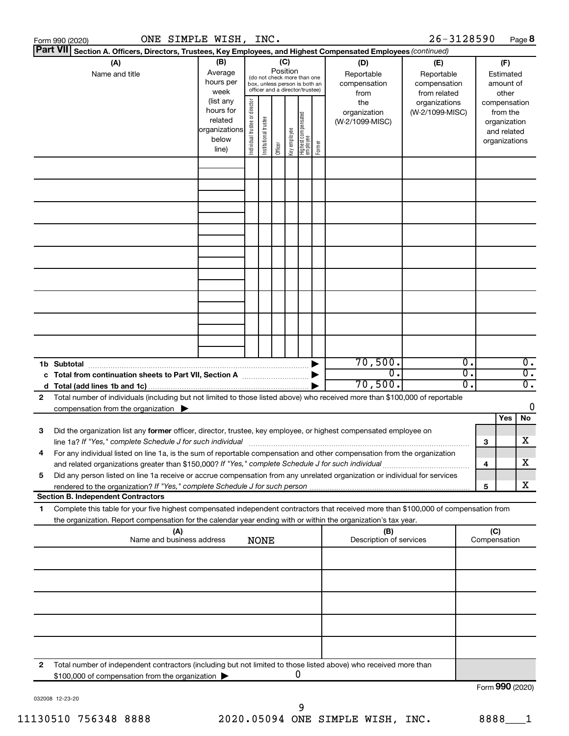|    | ONE SIMPLE WISH, INC.<br>Form 990 (2020)                                                                                                                                                                                                                                                                                                                      |                                                                      |                                |                       |         |              |                                   |        |                                           | 26-3128590                                        |                     |                                        |                                         | Page 8                               |
|----|---------------------------------------------------------------------------------------------------------------------------------------------------------------------------------------------------------------------------------------------------------------------------------------------------------------------------------------------------------------|----------------------------------------------------------------------|--------------------------------|-----------------------|---------|--------------|-----------------------------------|--------|-------------------------------------------|---------------------------------------------------|---------------------|----------------------------------------|-----------------------------------------|--------------------------------------|
|    | <b>Part VII</b><br>Section A. Officers, Directors, Trustees, Key Employees, and Highest Compensated Employees (continued)                                                                                                                                                                                                                                     |                                                                      |                                |                       |         |              |                                   |        |                                           |                                                   |                     |                                        |                                         |                                      |
|    | (A)<br>(B)<br>(C)<br>Position<br>Average<br>Name and title<br>(do not check more than one<br>hours per<br>box, unless person is both an<br>officer and a director/trustee)<br>week                                                                                                                                                                            |                                                                      |                                |                       |         |              |                                   |        | (D)<br>Reportable<br>compensation<br>from | (E)<br>Reportable<br>compensation<br>from related |                     | (F)<br>Estimated<br>amount of<br>other |                                         |                                      |
|    |                                                                                                                                                                                                                                                                                                                                                               | (list any<br>hours for<br>related<br>organizations<br>below<br>line) | Individual trustee or director | Institutional trustee | Officer | Key employee | Highest compensated<br>  employee | Former | the<br>organization<br>(W-2/1099-MISC)    | organizations<br>(W-2/1099-MISC)                  |                     | compensation<br>organizations          | from the<br>organization<br>and related |                                      |
|    |                                                                                                                                                                                                                                                                                                                                                               |                                                                      |                                |                       |         |              |                                   |        |                                           |                                                   |                     |                                        |                                         |                                      |
|    |                                                                                                                                                                                                                                                                                                                                                               |                                                                      |                                |                       |         |              |                                   |        |                                           |                                                   |                     |                                        |                                         |                                      |
|    |                                                                                                                                                                                                                                                                                                                                                               |                                                                      |                                |                       |         |              |                                   |        |                                           |                                                   |                     |                                        |                                         |                                      |
|    |                                                                                                                                                                                                                                                                                                                                                               |                                                                      |                                |                       |         |              |                                   |        |                                           |                                                   |                     |                                        |                                         |                                      |
|    |                                                                                                                                                                                                                                                                                                                                                               |                                                                      |                                |                       |         |              |                                   |        |                                           |                                                   |                     |                                        |                                         |                                      |
|    | 1b Subtotal                                                                                                                                                                                                                                                                                                                                                   |                                                                      |                                |                       |         |              |                                   |        | 70,500.                                   |                                                   | 0.                  |                                        |                                         | $\overline{0}$ .                     |
| 2  | c Total from continuation sheets to Part VII, Section A manufactured by<br>Total number of individuals (including but not limited to those listed above) who received more than \$100,000 of reportable                                                                                                                                                       |                                                                      |                                |                       |         |              |                                   |        | $\overline{0}$ .<br>70,500.               |                                                   | σ.<br>о.            |                                        |                                         | $\overline{0}$ .<br>$\overline{0}$ . |
|    | compensation from the organization $\blacktriangleright$                                                                                                                                                                                                                                                                                                      |                                                                      |                                |                       |         |              |                                   |        |                                           |                                                   |                     |                                        | Yes                                     | 0<br>No                              |
| 3  | Did the organization list any former officer, director, trustee, key employee, or highest compensated employee on<br>line 1a? If "Yes," complete Schedule J for such individual manufactured content to the set of the set of the s                                                                                                                           |                                                                      |                                |                       |         |              |                                   |        |                                           |                                                   |                     | 3                                      |                                         | х                                    |
| 5  | For any individual listed on line 1a, is the sum of reportable compensation and other compensation from the organization<br>and related organizations greater than \$150,000? If "Yes," complete Schedule J for such individual<br>Did any person listed on line 1a receive or accrue compensation from any unrelated organization or individual for services |                                                                      |                                |                       |         |              |                                   |        |                                           |                                                   |                     | 4                                      |                                         | х                                    |
|    | <b>Section B. Independent Contractors</b>                                                                                                                                                                                                                                                                                                                     |                                                                      |                                |                       |         |              |                                   |        |                                           |                                                   |                     | 5                                      |                                         | х                                    |
| 1. | Complete this table for your five highest compensated independent contractors that received more than \$100,000 of compensation from                                                                                                                                                                                                                          |                                                                      |                                |                       |         |              |                                   |        |                                           |                                                   |                     |                                        |                                         |                                      |
|    | the organization. Report compensation for the calendar year ending with or within the organization's tax year.<br>(A)<br>(B)<br>Name and business address<br>Description of services<br><b>NONE</b>                                                                                                                                                           |                                                                      |                                |                       |         |              |                                   |        |                                           |                                                   | (C)<br>Compensation |                                        |                                         |                                      |
|    |                                                                                                                                                                                                                                                                                                                                                               |                                                                      |                                |                       |         |              |                                   |        |                                           |                                                   |                     |                                        |                                         |                                      |
|    |                                                                                                                                                                                                                                                                                                                                                               |                                                                      |                                |                       |         |              |                                   |        |                                           |                                                   |                     |                                        |                                         |                                      |
|    |                                                                                                                                                                                                                                                                                                                                                               |                                                                      |                                |                       |         |              |                                   |        |                                           |                                                   |                     |                                        |                                         |                                      |
| 2  | Total number of independent contractors (including but not limited to those listed above) who received more than<br>\$100,000 of compensation from the organization                                                                                                                                                                                           |                                                                      |                                |                       |         |              | 0                                 |        |                                           |                                                   |                     |                                        |                                         |                                      |
|    |                                                                                                                                                                                                                                                                                                                                                               |                                                                      |                                |                       |         |              |                                   |        |                                           |                                                   |                     | Form 990 (2020)                        |                                         |                                      |

032008 12-23-20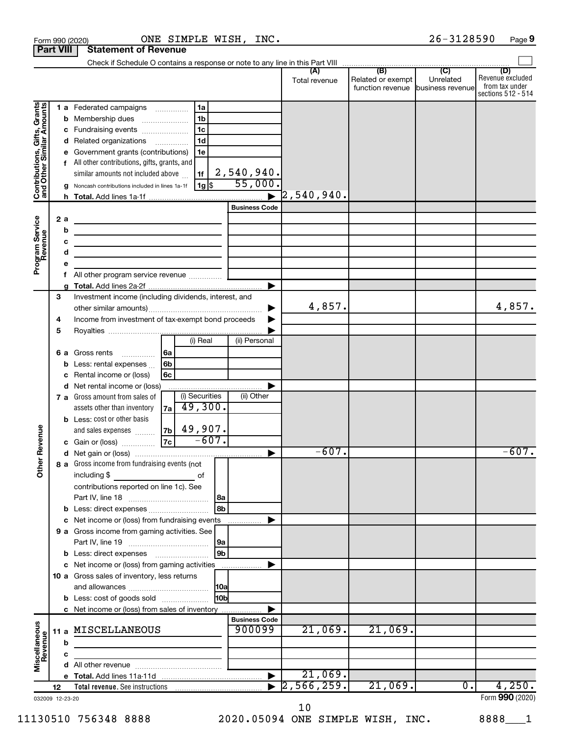|                                                           | <b>Part VIII</b>            | <b>Statement of Revenue</b>                                                                                                                                                                                                                                                                                                                                                                                                |                                |                                                        |                                                               |                             |                                                                 |
|-----------------------------------------------------------|-----------------------------|----------------------------------------------------------------------------------------------------------------------------------------------------------------------------------------------------------------------------------------------------------------------------------------------------------------------------------------------------------------------------------------------------------------------------|--------------------------------|--------------------------------------------------------|---------------------------------------------------------------|-----------------------------|-----------------------------------------------------------------|
|                                                           |                             |                                                                                                                                                                                                                                                                                                                                                                                                                            |                                |                                                        |                                                               |                             |                                                                 |
|                                                           |                             |                                                                                                                                                                                                                                                                                                                                                                                                                            |                                | (A)<br>Total revenue                                   | (B)<br>Related or exempt<br>function revenue business revenue | $\overline{C}$<br>Unrelated | (D)<br>Revenue excluded<br>from tax under<br>sections 512 - 514 |
| Contributions, Gifts, Grants<br>and Other Similar Amounts | b<br>с<br>d<br>е            | 1a<br>1 a Federated campaigns<br>1 <sub>b</sub><br>Membership dues<br>1 <sub>c</sub><br>Fundraising events<br>1 <sub>d</sub><br>Related organizations<br>Government grants (contributions)<br>1e<br>f All other contributions, gifts, grants, and<br>similar amounts not included above<br>1f<br> 1g <br>g Noncash contributions included in lines 1a-1f                                                                   | 2,540,940.<br>55,000           | $\mathord{\text{\rm l}}2$ , 540 , 940 $\boldsymbol{.}$ |                                                               |                             |                                                                 |
|                                                           |                             |                                                                                                                                                                                                                                                                                                                                                                                                                            | <b>Business Code</b>           |                                                        |                                                               |                             |                                                                 |
| Program Service<br>Revenue                                | 2a<br>b<br>c<br>d<br>е<br>f | the control of the control of the control of the control of the control of<br><u> 1989 - Johann Stein, marwolaethau a bhann an t-Albann an t-Albann an t-Albann an t-Albann an t-Albann an t-Alb</u><br><u> 1989 - Johann John Stein, markin fan it ferstjer fan it ferstjer fan it ferstjer fan it ferstjer fan it fers</u><br><u> 1989 - Johann Barn, amerikansk politiker (</u><br>All other program service revenue  [ |                                |                                                        |                                                               |                             |                                                                 |
|                                                           | a<br>3                      | Investment income (including dividends, interest, and                                                                                                                                                                                                                                                                                                                                                                      |                                |                                                        |                                                               |                             |                                                                 |
|                                                           | 4<br>5                      | Income from investment of tax-exempt bond proceeds                                                                                                                                                                                                                                                                                                                                                                         |                                | 4,857.                                                 |                                                               |                             | 4,857.                                                          |
|                                                           |                             | (i) Real                                                                                                                                                                                                                                                                                                                                                                                                                   | (ii) Personal                  |                                                        |                                                               |                             |                                                                 |
|                                                           | b<br>с                      | 6a<br>6 a Gross rents<br>.<br>6b<br>Less: rental expenses<br>6c<br>Rental income or (loss)                                                                                                                                                                                                                                                                                                                                 |                                |                                                        |                                                               |                             |                                                                 |
|                                                           | d                           | Net rental income or (loss)                                                                                                                                                                                                                                                                                                                                                                                                |                                |                                                        |                                                               |                             |                                                                 |
| Revenue                                                   |                             | (i) Securities<br>7 a Gross amount from sales of<br>49,300.<br>assets other than inventory<br>7a l<br><b>b</b> Less: cost or other basis<br>49,907.<br>7 <sub>b</sub><br>and sales expenses<br>$-607.$<br> 7c <br>c Gain or (loss)                                                                                                                                                                                         | (ii) Other                     |                                                        |                                                               |                             |                                                                 |
|                                                           |                             |                                                                                                                                                                                                                                                                                                                                                                                                                            |                                | $-607.$                                                |                                                               |                             | $-607.$                                                         |
| <b>Othe</b>                                               |                             | 8 a Gross income from fundraising events (not<br>including \$<br>оf<br>contributions reported on line 1c). See                                                                                                                                                                                                                                                                                                             | 8a                             |                                                        |                                                               |                             |                                                                 |
|                                                           | b                           | Less: direct expenses                                                                                                                                                                                                                                                                                                                                                                                                      | l 8b                           |                                                        |                                                               |                             |                                                                 |
|                                                           | c                           | Net income or (loss) from fundraising events                                                                                                                                                                                                                                                                                                                                                                               |                                |                                                        |                                                               |                             |                                                                 |
|                                                           |                             | 9 a Gross income from gaming activities. See                                                                                                                                                                                                                                                                                                                                                                               | 9a                             |                                                        |                                                               |                             |                                                                 |
|                                                           |                             | c Net income or (loss) from gaming activities                                                                                                                                                                                                                                                                                                                                                                              | 9b                             |                                                        |                                                               |                             |                                                                 |
|                                                           |                             | 10 a Gross sales of inventory, less returns                                                                                                                                                                                                                                                                                                                                                                                |                                |                                                        |                                                               |                             |                                                                 |
|                                                           |                             | <b>b</b> Less: cost of goods sold                                                                                                                                                                                                                                                                                                                                                                                          | 10 <sub>b</sub>                |                                                        |                                                               |                             |                                                                 |
|                                                           |                             | c Net income or (loss) from sales of inventory                                                                                                                                                                                                                                                                                                                                                                             |                                |                                                        |                                                               |                             |                                                                 |
| Miscellaneous<br>Revenue                                  |                             | 11 a MISCELLANEOUS                                                                                                                                                                                                                                                                                                                                                                                                         | <b>Business Code</b><br>900099 | 21,069.                                                | 21,069.                                                       |                             |                                                                 |
|                                                           | b                           |                                                                                                                                                                                                                                                                                                                                                                                                                            |                                |                                                        |                                                               |                             |                                                                 |
|                                                           | с<br>d                      |                                                                                                                                                                                                                                                                                                                                                                                                                            |                                |                                                        |                                                               |                             |                                                                 |
|                                                           |                             |                                                                                                                                                                                                                                                                                                                                                                                                                            |                                | 21,069.                                                |                                                               |                             |                                                                 |
|                                                           | 12                          | Total revenue. See instructions [1011] [1011] Total revenue. See instructions [1011] [1011] [1011] Total Total                                                                                                                                                                                                                                                                                                             |                                | $\overline{2,566,259}$ .                               | 21,069.                                                       | $0$ .                       | 4,250.                                                          |
|                                                           | 032009 12-23-20             |                                                                                                                                                                                                                                                                                                                                                                                                                            |                                |                                                        |                                                               |                             | Form 990 (2020)                                                 |

10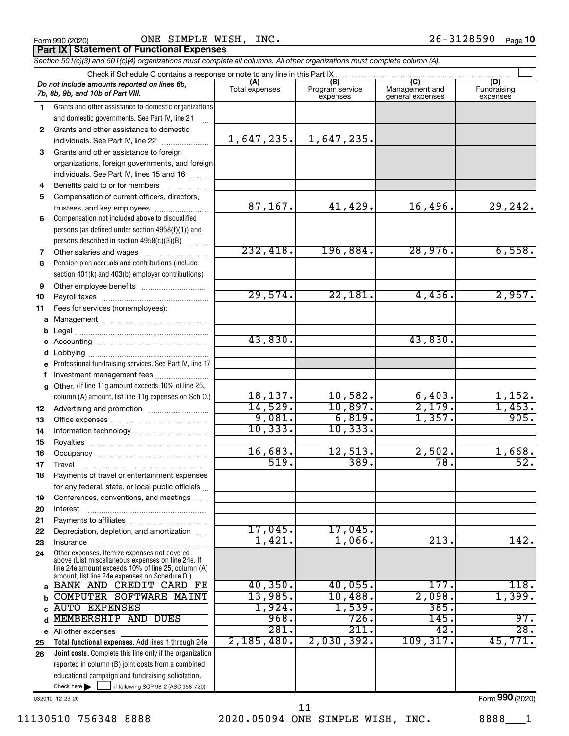|  | Form 990 (2020) |
|--|-----------------|
|  |                 |

Form 990 (2020) Page ONE SIMPLE WISH, INC. 26-3128590

**Part IX Statement of Functional Expenses**

|  |  | Section 501(c)(3) and 501(c)(4) organizations must complete all columns. All other organizations must complete column (A). |  |
|--|--|----------------------------------------------------------------------------------------------------------------------------|--|
|  |  |                                                                                                                            |  |

|              | Do not include amounts reported on lines 6b,<br>7b, 8b, 9b, and 10b of Part VIII.                        | (A)<br>Total expenses | (B)<br>Program service<br>expenses | (C)<br>Management and<br>general expenses | (D)<br>Fundraising<br>expenses |
|--------------|----------------------------------------------------------------------------------------------------------|-----------------------|------------------------------------|-------------------------------------------|--------------------------------|
| 1.           | Grants and other assistance to domestic organizations                                                    |                       |                                    |                                           |                                |
|              | and domestic governments. See Part IV, line 21                                                           |                       |                                    |                                           |                                |
| $\mathbf{2}$ | Grants and other assistance to domestic                                                                  |                       |                                    |                                           |                                |
|              | individuals. See Part IV, line 22                                                                        | 1,647,235.            | 1,647,235.                         |                                           |                                |
| 3            | Grants and other assistance to foreign                                                                   |                       |                                    |                                           |                                |
|              | organizations, foreign governments, and foreign                                                          |                       |                                    |                                           |                                |
|              | individuals. See Part IV, lines 15 and 16                                                                |                       |                                    |                                           |                                |
| 4            | Benefits paid to or for members                                                                          |                       |                                    |                                           |                                |
| 5            | Compensation of current officers, directors,                                                             |                       |                                    |                                           |                                |
|              | trustees, and key employees                                                                              | 87,167.               | 41,429.                            | 16,496.                                   | 29,242.                        |
| 6            | Compensation not included above to disqualified                                                          |                       |                                    |                                           |                                |
|              | persons (as defined under section 4958(f)(1)) and                                                        |                       |                                    |                                           |                                |
|              | persons described in section 4958(c)(3)(B)                                                               | 232,418.              | 196,884.                           | 28,976.                                   | 6,558.                         |
| 7            | Other salaries and wages                                                                                 |                       |                                    |                                           |                                |
| 8            | Pension plan accruals and contributions (include<br>section 401(k) and 403(b) employer contributions)    |                       |                                    |                                           |                                |
|              |                                                                                                          |                       |                                    |                                           |                                |
| 9<br>10      |                                                                                                          | 29,574.               | 22,181.                            | 4,436.                                    | 2,957.                         |
| 11           | Fees for services (nonemployees):                                                                        |                       |                                    |                                           |                                |
| a            |                                                                                                          |                       |                                    |                                           |                                |
| b            |                                                                                                          |                       |                                    |                                           |                                |
| c            |                                                                                                          | 43,830.               |                                    | 43,830.                                   |                                |
| d            |                                                                                                          |                       |                                    |                                           |                                |
| e            | Professional fundraising services. See Part IV, line 17                                                  |                       |                                    |                                           |                                |
| f            | Investment management fees                                                                               |                       |                                    |                                           |                                |
| g            | Other. (If line 11g amount exceeds 10% of line 25,                                                       |                       |                                    |                                           |                                |
|              | column (A) amount, list line 11g expenses on Sch 0.)                                                     | 18,137.               | 10,582.                            | $\frac{6,403}{2,179}$                     | $\frac{1,152}{1,453}$          |
| 12           |                                                                                                          | 14,529.               | 10,897.                            |                                           |                                |
| 13           |                                                                                                          | 9,081.                | 6,819.                             | 1,357.                                    | 905.                           |
| 14           |                                                                                                          | 10, 333.              | 10, 333.                           |                                           |                                |
| 15           |                                                                                                          |                       |                                    |                                           |                                |
| 16           |                                                                                                          | 16,683.               | 12,513.                            | 2,502.                                    | 1,668.                         |
| 17           | Travel                                                                                                   | 519.                  | 389.                               | $\overline{78}$                           | $\overline{52}$ .              |
| 18           | Payments of travel or entertainment expenses                                                             |                       |                                    |                                           |                                |
|              | for any federal, state, or local public officials                                                        |                       |                                    |                                           |                                |
| 19           | Conferences, conventions, and meetings                                                                   |                       |                                    |                                           |                                |
| 20           | Interest                                                                                                 |                       |                                    |                                           |                                |
| 21<br>22     | Depreciation, depletion, and amortization                                                                | 17,045.               | 17,045.                            |                                           |                                |
| 23           | Insurance                                                                                                | 1,421                 | 1,066.                             | 213.                                      | 142.                           |
| 24           | Other expenses. Itemize expenses not covered                                                             |                       |                                    |                                           |                                |
|              | above (List miscellaneous expenses on line 24e. If<br>line 24e amount exceeds 10% of line 25, column (A) |                       |                                    |                                           |                                |
| a            | amount, list line 24e expenses on Schedule O.)<br>BANK AND CREDIT CARD FE                                | 40, 350.              | 40,055.                            | 177.                                      | 118.                           |
| b            | <b>COMPUTER SOFTWARE MAINT</b>                                                                           | 13,985.               | 10,488.                            | 2,098.                                    | 1,399.                         |
| C            | <b>AUTO EXPENSES</b>                                                                                     | 1,924.                | 1,539.                             | 385.                                      |                                |
| d            | MEMBERSHIP AND DUES                                                                                      | 968.                  | 726.                               | 145.                                      | 97.                            |
|              | e All other expenses                                                                                     | 281.                  | 211                                | 42.                                       | $\overline{28}$ .              |
| 25           | Total functional expenses. Add lines 1 through 24e                                                       | 2,185,480.            | 2,030,392.                         | 109, 317.                                 | 45,771.                        |
| 26           | <b>Joint costs.</b> Complete this line only if the organization                                          |                       |                                    |                                           |                                |
|              | reported in column (B) joint costs from a combined                                                       |                       |                                    |                                           |                                |
|              | educational campaign and fundraising solicitation.                                                       |                       |                                    |                                           |                                |
|              | Check here $\blacktriangleright$<br>if following SOP 98-2 (ASC 958-720)                                  |                       |                                    |                                           |                                |
|              |                                                                                                          |                       |                                    |                                           | $000 \text{$                   |

032010 12-23-20

11

Form (2020) **990**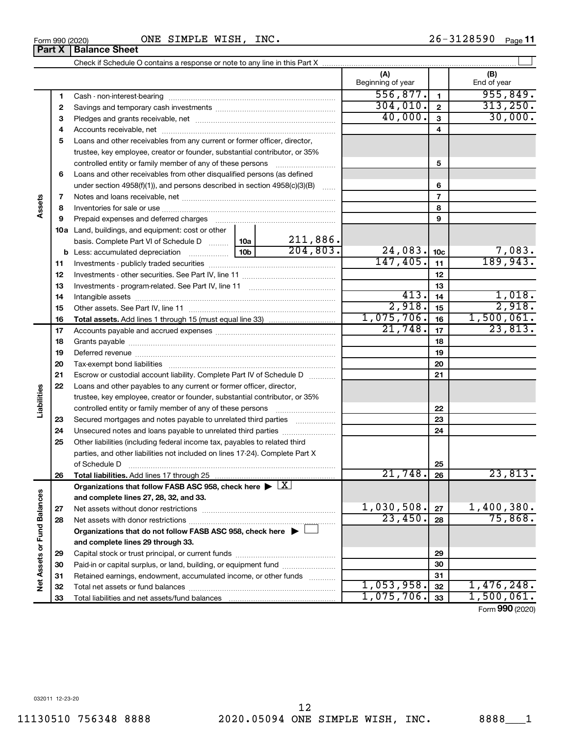**1 2 3**

**Part X** | Balance Sheet

|                   | 3  |                                                                                            |                 |            | 40,000.    | $\mathbf{3}$    | 30,000.         |
|-------------------|----|--------------------------------------------------------------------------------------------|-----------------|------------|------------|-----------------|-----------------|
|                   | 4  |                                                                                            |                 |            |            | 4               |                 |
|                   | 5  | Loans and other receivables from any current or former officer, director,                  |                 |            |            |                 |                 |
|                   |    | trustee, key employee, creator or founder, substantial contributor, or 35%                 |                 |            |            |                 |                 |
|                   |    | controlled entity or family member of any of these persons                                 |                 |            |            | 5               |                 |
|                   | 6  | Loans and other receivables from other disqualified persons (as defined                    |                 |            |            |                 |                 |
|                   |    | under section $4958(f)(1)$ , and persons described in section $4958(c)(3)(B)$              |                 |            |            | 6               |                 |
| Assets            | 7  |                                                                                            |                 |            |            | $\overline{7}$  |                 |
|                   | 8  |                                                                                            |                 |            |            | 8               |                 |
|                   | 9  | Prepaid expenses and deferred charges                                                      |                 |            |            | 9               |                 |
|                   |    | 10a Land, buildings, and equipment: cost or other                                          |                 |            |            |                 |                 |
|                   |    | basis. Complete Part VI of Schedule D                                                      | 10a             | 211,886.   |            |                 |                 |
|                   |    | <b>b</b> Less: accumulated depreciation                                                    | 10 <sub>b</sub> | 204,803.   | 24,083.    | 10 <sub>c</sub> | 7,083.          |
|                   | 11 |                                                                                            |                 |            | 147,405.   | 11              | 189,943.        |
|                   | 12 |                                                                                            |                 |            |            | 12              |                 |
|                   | 13 |                                                                                            |                 |            |            | 13              |                 |
|                   | 14 |                                                                                            |                 |            | 413.       | 14              | 1,018.          |
|                   | 15 |                                                                                            |                 |            | 2,918.     | 15              | 2,918.          |
|                   | 16 |                                                                                            |                 |            | 1,075,706. | 16              | 1,500,061.      |
|                   | 17 |                                                                                            |                 | 21,748.    | 17         | 23,813.         |                 |
|                   | 18 |                                                                                            |                 |            |            | 18              |                 |
|                   | 19 |                                                                                            |                 |            |            | 19              |                 |
|                   | 20 |                                                                                            |                 |            |            | 20              |                 |
|                   | 21 | Escrow or custodial account liability. Complete Part IV of Schedule D                      |                 |            | 21         |                 |                 |
|                   | 22 | Loans and other payables to any current or former officer, director,                       |                 |            |            |                 |                 |
| Liabilities       |    | trustee, key employee, creator or founder, substantial contributor, or 35%                 |                 |            |            |                 |                 |
|                   |    |                                                                                            |                 |            |            | 22              |                 |
|                   | 23 | Secured mortgages and notes payable to unrelated third parties                             |                 |            |            | 23              |                 |
|                   | 24 | Unsecured notes and loans payable to unrelated third parties                               |                 |            |            | 24              |                 |
|                   | 25 | Other liabilities (including federal income tax, payables to related third                 |                 |            |            |                 |                 |
|                   |    | parties, and other liabilities not included on lines 17-24). Complete Part X               |                 |            |            |                 |                 |
|                   |    | of Schedule D                                                                              |                 |            | 25         |                 |                 |
|                   | 26 |                                                                                            |                 | 21,748.    | 26         | 23,813.         |                 |
|                   |    | Organizations that follow FASB ASC 958, check here $\blacktriangleright \lfloor X \rfloor$ |                 |            |            |                 |                 |
| d Balances        |    | and complete lines 27, 28, 32, and 33.                                                     |                 |            |            |                 |                 |
|                   | 27 |                                                                                            |                 |            | 1,030,508. | 27              | 1,400,380.      |
|                   | 28 |                                                                                            |                 |            | 23,450.    | 28              | 75,868.         |
|                   |    | Organizations that do not follow FASB ASC 958, check here ▶ □                              |                 |            |            |                 |                 |
|                   |    | and complete lines 29 through 33.                                                          |                 |            |            |                 |                 |
|                   | 29 |                                                                                            |                 |            |            | 29              |                 |
|                   | 30 | Paid-in or capital surplus, or land, building, or equipment fund                           |                 |            | 30         |                 |                 |
| Net Assets or Fur | 31 | Retained earnings, endowment, accumulated income, or other funds                           |                 |            | 31         |                 |                 |
|                   | 32 |                                                                                            | 1,053,958.      | 32         | 1,476,248. |                 |                 |
|                   | 33 |                                                                                            |                 | 1,075,706. | 33         | 1,500,061.      |                 |
|                   |    |                                                                                            |                 |            |            |                 | Form 990 (2020) |

Cash - non-interest-bearing ~~~~~~~~~~~~~~~~~~~~~~~~~ Savings and temporary cash investments ~~~~~~~~~~~~~~~~~~

Check if Schedule O contains a response or note to any line in this Part X

 $\perp$ 

**(A) (B)**

Beginning of year | End of year

**1 2**

 $\overline{556, 877.}$  1 955,849.  $304,010$ .  $2$  313,250.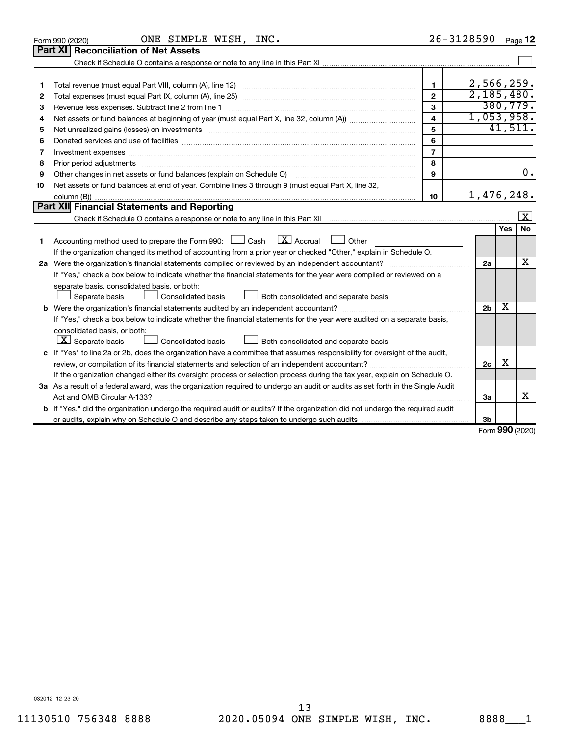| Part XI   Reconciliation of Net Assets<br>2,566,259.<br>$\mathbf{1}$<br>1                                                                                                                                                                | 2,185,480.<br>380, 779.<br>1,053,958. |
|------------------------------------------------------------------------------------------------------------------------------------------------------------------------------------------------------------------------------------------|---------------------------------------|
|                                                                                                                                                                                                                                          |                                       |
|                                                                                                                                                                                                                                          |                                       |
|                                                                                                                                                                                                                                          |                                       |
|                                                                                                                                                                                                                                          |                                       |
| $\mathbf{2}$<br>2                                                                                                                                                                                                                        |                                       |
| 3<br>З                                                                                                                                                                                                                                   |                                       |
| $\overline{\mathbf{4}}$<br>4                                                                                                                                                                                                             |                                       |
| 5<br>5<br>Net unrealized gains (losses) on investments [11] matter than the control of the control of the control of the control of the control of the control of the control of the control of the control of the control of the contro | 41,511.                               |
| 6<br>Donated services and use of facilities [[111] matter contracts and use of facilities [[11] matter contracts and use of facilities [[11] matter contracts and use of facilities [[11] matter contracts and a service contract o<br>6 |                                       |
| $\overline{7}$<br>7<br>Investment expenses www.communication.com/www.communication.com/www.communication.com/www.com                                                                                                                     |                                       |
| 8<br>8                                                                                                                                                                                                                                   |                                       |
| $\mathbf{Q}$<br>Other changes in net assets or fund balances (explain on Schedule O)<br>9                                                                                                                                                | $\overline{0}$ .                      |
| Net assets or fund balances at end of year. Combine lines 3 through 9 (must equal Part X, line 32,<br>10                                                                                                                                 |                                       |
| 1,476,248.<br>10                                                                                                                                                                                                                         |                                       |
| Part XII Financial Statements and Reporting                                                                                                                                                                                              |                                       |
|                                                                                                                                                                                                                                          | $\vert$ X                             |
|                                                                                                                                                                                                                                          | <b>No</b><br>Yes                      |
| $\lfloor x \rfloor$ Accrual<br>Accounting method used to prepare the Form 990: [130] Cash<br>$\Box$ Other<br>1.                                                                                                                          |                                       |
| If the organization changed its method of accounting from a prior year or checked "Other," explain in Schedule O.                                                                                                                        |                                       |
| 2a                                                                                                                                                                                                                                       | x                                     |
| If "Yes," check a box below to indicate whether the financial statements for the year were compiled or reviewed on a                                                                                                                     |                                       |
| separate basis, consolidated basis, or both:                                                                                                                                                                                             |                                       |
| Separate basis<br>Consolidated basis<br>Both consolidated and separate basis                                                                                                                                                             |                                       |
| 2 <sub>b</sub>                                                                                                                                                                                                                           | x                                     |
| If "Yes," check a box below to indicate whether the financial statements for the year were audited on a separate basis,                                                                                                                  |                                       |
| consolidated basis, or both:                                                                                                                                                                                                             |                                       |
| $ \mathbf{X} $ Separate basis<br>Consolidated basis<br>Both consolidated and separate basis                                                                                                                                              |                                       |
| c If "Yes" to line 2a or 2b, does the organization have a committee that assumes responsibility for oversight of the audit,                                                                                                              |                                       |
| 2c                                                                                                                                                                                                                                       | X                                     |
| If the organization changed either its oversight process or selection process during the tax year, explain on Schedule O.                                                                                                                |                                       |
| 3a As a result of a federal award, was the organization required to undergo an audit or audits as set forth in the Single Audit                                                                                                          |                                       |
| 3a                                                                                                                                                                                                                                       | x                                     |
| <b>b</b> If "Yes," did the organization undergo the required audit or audits? If the organization did not undergo the required audit                                                                                                     |                                       |
| 3 <sub>b</sub>                                                                                                                                                                                                                           | $\sim$                                |

Form (2020) **990**

032012 12-23-20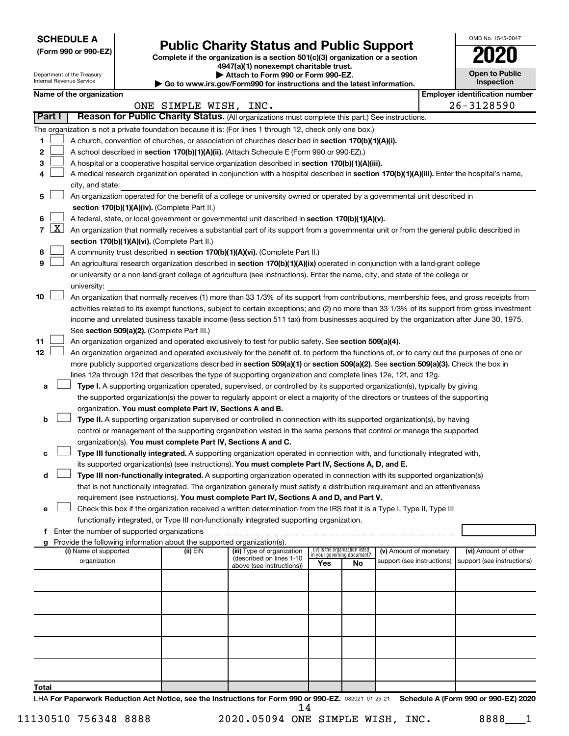**SCHEDULE A**

Department of the Treasury

# Form 990 or 990-EZ) **Public Charity Status and Public Support**<br>
Complete if the organization is a section 501(c)(3) organization or a section<br> **2020**

**4947(a)(1) nonexempt charitable trust. | Attach to Form 990 or Form 990-EZ.** 

| <b>Open to Public</b><br>Inspection |
|-------------------------------------|
| entification num                    |

OMB No. 1545-0047

|                |                     | Internal Revenue Service                                                                                                                                                                                                                      |  |                                                                        | $\triangleright$ Go to www.irs.gov/Form990 for instructions and the latest information.                                                      |     |                                                                |                            |  | Inspection                            |
|----------------|---------------------|-----------------------------------------------------------------------------------------------------------------------------------------------------------------------------------------------------------------------------------------------|--|------------------------------------------------------------------------|----------------------------------------------------------------------------------------------------------------------------------------------|-----|----------------------------------------------------------------|----------------------------|--|---------------------------------------|
|                |                     | Name of the organization                                                                                                                                                                                                                      |  |                                                                        |                                                                                                                                              |     |                                                                |                            |  | <b>Employer identification number</b> |
|                |                     |                                                                                                                                                                                                                                               |  | ONE SIMPLE WISH, INC.                                                  |                                                                                                                                              |     |                                                                |                            |  | 26-3128590                            |
|                | Part I              |                                                                                                                                                                                                                                               |  |                                                                        | Reason for Public Charity Status. (All organizations must complete this part.) See instructions.                                             |     |                                                                |                            |  |                                       |
|                |                     |                                                                                                                                                                                                                                               |  |                                                                        | The organization is not a private foundation because it is: (For lines 1 through 12, check only one box.)                                    |     |                                                                |                            |  |                                       |
| 1.             |                     |                                                                                                                                                                                                                                               |  |                                                                        | A church, convention of churches, or association of churches described in section 170(b)(1)(A)(i).                                           |     |                                                                |                            |  |                                       |
| 2              |                     |                                                                                                                                                                                                                                               |  |                                                                        | A school described in section 170(b)(1)(A)(ii). (Attach Schedule E (Form 990 or 990-EZ).)                                                    |     |                                                                |                            |  |                                       |
| з              |                     |                                                                                                                                                                                                                                               |  |                                                                        | A hospital or a cooperative hospital service organization described in section 170(b)(1)(A)(iii).                                            |     |                                                                |                            |  |                                       |
| 4              |                     | city, and state:                                                                                                                                                                                                                              |  |                                                                        | A medical research organization operated in conjunction with a hospital described in section 170(b)(1)(A)(iii). Enter the hospital's name,   |     |                                                                |                            |  |                                       |
| 5              |                     |                                                                                                                                                                                                                                               |  |                                                                        | An organization operated for the benefit of a college or university owned or operated by a governmental unit described in                    |     |                                                                |                            |  |                                       |
|                |                     |                                                                                                                                                                                                                                               |  | section 170(b)(1)(A)(iv). (Complete Part II.)                          |                                                                                                                                              |     |                                                                |                            |  |                                       |
| 6              |                     |                                                                                                                                                                                                                                               |  |                                                                        |                                                                                                                                              |     |                                                                |                            |  |                                       |
| $\overline{7}$ | $\lfloor x \rfloor$ | A federal, state, or local government or governmental unit described in section 170(b)(1)(A)(v).<br>An organization that normally receives a substantial part of its support from a governmental unit or from the general public described in |  |                                                                        |                                                                                                                                              |     |                                                                |                            |  |                                       |
|                |                     |                                                                                                                                                                                                                                               |  | section 170(b)(1)(A)(vi). (Complete Part II.)                          |                                                                                                                                              |     |                                                                |                            |  |                                       |
| 8              |                     |                                                                                                                                                                                                                                               |  |                                                                        | A community trust described in section 170(b)(1)(A)(vi). (Complete Part II.)                                                                 |     |                                                                |                            |  |                                       |
| 9              |                     |                                                                                                                                                                                                                                               |  |                                                                        | An agricultural research organization described in section 170(b)(1)(A)(ix) operated in conjunction with a land-grant college                |     |                                                                |                            |  |                                       |
|                |                     |                                                                                                                                                                                                                                               |  |                                                                        | or university or a non-land-grant college of agriculture (see instructions). Enter the name, city, and state of the college or               |     |                                                                |                            |  |                                       |
|                |                     | university:                                                                                                                                                                                                                                   |  |                                                                        |                                                                                                                                              |     |                                                                |                            |  |                                       |
| 10             |                     |                                                                                                                                                                                                                                               |  |                                                                        | An organization that normally receives (1) more than 33 1/3% of its support from contributions, membership fees, and gross receipts from     |     |                                                                |                            |  |                                       |
|                |                     |                                                                                                                                                                                                                                               |  |                                                                        | activities related to its exempt functions, subject to certain exceptions; and (2) no more than 33 1/3% of its support from gross investment |     |                                                                |                            |  |                                       |
|                |                     |                                                                                                                                                                                                                                               |  |                                                                        | income and unrelated business taxable income (less section 511 tax) from businesses acquired by the organization after June 30, 1975.        |     |                                                                |                            |  |                                       |
|                |                     |                                                                                                                                                                                                                                               |  | See section 509(a)(2). (Complete Part III.)                            |                                                                                                                                              |     |                                                                |                            |  |                                       |
| 11             |                     |                                                                                                                                                                                                                                               |  |                                                                        | An organization organized and operated exclusively to test for public safety. See section 509(a)(4).                                         |     |                                                                |                            |  |                                       |
| 12             |                     |                                                                                                                                                                                                                                               |  |                                                                        | An organization organized and operated exclusively for the benefit of, to perform the functions of, or to carry out the purposes of one or   |     |                                                                |                            |  |                                       |
|                |                     |                                                                                                                                                                                                                                               |  |                                                                        | more publicly supported organizations described in section 509(a)(1) or section 509(a)(2). See section 509(a)(3). Check the box in           |     |                                                                |                            |  |                                       |
|                |                     |                                                                                                                                                                                                                                               |  |                                                                        | lines 12a through 12d that describes the type of supporting organization and complete lines 12e, 12f, and 12g.                               |     |                                                                |                            |  |                                       |
| а              |                     |                                                                                                                                                                                                                                               |  |                                                                        | Type I. A supporting organization operated, supervised, or controlled by its supported organization(s), typically by giving                  |     |                                                                |                            |  |                                       |
|                |                     |                                                                                                                                                                                                                                               |  |                                                                        | the supported organization(s) the power to regularly appoint or elect a majority of the directors or trustees of the supporting              |     |                                                                |                            |  |                                       |
|                |                     |                                                                                                                                                                                                                                               |  | organization. You must complete Part IV, Sections A and B.             |                                                                                                                                              |     |                                                                |                            |  |                                       |
| b              |                     |                                                                                                                                                                                                                                               |  |                                                                        | Type II. A supporting organization supervised or controlled in connection with its supported organization(s), by having                      |     |                                                                |                            |  |                                       |
|                |                     |                                                                                                                                                                                                                                               |  |                                                                        | control or management of the supporting organization vested in the same persons that control or manage the supported                         |     |                                                                |                            |  |                                       |
|                |                     |                                                                                                                                                                                                                                               |  |                                                                        | organization(s). You must complete Part IV, Sections A and C.                                                                                |     |                                                                |                            |  |                                       |
| с              |                     |                                                                                                                                                                                                                                               |  |                                                                        | Type III functionally integrated. A supporting organization operated in connection with, and functionally integrated with,                   |     |                                                                |                            |  |                                       |
|                |                     |                                                                                                                                                                                                                                               |  |                                                                        | its supported organization(s) (see instructions). You must complete Part IV, Sections A, D, and E.                                           |     |                                                                |                            |  |                                       |
| d              |                     |                                                                                                                                                                                                                                               |  |                                                                        | Type III non-functionally integrated. A supporting organization operated in connection with its supported organization(s)                    |     |                                                                |                            |  |                                       |
|                |                     |                                                                                                                                                                                                                                               |  |                                                                        | that is not functionally integrated. The organization generally must satisfy a distribution requirement and an attentiveness                 |     |                                                                |                            |  |                                       |
|                |                     |                                                                                                                                                                                                                                               |  |                                                                        | requirement (see instructions). You must complete Part IV, Sections A and D, and Part V.                                                     |     |                                                                |                            |  |                                       |
| е              |                     |                                                                                                                                                                                                                                               |  |                                                                        | Check this box if the organization received a written determination from the IRS that it is a Type I, Type II, Type III                      |     |                                                                |                            |  |                                       |
|                |                     |                                                                                                                                                                                                                                               |  |                                                                        | functionally integrated, or Type III non-functionally integrated supporting organization.                                                    |     |                                                                |                            |  |                                       |
|                |                     | f Enter the number of supported organizations                                                                                                                                                                                                 |  |                                                                        |                                                                                                                                              |     |                                                                |                            |  |                                       |
|                |                     |                                                                                                                                                                                                                                               |  | Provide the following information about the supported organization(s). |                                                                                                                                              |     |                                                                |                            |  |                                       |
|                |                     | (i) Name of supported                                                                                                                                                                                                                         |  | (ii) EIN                                                               | (iii) Type of organization                                                                                                                   |     | (iv) Is the organization listed<br>in your governing document? | (v) Amount of monetary     |  | (vi) Amount of other                  |
|                |                     | organization                                                                                                                                                                                                                                  |  |                                                                        | (described on lines 1-10<br>above (see instructions))                                                                                        | Yes | No                                                             | support (see instructions) |  | support (see instructions)            |
|                |                     |                                                                                                                                                                                                                                               |  |                                                                        |                                                                                                                                              |     |                                                                |                            |  |                                       |
|                |                     |                                                                                                                                                                                                                                               |  |                                                                        |                                                                                                                                              |     |                                                                |                            |  |                                       |
|                |                     |                                                                                                                                                                                                                                               |  |                                                                        |                                                                                                                                              |     |                                                                |                            |  |                                       |
|                |                     |                                                                                                                                                                                                                                               |  |                                                                        |                                                                                                                                              |     |                                                                |                            |  |                                       |
|                |                     |                                                                                                                                                                                                                                               |  |                                                                        |                                                                                                                                              |     |                                                                |                            |  |                                       |
|                |                     |                                                                                                                                                                                                                                               |  |                                                                        |                                                                                                                                              |     |                                                                |                            |  |                                       |
|                |                     |                                                                                                                                                                                                                                               |  |                                                                        |                                                                                                                                              |     |                                                                |                            |  |                                       |
| Total          |                     |                                                                                                                                                                                                                                               |  |                                                                        |                                                                                                                                              |     |                                                                |                            |  |                                       |

LHA For Paperwork Reduction Act Notice, see the Instructions for Form 990 or 990-EZ. 032021 01-25-21 Schedule A (Form 990 or 990-EZ) 2020 14

11130510 756348 8888 2020.05094 ONE SIMPLE WISH, INC. 8888 1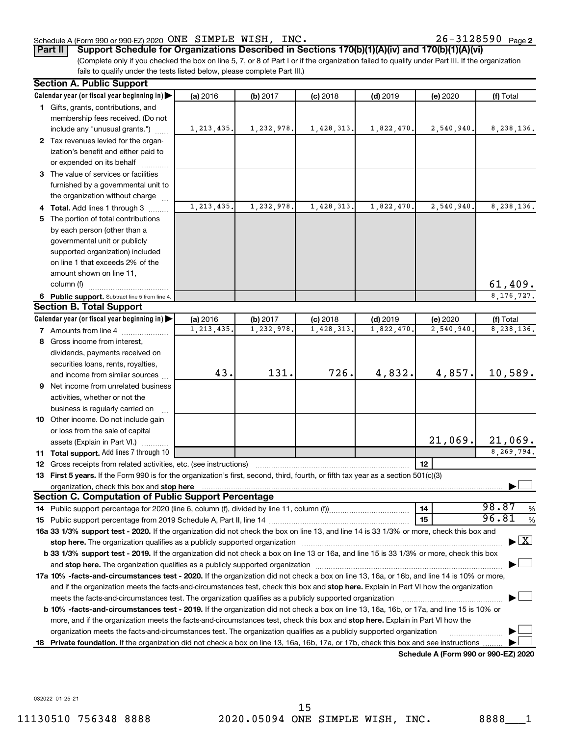### Schedule A (Form 990 or 990-EZ) 2020 Page ONE SIMPLE WISH, INC. 26-3128590

**Part II Support Schedule for Organizations Described in Sections 170(b)(1)(A)(iv) and 170(b)(1)(A)(vi)**

(Complete only if you checked the box on line 5, 7, or 8 of Part I or if the organization failed to qualify under Part III. If the organization fails to qualify under the tests listed below, please complete Part III.)

|    | <b>Section A. Public Support</b>                                                                                                                                                                                               |              |           |            |            |                                      |                                    |
|----|--------------------------------------------------------------------------------------------------------------------------------------------------------------------------------------------------------------------------------|--------------|-----------|------------|------------|--------------------------------------|------------------------------------|
|    | Calendar year (or fiscal year beginning in)                                                                                                                                                                                    | (a) 2016     | (b) 2017  | $(c)$ 2018 | $(d)$ 2019 | (e) 2020                             | (f) Total                          |
|    | 1 Gifts, grants, contributions, and                                                                                                                                                                                            |              |           |            |            |                                      |                                    |
|    | membership fees received. (Do not                                                                                                                                                                                              |              |           |            |            |                                      |                                    |
|    | include any "unusual grants.")                                                                                                                                                                                                 | 1, 213, 435. | 1,232,978 | 1,428,313. | 1,822,470. | 2,540,940.                           | 8,238,136.                         |
|    | 2 Tax revenues levied for the organ-                                                                                                                                                                                           |              |           |            |            |                                      |                                    |
|    | ization's benefit and either paid to                                                                                                                                                                                           |              |           |            |            |                                      |                                    |
|    | or expended on its behalf                                                                                                                                                                                                      |              |           |            |            |                                      |                                    |
|    | 3 The value of services or facilities                                                                                                                                                                                          |              |           |            |            |                                      |                                    |
|    | furnished by a governmental unit to                                                                                                                                                                                            |              |           |            |            |                                      |                                    |
|    | the organization without charge                                                                                                                                                                                                |              |           |            |            |                                      |                                    |
|    | 4 Total. Add lines 1 through 3                                                                                                                                                                                                 | 1,213,435.   | 1,232,978 | 1,428,313. | 1,822,470  | 2,540,940.                           | 8,238,136.                         |
|    | 5 The portion of total contributions                                                                                                                                                                                           |              |           |            |            |                                      |                                    |
|    | by each person (other than a                                                                                                                                                                                                   |              |           |            |            |                                      |                                    |
|    | governmental unit or publicly                                                                                                                                                                                                  |              |           |            |            |                                      |                                    |
|    | supported organization) included                                                                                                                                                                                               |              |           |            |            |                                      |                                    |
|    | on line 1 that exceeds 2% of the                                                                                                                                                                                               |              |           |            |            |                                      |                                    |
|    | amount shown on line 11,                                                                                                                                                                                                       |              |           |            |            |                                      |                                    |
|    | column (f)                                                                                                                                                                                                                     |              |           |            |            |                                      | 61,409.                            |
|    |                                                                                                                                                                                                                                |              |           |            |            |                                      | 8, 176, 727.                       |
|    | 6 Public support. Subtract line 5 from line 4.<br><b>Section B. Total Support</b>                                                                                                                                              |              |           |            |            |                                      |                                    |
|    | Calendar year (or fiscal year beginning in)                                                                                                                                                                                    | (a) 2016     | (b) 2017  | $(c)$ 2018 | $(d)$ 2019 | (e) 2020                             | (f) Total                          |
|    | 7 Amounts from line 4                                                                                                                                                                                                          | 1, 213, 435. | 1,232,978 | 1,428,313  | 1,822,470  | 2,540,940.                           | 8,238,136.                         |
|    | 8 Gross income from interest,                                                                                                                                                                                                  |              |           |            |            |                                      |                                    |
|    |                                                                                                                                                                                                                                |              |           |            |            |                                      |                                    |
|    | dividends, payments received on                                                                                                                                                                                                |              |           |            |            |                                      |                                    |
|    | securities loans, rents, royalties,                                                                                                                                                                                            | 43.          | 131.      | 726.       | 4,832.     | 4,857.                               | 10,589.                            |
|    | and income from similar sources                                                                                                                                                                                                |              |           |            |            |                                      |                                    |
|    | 9 Net income from unrelated business                                                                                                                                                                                           |              |           |            |            |                                      |                                    |
|    | activities, whether or not the                                                                                                                                                                                                 |              |           |            |            |                                      |                                    |
|    | business is regularly carried on                                                                                                                                                                                               |              |           |            |            |                                      |                                    |
|    | 10 Other income. Do not include gain                                                                                                                                                                                           |              |           |            |            |                                      |                                    |
|    | or loss from the sale of capital                                                                                                                                                                                               |              |           |            |            |                                      |                                    |
|    | assets (Explain in Part VI.)                                                                                                                                                                                                   |              |           |            |            | 21,069.                              | 21,069.                            |
|    | 11 Total support. Add lines 7 through 10                                                                                                                                                                                       |              |           |            |            |                                      | 8,269,794.                         |
|    | <b>12</b> Gross receipts from related activities, etc. (see instructions)                                                                                                                                                      |              |           |            |            | 12                                   |                                    |
|    | 13 First 5 years. If the Form 990 is for the organization's first, second, third, fourth, or fifth tax year as a section 501(c)(3)                                                                                             |              |           |            |            |                                      |                                    |
|    |                                                                                                                                                                                                                                |              |           |            |            |                                      |                                    |
|    | <b>Section C. Computation of Public Support Percentage</b>                                                                                                                                                                     |              |           |            |            |                                      |                                    |
|    |                                                                                                                                                                                                                                |              |           |            |            | 14                                   | 98.87<br>%                         |
|    |                                                                                                                                                                                                                                |              |           |            |            | 15                                   | 96.81<br>%                         |
|    | 16a 33 1/3% support test - 2020. If the organization did not check the box on line 13, and line 14 is 33 1/3% or more, check this box and                                                                                      |              |           |            |            |                                      |                                    |
|    | stop here. The organization qualifies as a publicly supported organization                                                                                                                                                     |              |           |            |            |                                      | $\blacktriangleright$ $\mathbf{X}$ |
|    | b 33 1/3% support test - 2019. If the organization did not check a box on line 13 or 16a, and line 15 is 33 1/3% or more, check this box                                                                                       |              |           |            |            |                                      |                                    |
|    | and stop here. The organization qualifies as a publicly supported organization [11,111] and stop here. The organization [11] and stop here. The organization [11] and stop here. The organization [11] and stop here is a publ |              |           |            |            |                                      |                                    |
|    | 17a 10% -facts-and-circumstances test - 2020. If the organization did not check a box on line 13, 16a, or 16b, and line 14 is 10% or more,                                                                                     |              |           |            |            |                                      |                                    |
|    | and if the organization meets the facts-and-circumstances test, check this box and stop here. Explain in Part VI how the organization                                                                                          |              |           |            |            |                                      |                                    |
|    | meets the facts-and-circumstances test. The organization qualifies as a publicly supported organization                                                                                                                        |              |           |            |            |                                      |                                    |
|    | b 10% -facts-and-circumstances test - 2019. If the organization did not check a box on line 13, 16a, 16b, or 17a, and line 15 is 10% or                                                                                        |              |           |            |            |                                      |                                    |
|    | more, and if the organization meets the facts-and-circumstances test, check this box and stop here. Explain in Part VI how the                                                                                                 |              |           |            |            |                                      |                                    |
|    | organization meets the facts-and-circumstances test. The organization qualifies as a publicly supported organization                                                                                                           |              |           |            |            |                                      |                                    |
| 18 | Private foundation. If the organization did not check a box on line 13, 16a, 16b, 17a, or 17b, check this box and see instructions                                                                                             |              |           |            |            |                                      |                                    |
|    |                                                                                                                                                                                                                                |              |           |            |            | Schedule A (Form 990 or 990-F7) 2020 |                                    |

**Schedule A (Form 990 or 990-EZ) 2020**

032022 01-25-21

11130510 756348 8888 2020.05094 ONE SIMPLE WISH, INC. 8888\_\_\_1 15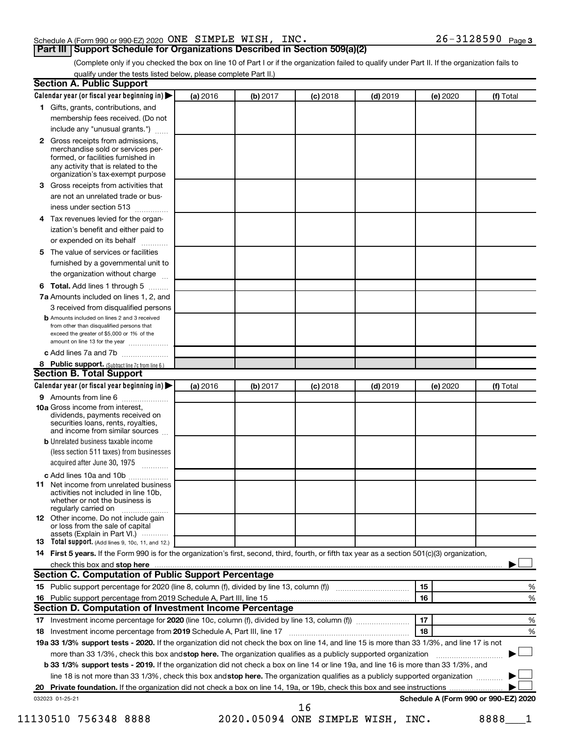### Schedule A (Form 990 or 990-EZ) 2020 Page ONE SIMPLE WISH, INC. 26-3128590

(Complete only if you checked the box on line 10 of Part I or if the organization failed to qualify under Part II. If the organization fails to qualify under the tests listed below, please complete Part II.)

|    | Calendar year (or fiscal year beginning in)                                                                                                                                                                                   | (a) 2016 | (b) 2017 | $(c)$ 2018                       | $(d)$ 2019 | (e) 2020 | (f) Total                            |
|----|-------------------------------------------------------------------------------------------------------------------------------------------------------------------------------------------------------------------------------|----------|----------|----------------------------------|------------|----------|--------------------------------------|
|    | 1 Gifts, grants, contributions, and                                                                                                                                                                                           |          |          |                                  |            |          |                                      |
|    | membership fees received. (Do not                                                                                                                                                                                             |          |          |                                  |            |          |                                      |
|    | include any "unusual grants.")                                                                                                                                                                                                |          |          |                                  |            |          |                                      |
|    | 2 Gross receipts from admissions,                                                                                                                                                                                             |          |          |                                  |            |          |                                      |
|    | merchandise sold or services per-                                                                                                                                                                                             |          |          |                                  |            |          |                                      |
|    | formed, or facilities furnished in                                                                                                                                                                                            |          |          |                                  |            |          |                                      |
|    | any activity that is related to the<br>organization's tax-exempt purpose                                                                                                                                                      |          |          |                                  |            |          |                                      |
| з  | Gross receipts from activities that                                                                                                                                                                                           |          |          |                                  |            |          |                                      |
|    | are not an unrelated trade or bus-                                                                                                                                                                                            |          |          |                                  |            |          |                                      |
|    | iness under section 513                                                                                                                                                                                                       |          |          |                                  |            |          |                                      |
| 4  | Tax revenues levied for the organ-                                                                                                                                                                                            |          |          |                                  |            |          |                                      |
|    | ization's benefit and either paid to                                                                                                                                                                                          |          |          |                                  |            |          |                                      |
|    | or expended on its behalf<br>.                                                                                                                                                                                                |          |          |                                  |            |          |                                      |
| 5  | The value of services or facilities                                                                                                                                                                                           |          |          |                                  |            |          |                                      |
|    | furnished by a governmental unit to                                                                                                                                                                                           |          |          |                                  |            |          |                                      |
|    | the organization without charge                                                                                                                                                                                               |          |          |                                  |            |          |                                      |
| 6  | Total. Add lines 1 through 5                                                                                                                                                                                                  |          |          |                                  |            |          |                                      |
|    | 7a Amounts included on lines 1, 2, and                                                                                                                                                                                        |          |          |                                  |            |          |                                      |
|    | 3 received from disqualified persons                                                                                                                                                                                          |          |          |                                  |            |          |                                      |
|    | <b>b</b> Amounts included on lines 2 and 3 received                                                                                                                                                                           |          |          |                                  |            |          |                                      |
|    | from other than disqualified persons that<br>exceed the greater of \$5,000 or 1% of the                                                                                                                                       |          |          |                                  |            |          |                                      |
|    | amount on line 13 for the year                                                                                                                                                                                                |          |          |                                  |            |          |                                      |
|    | c Add lines 7a and 7b                                                                                                                                                                                                         |          |          |                                  |            |          |                                      |
|    | 8 Public support. (Subtract line 7c from line 6.)                                                                                                                                                                             |          |          |                                  |            |          |                                      |
|    | <b>Section B. Total Support</b>                                                                                                                                                                                               |          |          |                                  |            |          |                                      |
|    | Calendar year (or fiscal year beginning in)                                                                                                                                                                                   | (a) 2016 | (b) 2017 | $(c)$ 2018                       | $(d)$ 2019 | (e) 2020 | (f) Total                            |
|    | 9 Amounts from line 6                                                                                                                                                                                                         |          |          |                                  |            |          |                                      |
|    | <b>10a</b> Gross income from interest,<br>dividends, payments received on<br>securities loans, rents, royalties,<br>and income from similar sources                                                                           |          |          |                                  |            |          |                                      |
|    | <b>b</b> Unrelated business taxable income                                                                                                                                                                                    |          |          |                                  |            |          |                                      |
|    | (less section 511 taxes) from businesses                                                                                                                                                                                      |          |          |                                  |            |          |                                      |
|    | acquired after June 30, 1975                                                                                                                                                                                                  |          |          |                                  |            |          |                                      |
|    | c Add lines 10a and 10b                                                                                                                                                                                                       |          |          |                                  |            |          |                                      |
|    | <b>11</b> Net income from unrelated business<br>activities not included in line 10b.<br>whether or not the business is<br>regularly carried on                                                                                |          |          |                                  |            |          |                                      |
|    | 12 Other income. Do not include gain                                                                                                                                                                                          |          |          |                                  |            |          |                                      |
|    | or loss from the sale of capital                                                                                                                                                                                              |          |          |                                  |            |          |                                      |
|    | assets (Explain in Part VI.)<br>13 Total support. (Add lines 9, 10c, 11, and 12.)                                                                                                                                             |          |          |                                  |            |          |                                      |
|    | 14 First 5 years. If the Form 990 is for the organization's first, second, third, fourth, or fifth tax year as a section 501(c)(3) organization,                                                                              |          |          |                                  |            |          |                                      |
|    | check this box and stop here measurements and the contract of the state of the state of the state of the state of the state of the state of the state of the state of the state of the state of the state of the state of the |          |          |                                  |            |          |                                      |
|    | <b>Section C. Computation of Public Support Percentage</b>                                                                                                                                                                    |          |          |                                  |            |          |                                      |
|    |                                                                                                                                                                                                                               |          |          |                                  |            | 15       | %                                    |
|    |                                                                                                                                                                                                                               |          |          |                                  |            | 16       | %                                    |
|    | Section D. Computation of Investment Income Percentage                                                                                                                                                                        |          |          |                                  |            |          |                                      |
|    |                                                                                                                                                                                                                               |          |          |                                  |            | 17       | %                                    |
| 18 |                                                                                                                                                                                                                               |          |          |                                  |            | 18       | %                                    |
|    | 19a 33 1/3% support tests - 2020. If the organization did not check the box on line 14, and line 15 is more than 33 1/3%, and line 17 is not                                                                                  |          |          |                                  |            |          |                                      |
|    | more than 33 1/3%, check this box and stop here. The organization qualifies as a publicly supported organization                                                                                                              |          |          |                                  |            |          |                                      |
|    | <b>b 33 1/3% support tests - 2019.</b> If the organization did not check a box on line 14 or line 19a, and line 16 is more than 33 1/3%, and                                                                                  |          |          |                                  |            |          |                                      |
|    | line 18 is not more than 33 1/3%, check this box and stop here. The organization qualifies as a publicly supported organization                                                                                               |          |          |                                  |            |          |                                      |
|    |                                                                                                                                                                                                                               |          |          |                                  |            |          |                                      |
|    | 032023 01-25-21                                                                                                                                                                                                               |          |          |                                  |            |          | Schedule A (Form 990 or 990-EZ) 2020 |
|    |                                                                                                                                                                                                                               |          |          | 16                               |            |          |                                      |
|    | 11130510 756348 8888                                                                                                                                                                                                          |          |          | 2020.05094 ONE SIMPLE WISH, INC. |            |          | 8888                                 |
|    |                                                                                                                                                                                                                               |          |          |                                  |            |          |                                      |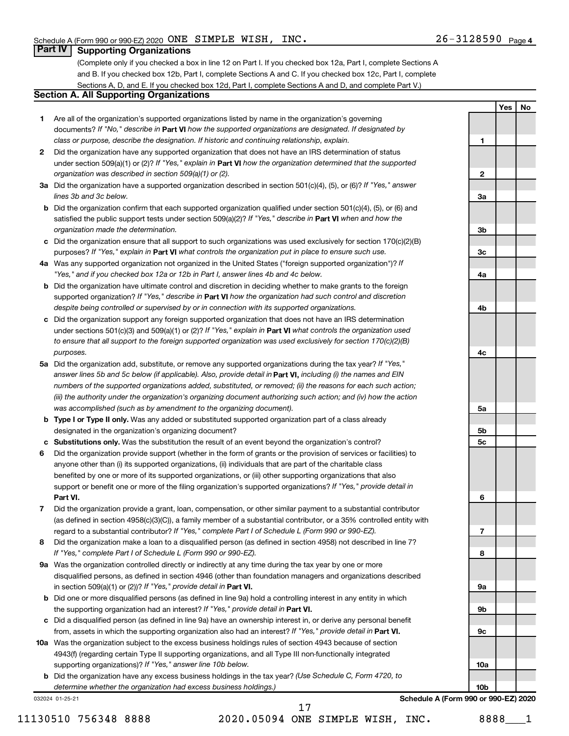**1**

**2**

**3a**

**3b**

**3c**

**4a**

**4b**

**4c**

**5a**

**5b 5c**

**6**

**7**

**8**

**9a**

**9b**

**9c**

**Yes No**

### **Part IV Supporting Organizations**

(Complete only if you checked a box in line 12 on Part I. If you checked box 12a, Part I, complete Sections A and B. If you checked box 12b, Part I, complete Sections A and C. If you checked box 12c, Part I, complete Sections A, D, and E. If you checked box 12d, Part I, complete Sections A and D, and complete Part V.)

### **Section A. All Supporting Organizations**

- **1** Are all of the organization's supported organizations listed by name in the organization's governing documents? If "No," describe in Part VI how the supported organizations are designated. If designated by *class or purpose, describe the designation. If historic and continuing relationship, explain.*
- **2** Did the organization have any supported organization that does not have an IRS determination of status under section 509(a)(1) or (2)? If "Yes," explain in Part **VI** how the organization determined that the supported *organization was described in section 509(a)(1) or (2).*
- **3a** Did the organization have a supported organization described in section 501(c)(4), (5), or (6)? If "Yes," answer *lines 3b and 3c below.*
- **b** Did the organization confirm that each supported organization qualified under section 501(c)(4), (5), or (6) and satisfied the public support tests under section 509(a)(2)? If "Yes," describe in Part VI when and how the *organization made the determination.*
- **c** Did the organization ensure that all support to such organizations was used exclusively for section 170(c)(2)(B) purposes? If "Yes," explain in Part VI what controls the organization put in place to ensure such use.
- **4 a** *If* Was any supported organization not organized in the United States ("foreign supported organization")? *"Yes," and if you checked box 12a or 12b in Part I, answer lines 4b and 4c below.*
- **b** Did the organization have ultimate control and discretion in deciding whether to make grants to the foreign supported organization? If "Yes," describe in Part VI how the organization had such control and discretion *despite being controlled or supervised by or in connection with its supported organizations.*
- **c** Did the organization support any foreign supported organization that does not have an IRS determination under sections 501(c)(3) and 509(a)(1) or (2)? If "Yes," explain in Part VI what controls the organization used *to ensure that all support to the foreign supported organization was used exclusively for section 170(c)(2)(B) purposes.*
- **5a** Did the organization add, substitute, or remove any supported organizations during the tax year? If "Yes," answer lines 5b and 5c below (if applicable). Also, provide detail in **Part VI,** including (i) the names and EIN *numbers of the supported organizations added, substituted, or removed; (ii) the reasons for each such action; (iii) the authority under the organization's organizing document authorizing such action; and (iv) how the action was accomplished (such as by amendment to the organizing document).*
- **b Type I or Type II only.** Was any added or substituted supported organization part of a class already designated in the organization's organizing document?
- **c Substitutions only.**  Was the substitution the result of an event beyond the organization's control?
- **6** Did the organization provide support (whether in the form of grants or the provision of services or facilities) to **Part VI.** support or benefit one or more of the filing organization's supported organizations? If "Yes," provide detail in anyone other than (i) its supported organizations, (ii) individuals that are part of the charitable class benefited by one or more of its supported organizations, or (iii) other supporting organizations that also
- **7** Did the organization provide a grant, loan, compensation, or other similar payment to a substantial contributor regard to a substantial contributor? If "Yes," complete Part I of Schedule L (Form 990 or 990-EZ). (as defined in section 4958(c)(3)(C)), a family member of a substantial contributor, or a 35% controlled entity with
- **8** Did the organization make a loan to a disqualified person (as defined in section 4958) not described in line 7? *If "Yes," complete Part I of Schedule L (Form 990 or 990-EZ).*
- **9 a** Was the organization controlled directly or indirectly at any time during the tax year by one or more in section 509(a)(1) or (2))? If "Yes," provide detail in **Part VI.** disqualified persons, as defined in section 4946 (other than foundation managers and organizations described
- **b** Did one or more disqualified persons (as defined in line 9a) hold a controlling interest in any entity in which the supporting organization had an interest? If "Yes," provide detail in Part VI.
- **c** Did a disqualified person (as defined in line 9a) have an ownership interest in, or derive any personal benefit from, assets in which the supporting organization also had an interest? If "Yes," provide detail in Part VI.
- **10 a** Was the organization subject to the excess business holdings rules of section 4943 because of section supporting organizations)? If "Yes," answer line 10b below. 4943(f) (regarding certain Type II supporting organizations, and all Type III non-functionally integrated
	- **b** Did the organization have any excess business holdings in the tax year? (Use Schedule C, Form 4720, to *determine whether the organization had excess business holdings.)*

032024 01-25-21

11130510 756348 8888 2020.05094 ONE SIMPLE WISH, INC. 8888 1

17

**10a 10b Schedule A (Form 990 or 990-EZ) 2020**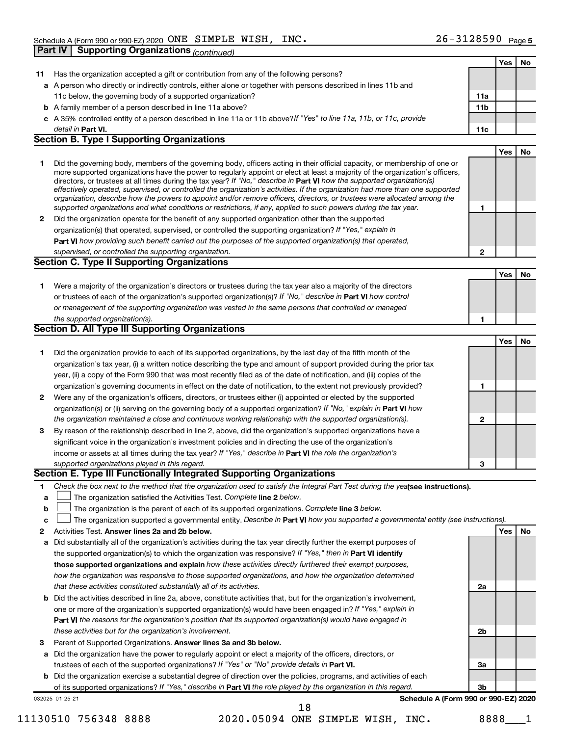|              |                                                                                                                                                                                                                                              |              | Yes        | No |
|--------------|----------------------------------------------------------------------------------------------------------------------------------------------------------------------------------------------------------------------------------------------|--------------|------------|----|
| 11.          | Has the organization accepted a gift or contribution from any of the following persons?                                                                                                                                                      |              |            |    |
|              | a A person who directly or indirectly controls, either alone or together with persons described in lines 11b and                                                                                                                             |              |            |    |
|              | 11c below, the governing body of a supported organization?                                                                                                                                                                                   | 11a          |            |    |
|              | <b>b</b> A family member of a person described in line 11a above?                                                                                                                                                                            | 11b          |            |    |
|              | c A 35% controlled entity of a person described in line 11a or 11b above?If "Yes" to line 11a, 11b, or 11c, provide                                                                                                                          |              |            |    |
|              | detail in Part VI.                                                                                                                                                                                                                           | 11c          |            |    |
|              | <b>Section B. Type I Supporting Organizations</b>                                                                                                                                                                                            |              |            |    |
|              |                                                                                                                                                                                                                                              |              | Yes        | No |
| 1.           | Did the governing body, members of the governing body, officers acting in their official capacity, or membership of one or                                                                                                                   |              |            |    |
|              | more supported organizations have the power to regularly appoint or elect at least a majority of the organization's officers,                                                                                                                |              |            |    |
|              | directors, or trustees at all times during the tax year? If "No," describe in Part VI how the supported organization(s)                                                                                                                      |              |            |    |
|              | effectively operated, supervised, or controlled the organization's activities. If the organization had more than one supported                                                                                                               |              |            |    |
|              | organization, describe how the powers to appoint and/or remove officers, directors, or trustees were allocated among the<br>supported organizations and what conditions or restrictions, if any, applied to such powers during the tax year. | 1            |            |    |
| $\mathbf{2}$ | Did the organization operate for the benefit of any supported organization other than the supported                                                                                                                                          |              |            |    |
|              | organization(s) that operated, supervised, or controlled the supporting organization? If "Yes," explain in                                                                                                                                   |              |            |    |
|              | Part VI how providing such benefit carried out the purposes of the supported organization(s) that operated,                                                                                                                                  |              |            |    |
|              |                                                                                                                                                                                                                                              | $\mathbf{2}$ |            |    |
|              | supervised, or controlled the supporting organization.<br><b>Section C. Type II Supporting Organizations</b>                                                                                                                                 |              |            |    |
|              |                                                                                                                                                                                                                                              |              | <b>Yes</b> | No |
|              | Were a majority of the organization's directors or trustees during the tax year also a majority of the directors                                                                                                                             |              |            |    |
| 1.           | or trustees of each of the organization's supported organization(s)? If "No," describe in Part VI how control                                                                                                                                |              |            |    |
|              | or management of the supporting organization was vested in the same persons that controlled or managed                                                                                                                                       |              |            |    |
|              | the supported organization(s).                                                                                                                                                                                                               | 1            |            |    |
|              | <b>Section D. All Type III Supporting Organizations</b>                                                                                                                                                                                      |              |            |    |
|              |                                                                                                                                                                                                                                              |              | <b>Yes</b> | No |
| 1            | Did the organization provide to each of its supported organizations, by the last day of the fifth month of the                                                                                                                               |              |            |    |
|              | organization's tax year, (i) a written notice describing the type and amount of support provided during the prior tax                                                                                                                        |              |            |    |
|              | year, (ii) a copy of the Form 990 that was most recently filed as of the date of notification, and (iii) copies of the                                                                                                                       |              |            |    |
|              | organization's governing documents in effect on the date of notification, to the extent not previously provided?                                                                                                                             | 1            |            |    |
| $\mathbf{2}$ | Were any of the organization's officers, directors, or trustees either (i) appointed or elected by the supported                                                                                                                             |              |            |    |
|              | organization(s) or (ii) serving on the governing body of a supported organization? If "No," explain in Part VI how                                                                                                                           |              |            |    |
|              | the organization maintained a close and continuous working relationship with the supported organization(s).                                                                                                                                  | $\mathbf 2$  |            |    |
| 3            | By reason of the relationship described in line 2, above, did the organization's supported organizations have a                                                                                                                              |              |            |    |
|              | significant voice in the organization's investment policies and in directing the use of the organization's                                                                                                                                   |              |            |    |
|              | income or assets at all times during the tax year? If "Yes," describe in Part VI the role the organization's                                                                                                                                 |              |            |    |
|              | supported organizations played in this regard.                                                                                                                                                                                               | 3            |            |    |
|              | Section E. Type III Functionally Integrated Supporting Organizations                                                                                                                                                                         |              |            |    |
| 1            | Check the box next to the method that the organization used to satisfy the Integral Part Test during the yealsee instructions).                                                                                                              |              |            |    |
| a            | The organization satisfied the Activities Test. Complete line 2 below.                                                                                                                                                                       |              |            |    |
| b            | The organization is the parent of each of its supported organizations. Complete line 3 below.                                                                                                                                                |              |            |    |
| C            | The organization supported a governmental entity. Describe in Part VI how you supported a governmental entity (see instructions).                                                                                                            |              |            |    |
| 2            | Activities Test. Answer lines 2a and 2b below.                                                                                                                                                                                               |              | Yes        | No |
| a            | Did substantially all of the organization's activities during the tax year directly further the exempt purposes of                                                                                                                           |              |            |    |
|              | the supported organization(s) to which the organization was responsive? If "Yes," then in Part VI identify                                                                                                                                   |              |            |    |
|              | those supported organizations and explain how these activities directly furthered their exempt purposes,                                                                                                                                     |              |            |    |
|              | how the organization was responsive to those supported organizations, and how the organization determined                                                                                                                                    |              |            |    |
|              | that these activities constituted substantially all of its activities.                                                                                                                                                                       | 2a           |            |    |
|              | <b>b</b> Did the activities described in line 2a, above, constitute activities that, but for the organization's involvement,                                                                                                                 |              |            |    |
|              | one or more of the organization's supported organization(s) would have been engaged in? If "Yes," explain in                                                                                                                                 |              |            |    |
|              | Part VI the reasons for the organization's position that its supported organization(s) would have engaged in                                                                                                                                 |              |            |    |
|              | these activities but for the organization's involvement.                                                                                                                                                                                     | 2b           |            |    |
| З            | Parent of Supported Organizations. Answer lines 3a and 3b below.                                                                                                                                                                             |              |            |    |
|              | a Did the organization have the power to regularly appoint or elect a majority of the officers, directors, or                                                                                                                                |              |            |    |
|              | trustees of each of the supported organizations? If "Yes" or "No" provide details in Part VI.                                                                                                                                                | За           |            |    |
|              | <b>b</b> Did the organization exercise a substantial degree of direction over the policies, programs, and activities of each                                                                                                                 |              |            |    |
|              | of its supported organizations? If "Yes," describe in Part VI the role played by the organization in this regard.                                                                                                                            | 3b           |            |    |
|              | Schedule A (Form 990 or 990-EZ) 2020<br>032025 01-25-21                                                                                                                                                                                      |              |            |    |
|              | 18                                                                                                                                                                                                                                           |              |            |    |

11130510 756348 8888 2020.05094 ONE SIMPLE WISH, INC. 8888\_\_\_1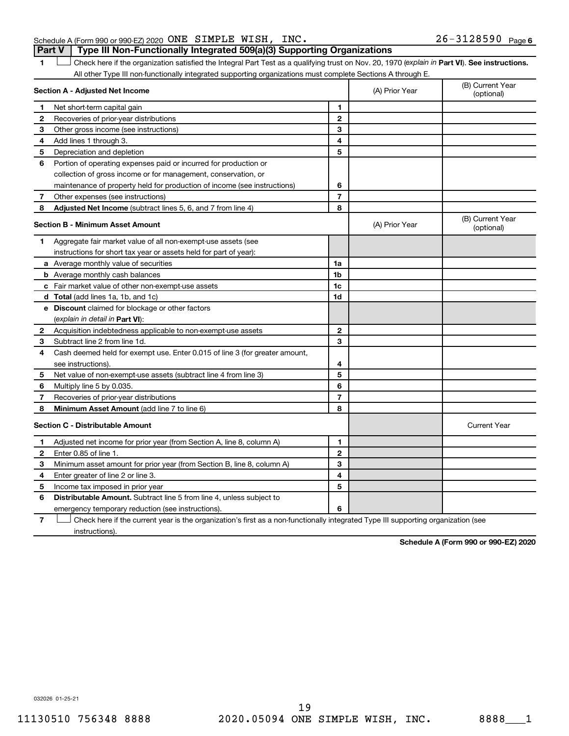#### Schedule A (Form 990 or 990-EZ) 2020 Page ONE SIMPLE WISH, INC. 26-3128590 **Part V Type III Non-Functionally Integrated 509(a)(3) Supporting Organizations**

1 **Letter See instructions.** Check here if the organization satisfied the Integral Part Test as a qualifying trust on Nov. 20, 1970 (*explain in* Part **VI**). See instructions. All other Type III non-functionally integrated supporting organizations must complete Sections A through E.

|   | Section A - Adjusted Net Income                                                                                                   |                | (A) Prior Year | (B) Current Year<br>(optional) |
|---|-----------------------------------------------------------------------------------------------------------------------------------|----------------|----------------|--------------------------------|
| 1 | Net short-term capital gain                                                                                                       | 1              |                |                                |
| 2 | Recoveries of prior-year distributions                                                                                            | $\mathbf{2}$   |                |                                |
| 3 | Other gross income (see instructions)                                                                                             | 3              |                |                                |
| 4 | Add lines 1 through 3.                                                                                                            | 4              |                |                                |
| 5 | Depreciation and depletion                                                                                                        | 5              |                |                                |
| 6 | Portion of operating expenses paid or incurred for production or                                                                  |                |                |                                |
|   | collection of gross income or for management, conservation, or                                                                    |                |                |                                |
|   | maintenance of property held for production of income (see instructions)                                                          | 6              |                |                                |
| 7 | Other expenses (see instructions)                                                                                                 | $\overline{7}$ |                |                                |
| 8 | Adjusted Net Income (subtract lines 5, 6, and 7 from line 4)                                                                      | 8              |                |                                |
|   | <b>Section B - Minimum Asset Amount</b>                                                                                           |                | (A) Prior Year | (B) Current Year<br>(optional) |
| 1 | Aggregate fair market value of all non-exempt-use assets (see                                                                     |                |                |                                |
|   | instructions for short tax year or assets held for part of year):                                                                 |                |                |                                |
|   | a Average monthly value of securities                                                                                             | 1a             |                |                                |
|   | <b>b</b> Average monthly cash balances                                                                                            | 1 <sub>b</sub> |                |                                |
|   | c Fair market value of other non-exempt-use assets                                                                                | 1 <sub>c</sub> |                |                                |
|   | d Total (add lines 1a, 1b, and 1c)                                                                                                | 1 <sub>d</sub> |                |                                |
|   | e Discount claimed for blockage or other factors                                                                                  |                |                |                                |
|   | (explain in detail in <b>Part VI</b> ):                                                                                           |                |                |                                |
| 2 | Acquisition indebtedness applicable to non-exempt-use assets                                                                      | $\mathbf{2}$   |                |                                |
| 3 | Subtract line 2 from line 1d.                                                                                                     | 3              |                |                                |
| 4 | Cash deemed held for exempt use. Enter 0.015 of line 3 (for greater amount,                                                       |                |                |                                |
|   | see instructions).                                                                                                                | 4              |                |                                |
| 5 | Net value of non-exempt-use assets (subtract line 4 from line 3)                                                                  | 5              |                |                                |
| 6 | Multiply line 5 by 0.035.                                                                                                         | 6              |                |                                |
| 7 | Recoveries of prior-year distributions                                                                                            | $\overline{7}$ |                |                                |
| 8 | Minimum Asset Amount (add line 7 to line 6)                                                                                       | 8              |                |                                |
|   | <b>Section C - Distributable Amount</b>                                                                                           |                |                | <b>Current Year</b>            |
| 1 | Adjusted net income for prior year (from Section A, line 8, column A)                                                             | $\mathbf{1}$   |                |                                |
| 2 | Enter 0.85 of line 1.                                                                                                             | $\mathbf{2}$   |                |                                |
| 3 | Minimum asset amount for prior year (from Section B, line 8, column A)                                                            | 3              |                |                                |
| 4 | Enter greater of line 2 or line 3.                                                                                                | 4              |                |                                |
| 5 | Income tax imposed in prior year                                                                                                  | 5              |                |                                |
| 6 | <b>Distributable Amount.</b> Subtract line 5 from line 4, unless subject to                                                       |                |                |                                |
|   | emergency temporary reduction (see instructions).                                                                                 | 6              |                |                                |
| 7 | Check here if the current year is the organization's first as a non-functionally integrated Type III supporting organization (see |                |                |                                |

instructions).

**Schedule A (Form 990 or 990-EZ) 2020**

032026 01-25-21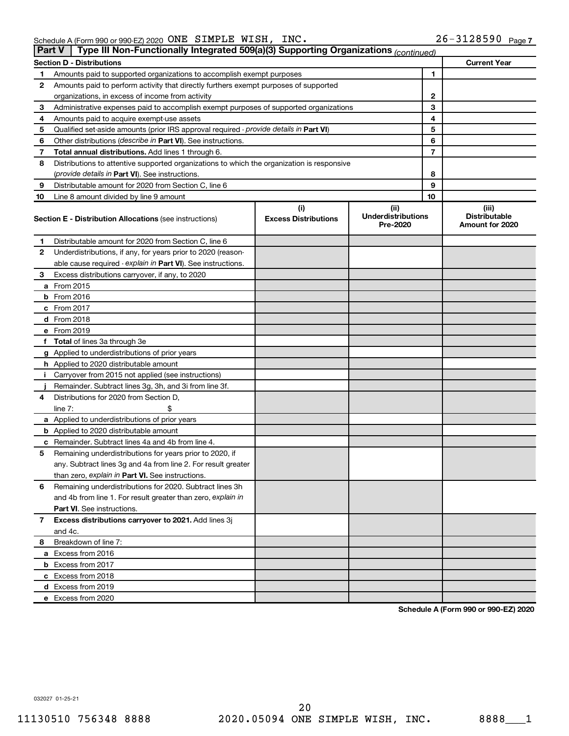| <b>Part V</b> | Type III Non-Functionally Integrated 509(a)(3) Supporting Organizations (continued)        |                                    |                                               |    |                                                  |
|---------------|--------------------------------------------------------------------------------------------|------------------------------------|-----------------------------------------------|----|--------------------------------------------------|
|               | <b>Section D - Distributions</b>                                                           |                                    |                                               |    | <b>Current Year</b>                              |
| 1             | Amounts paid to supported organizations to accomplish exempt purposes                      |                                    | 1                                             |    |                                                  |
| 2             | Amounts paid to perform activity that directly furthers exempt purposes of supported       |                                    |                                               |    |                                                  |
|               | organizations, in excess of income from activity                                           |                                    | 2                                             |    |                                                  |
| 3             | Administrative expenses paid to accomplish exempt purposes of supported organizations      |                                    | 3                                             |    |                                                  |
| 4             | Amounts paid to acquire exempt-use assets                                                  |                                    |                                               | 4  |                                                  |
| 5             | Qualified set-aside amounts (prior IRS approval required - provide details in Part VI)     |                                    |                                               | 5  |                                                  |
| 6             | Other distributions ( <i>describe in Part VI</i> ). See instructions.                      |                                    |                                               | 6  |                                                  |
| 7             | Total annual distributions. Add lines 1 through 6.                                         |                                    |                                               | 7  |                                                  |
| 8             | Distributions to attentive supported organizations to which the organization is responsive |                                    |                                               |    |                                                  |
|               | (provide details in Part VI). See instructions.                                            |                                    |                                               | 8  |                                                  |
| 9             | Distributable amount for 2020 from Section C, line 6                                       |                                    |                                               | 9  |                                                  |
| 10            | Line 8 amount divided by line 9 amount                                                     |                                    |                                               | 10 |                                                  |
|               | <b>Section E - Distribution Allocations (see instructions)</b>                             | (i)<br><b>Excess Distributions</b> | (ii)<br><b>Underdistributions</b><br>Pre-2020 |    | (iii)<br><b>Distributable</b><br>Amount for 2020 |
| 1             | Distributable amount for 2020 from Section C, line 6                                       |                                    |                                               |    |                                                  |
| 2             | Underdistributions, if any, for years prior to 2020 (reason-                               |                                    |                                               |    |                                                  |
|               | able cause required - explain in Part VI). See instructions.                               |                                    |                                               |    |                                                  |
| 3             | Excess distributions carryover, if any, to 2020                                            |                                    |                                               |    |                                                  |
|               | a From 2015                                                                                |                                    |                                               |    |                                                  |
|               | <b>b</b> From 2016                                                                         |                                    |                                               |    |                                                  |
|               | c From 2017                                                                                |                                    |                                               |    |                                                  |
|               | d From 2018                                                                                |                                    |                                               |    |                                                  |
|               | e From 2019                                                                                |                                    |                                               |    |                                                  |
|               | f Total of lines 3a through 3e                                                             |                                    |                                               |    |                                                  |
|               | g Applied to underdistributions of prior years                                             |                                    |                                               |    |                                                  |
|               | <b>h</b> Applied to 2020 distributable amount                                              |                                    |                                               |    |                                                  |
| Ť.            | Carryover from 2015 not applied (see instructions)                                         |                                    |                                               |    |                                                  |
|               | Remainder. Subtract lines 3g, 3h, and 3i from line 3f.                                     |                                    |                                               |    |                                                  |
| 4             | Distributions for 2020 from Section D,                                                     |                                    |                                               |    |                                                  |
|               | line $7:$                                                                                  |                                    |                                               |    |                                                  |
|               | a Applied to underdistributions of prior years                                             |                                    |                                               |    |                                                  |
|               | <b>b</b> Applied to 2020 distributable amount                                              |                                    |                                               |    |                                                  |
|               | c Remainder. Subtract lines 4a and 4b from line 4.                                         |                                    |                                               |    |                                                  |
| 5             | Remaining underdistributions for years prior to 2020, if                                   |                                    |                                               |    |                                                  |
|               | any. Subtract lines 3g and 4a from line 2. For result greater                              |                                    |                                               |    |                                                  |
|               | than zero, explain in Part VI. See instructions.                                           |                                    |                                               |    |                                                  |
| 6             | Remaining underdistributions for 2020. Subtract lines 3h                                   |                                    |                                               |    |                                                  |
|               | and 4b from line 1. For result greater than zero, explain in                               |                                    |                                               |    |                                                  |
|               | <b>Part VI.</b> See instructions.                                                          |                                    |                                               |    |                                                  |
| 7             | Excess distributions carryover to 2021. Add lines 3j                                       |                                    |                                               |    |                                                  |
|               | and 4c.                                                                                    |                                    |                                               |    |                                                  |
| 8             | Breakdown of line 7:                                                                       |                                    |                                               |    |                                                  |
|               | a Excess from 2016                                                                         |                                    |                                               |    |                                                  |
|               | <b>b</b> Excess from 2017                                                                  |                                    |                                               |    |                                                  |
|               | c Excess from 2018                                                                         |                                    |                                               |    |                                                  |
|               | d Excess from 2019                                                                         |                                    |                                               |    |                                                  |
|               | e Excess from 2020                                                                         |                                    |                                               |    |                                                  |

**Schedule A (Form 990 or 990-EZ) 2020**

032027 01-25-21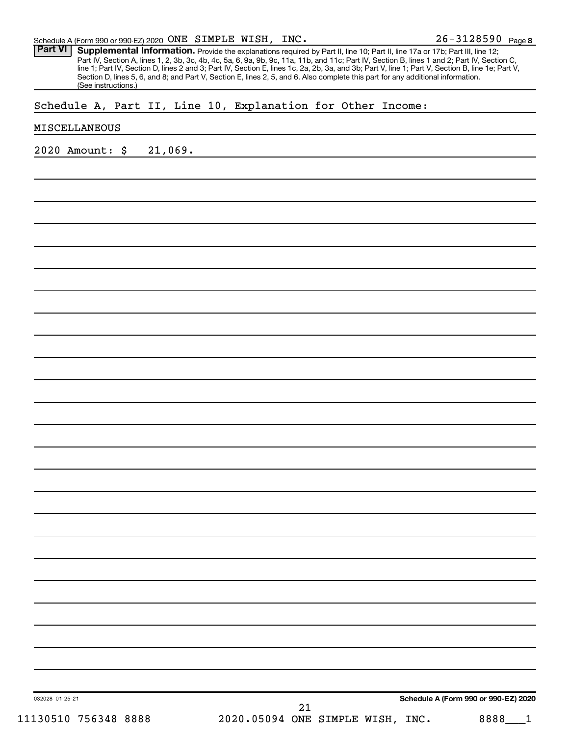26-3128590 Page 8

Part VI | Supplemental Information. Provide the explanations required by Part II, line 10; Part II, line 17a or 17b; Part III, line 12; Part IV, Section A, lines 1, 2, 3b, 3c, 4b, 4c, 5a, 6, 9a, 9b, 9c, 11a, 11b, and 11c; Part IV, Section B, lines 1 and 2; Part IV, Section C, line 1; Part IV, Section D, lines 2 and 3; Part IV, Section E, lines 1c, 2a, 2b, 3a, and 3b; Part V, line 1; Part V, Section B, line 1e; Part V, Section D, lines 5, 6, and 8; and Part V, Section E, lines 2, 5, and 6. Also complete this part for any additional information. (See instructions.)

### Schedule A, Part II, Line 10, Explanation for Other Income:

#### MISCELLANEOUS

2020 Amount: \$ 21,069.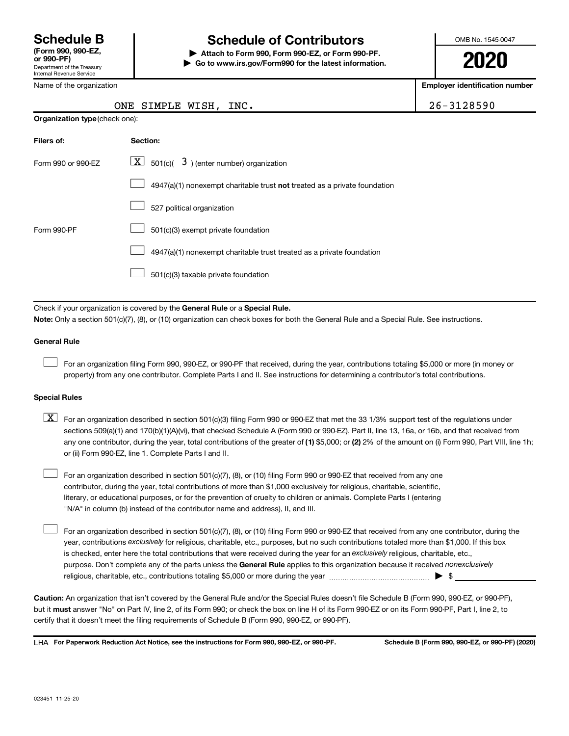Name of the organization

Department of the Treasury Internal Revenue Service

# **Schedule B Schedule of Contributors**

**or 990-PF) | Attach to Form 990, Form 990-EZ, or Form 990-PF. | Go to www.irs.gov/Form990 for the latest information.** OMB No. 1545-0047

**2020**

**Employer identification number**

| $6 - 3128590$ |  |  |
|---------------|--|--|
|               |  |  |

| ONE SIMPLE WISH, | INC. |  |
|------------------|------|--|

| <b>Organization type (check one):</b> |                                                                           |  |  |  |  |  |
|---------------------------------------|---------------------------------------------------------------------------|--|--|--|--|--|
| Filers of:                            | Section:                                                                  |  |  |  |  |  |
| Form 990 or 990-EZ                    | $\lfloor x \rfloor$ 501(c)( 3) (enter number) organization                |  |  |  |  |  |
|                                       | 4947(a)(1) nonexempt charitable trust not treated as a private foundation |  |  |  |  |  |
|                                       | 527 political organization                                                |  |  |  |  |  |
| Form 990-PF                           | 501(c)(3) exempt private foundation                                       |  |  |  |  |  |
|                                       | 4947(a)(1) nonexempt charitable trust treated as a private foundation     |  |  |  |  |  |
|                                       | 501(c)(3) taxable private foundation                                      |  |  |  |  |  |

Check if your organization is covered by the General Rule or a Special Rule.

**Note:**  Only a section 501(c)(7), (8), or (10) organization can check boxes for both the General Rule and a Special Rule. See instructions.

#### **General Rule**

 $\Box$ 

For an organization filing Form 990, 990-EZ, or 990-PF that received, during the year, contributions totaling \$5,000 or more (in money or property) from any one contributor. Complete Parts I and II. See instructions for determining a contributor's total contributions.

#### **Special Rules**

- any one contributor, during the year, total contributions of the greater of (1) \$5,000; or (2) 2% of the amount on (i) Form 990, Part VIII, line 1h;  $\boxed{\text{X}}$  For an organization described in section 501(c)(3) filing Form 990 or 990-EZ that met the 33 1/3% support test of the regulations under sections 509(a)(1) and 170(b)(1)(A)(vi), that checked Schedule A (Form 990 or 990-EZ), Part II, line 13, 16a, or 16b, and that received from or (ii) Form 990-EZ, line 1. Complete Parts I and II.
- For an organization described in section 501(c)(7), (8), or (10) filing Form 990 or 990-EZ that received from any one contributor, during the year, total contributions of more than \$1,000 exclusively for religious, charitable, scientific, literary, or educational purposes, or for the prevention of cruelty to children or animals. Complete Parts I (entering "N/A" in column (b) instead of the contributor name and address), II, and III.  $\Box$

purpose. Don't complete any of the parts unless the General Rule applies to this organization because it received nonexclusively year, contributions exclusively for religious, charitable, etc., purposes, but no such contributions totaled more than \$1,000. If this box is checked, enter here the total contributions that were received during the year for an exclusively religious, charitable, etc., For an organization described in section 501(c)(7), (8), or (10) filing Form 990 or 990-EZ that received from any one contributor, during the religious, charitable, etc., contributions totaling \$5,000 or more during the year  $~\ldots\ldots\ldots\ldots\ldots\ldots\ldots\ldots\blacktriangleright~$ \$  $\Box$ 

**Caution:**  An organization that isn't covered by the General Rule and/or the Special Rules doesn't file Schedule B (Form 990, 990-EZ, or 990-PF),  **must** but it answer "No" on Part IV, line 2, of its Form 990; or check the box on line H of its Form 990-EZ or on its Form 990-PF, Part I, line 2, to certify that it doesn't meet the filing requirements of Schedule B (Form 990, 990-EZ, or 990-PF).

**For Paperwork Reduction Act Notice, see the instructions for Form 990, 990-EZ, or 990-PF. Schedule B (Form 990, 990-EZ, or 990-PF) (2020)** LHA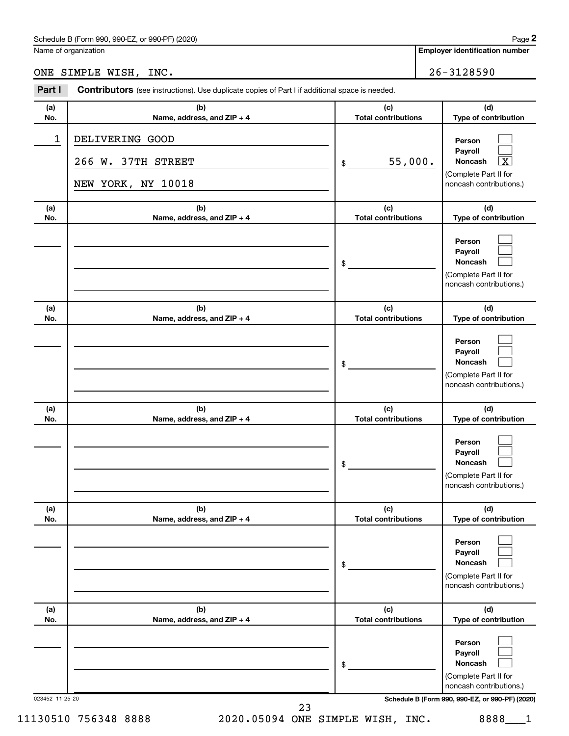Name of organization

## ONE SIMPLE WISH, INC. 26-3128590

|            | <b>Contributors</b> (see instructions). Use duplicate copies of Part I if additional space is needed. |                                   |                                                                                                             |
|------------|-------------------------------------------------------------------------------------------------------|-----------------------------------|-------------------------------------------------------------------------------------------------------------|
| (a)<br>No. | (b)<br>Name, address, and ZIP + 4                                                                     | (c)<br><b>Total contributions</b> | (d)<br>Type of contribution                                                                                 |
| 1          | DELIVERING GOOD<br>266 W. 37TH STREET<br>NEW YORK, NY 10018                                           | 55,000.<br>\$                     | Person<br>Payroll<br>$\overline{\textbf{X}}$<br>Noncash<br>(Complete Part II for<br>noncash contributions.) |
| (a)<br>No. | (b)<br>Name, address, and ZIP + 4                                                                     | (c)<br><b>Total contributions</b> | (d)<br>Type of contribution                                                                                 |
|            |                                                                                                       | \$                                | Person<br>Payroll<br>Noncash<br>(Complete Part II for<br>noncash contributions.)                            |
| (a)<br>No. | (b)<br>Name, address, and ZIP + 4                                                                     | (c)<br><b>Total contributions</b> | (d)<br>Type of contribution                                                                                 |
|            |                                                                                                       | \$                                | Person<br>Payroll<br>Noncash<br>(Complete Part II for<br>noncash contributions.)                            |
| (a)<br>No. | (b)<br>Name, address, and ZIP + 4                                                                     | (c)<br><b>Total contributions</b> | (d)<br>Type of contribution                                                                                 |
|            |                                                                                                       | \$                                | Person<br>Payroll<br><b>Noncash</b><br>(Complete Part II for<br>noncash contributions.)                     |
| (a)<br>No. | (b)<br>Name, address, and ZIP + 4                                                                     | (c)<br><b>Total contributions</b> | (d)<br>Type of contribution                                                                                 |
|            |                                                                                                       | \$                                | Person<br>Payroll<br>Noncash<br>(Complete Part II for<br>noncash contributions.)                            |
| (a)<br>No. | (b)<br>Name, address, and ZIP + 4                                                                     | (c)<br><b>Total contributions</b> | (d)<br>Type of contribution                                                                                 |
|            |                                                                                                       | \$                                | Person<br>Payroll<br>Noncash<br>(Complete Part II for                                                       |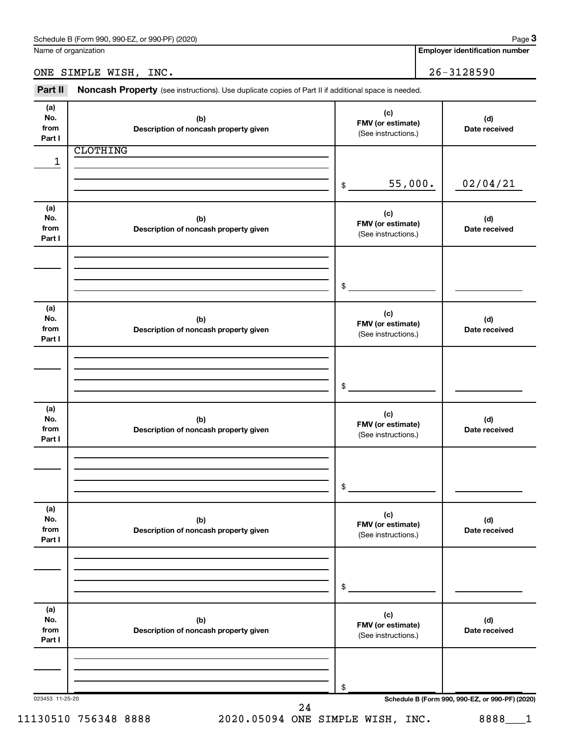**Employer identification number**

ONE SIMPLE WISH, INC. 26-3128590

Part II Noncash Property (see instructions). Use duplicate copies of Part II if additional space is needed.

| (a)<br>No.<br>from | (b)<br>Description of noncash property given | (c)<br>FMV (or estimate)<br>(See instructions.) | (d)<br>Date received                            |
|--------------------|----------------------------------------------|-------------------------------------------------|-------------------------------------------------|
| Part I             |                                              |                                                 |                                                 |
|                    | <b>CLOTHING</b>                              |                                                 |                                                 |
| 1                  |                                              |                                                 |                                                 |
|                    |                                              | 55,000.<br>\$                                   | 02/04/21                                        |
|                    |                                              |                                                 |                                                 |
| (a)                |                                              |                                                 |                                                 |
| No.                | (b)                                          | (c)                                             | (d)                                             |
| from               | Description of noncash property given        | FMV (or estimate)<br>(See instructions.)        | Date received                                   |
| Part I             |                                              |                                                 |                                                 |
|                    |                                              |                                                 |                                                 |
|                    |                                              |                                                 |                                                 |
|                    |                                              | \$                                              |                                                 |
|                    |                                              |                                                 |                                                 |
| (a)                |                                              | (c)                                             |                                                 |
| No.                | (b)                                          | FMV (or estimate)                               | (d)                                             |
| from<br>Part I     | Description of noncash property given        | (See instructions.)                             | Date received                                   |
|                    |                                              |                                                 |                                                 |
|                    |                                              |                                                 |                                                 |
|                    |                                              |                                                 |                                                 |
|                    |                                              | \$                                              |                                                 |
|                    |                                              |                                                 |                                                 |
| (a)<br>No.         |                                              | (c)                                             |                                                 |
| from               | (b)<br>Description of noncash property given | FMV (or estimate)                               | (d)<br>Date received                            |
| Part I             |                                              | (See instructions.)                             |                                                 |
|                    |                                              |                                                 |                                                 |
|                    |                                              |                                                 |                                                 |
|                    |                                              |                                                 |                                                 |
|                    |                                              | \$                                              |                                                 |
| (a)                |                                              |                                                 |                                                 |
| No.                | (b)                                          | (c)<br>FMV (or estimate)                        | (d)                                             |
| from               | Description of noncash property given        | (See instructions.)                             | Date received                                   |
| Part I             |                                              |                                                 |                                                 |
|                    |                                              |                                                 |                                                 |
|                    |                                              |                                                 |                                                 |
|                    |                                              | \$                                              |                                                 |
|                    |                                              |                                                 |                                                 |
| (a)<br>No.         | (b)                                          | (c)                                             | (d)                                             |
| from               | Description of noncash property given        | FMV (or estimate)                               | Date received                                   |
| Part I             |                                              | (See instructions.)                             |                                                 |
|                    |                                              |                                                 |                                                 |
|                    |                                              |                                                 |                                                 |
|                    |                                              | \$                                              |                                                 |
| 023453 11-25-20    |                                              |                                                 | Schedule B (Form 990, 990-EZ, or 990-PF) (2020) |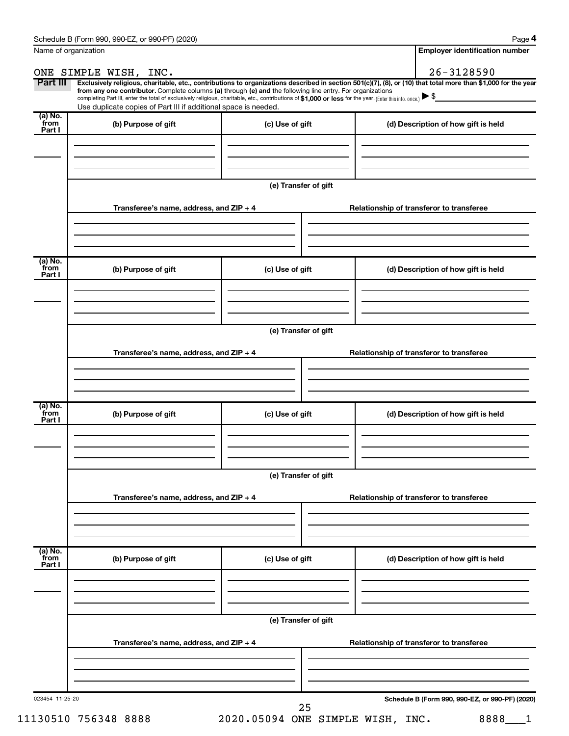**4**

| Name of organization      |                                                                                                                                                                                                                                                                                                                                                                                                                                                                                                             |                      | <b>Employer identification number</b>    |
|---------------------------|-------------------------------------------------------------------------------------------------------------------------------------------------------------------------------------------------------------------------------------------------------------------------------------------------------------------------------------------------------------------------------------------------------------------------------------------------------------------------------------------------------------|----------------------|------------------------------------------|
|                           | ONE SIMPLE WISH, INC.                                                                                                                                                                                                                                                                                                                                                                                                                                                                                       |                      | $26 - 3128590$                           |
| Part III                  | Exclusively religious, charitable, etc., contributions to organizations described in section 501(c)(7), (8), or (10) that total more than \$1,000 for the year<br>from any one contributor. Complete columns (a) through (e) and the following line entry. For organizations<br>completing Part III, enter the total of exclusively religious, charitable, etc., contributions of \$1,000 or less for the year. (Enter this info. once.)<br>Use duplicate copies of Part III if additional space is needed. |                      |                                          |
| (a) No.<br>from<br>Part I | (b) Purpose of gift                                                                                                                                                                                                                                                                                                                                                                                                                                                                                         | (c) Use of gift      | (d) Description of how gift is held      |
|                           |                                                                                                                                                                                                                                                                                                                                                                                                                                                                                                             |                      |                                          |
|                           |                                                                                                                                                                                                                                                                                                                                                                                                                                                                                                             | (e) Transfer of gift |                                          |
|                           | Transferee's name, address, and ZIP + 4                                                                                                                                                                                                                                                                                                                                                                                                                                                                     |                      | Relationship of transferor to transferee |
|                           |                                                                                                                                                                                                                                                                                                                                                                                                                                                                                                             |                      |                                          |
| (a) No.<br>from<br>Part I | (b) Purpose of gift                                                                                                                                                                                                                                                                                                                                                                                                                                                                                         | (c) Use of gift      | (d) Description of how gift is held      |
|                           |                                                                                                                                                                                                                                                                                                                                                                                                                                                                                                             |                      |                                          |
|                           |                                                                                                                                                                                                                                                                                                                                                                                                                                                                                                             | (e) Transfer of gift |                                          |
|                           | Transferee's name, address, and ZIP + 4                                                                                                                                                                                                                                                                                                                                                                                                                                                                     |                      | Relationship of transferor to transferee |
|                           |                                                                                                                                                                                                                                                                                                                                                                                                                                                                                                             |                      |                                          |
| (a) No.<br>from<br>Part I | (b) Purpose of gift                                                                                                                                                                                                                                                                                                                                                                                                                                                                                         | (c) Use of gift      | (d) Description of how gift is held      |
|                           |                                                                                                                                                                                                                                                                                                                                                                                                                                                                                                             |                      |                                          |
|                           |                                                                                                                                                                                                                                                                                                                                                                                                                                                                                                             | (e) Transfer of gift |                                          |
|                           | Transferee's name, address, and ZIP + 4                                                                                                                                                                                                                                                                                                                                                                                                                                                                     |                      | Relationship of transferor to transferee |
| (a) No.<br>from           | (b) Purpose of gift                                                                                                                                                                                                                                                                                                                                                                                                                                                                                         | (c) Use of gift      | (d) Description of how gift is held      |
| Part I                    |                                                                                                                                                                                                                                                                                                                                                                                                                                                                                                             |                      |                                          |
|                           |                                                                                                                                                                                                                                                                                                                                                                                                                                                                                                             | (e) Transfer of gift |                                          |
|                           | Transferee's name, address, and ZIP + 4                                                                                                                                                                                                                                                                                                                                                                                                                                                                     |                      | Relationship of transferor to transferee |
|                           |                                                                                                                                                                                                                                                                                                                                                                                                                                                                                                             |                      |                                          |
|                           |                                                                                                                                                                                                                                                                                                                                                                                                                                                                                                             |                      |                                          |

11130510 756348 8888 2020.05094 ONE SIMPLE WISH, INC. 8888 1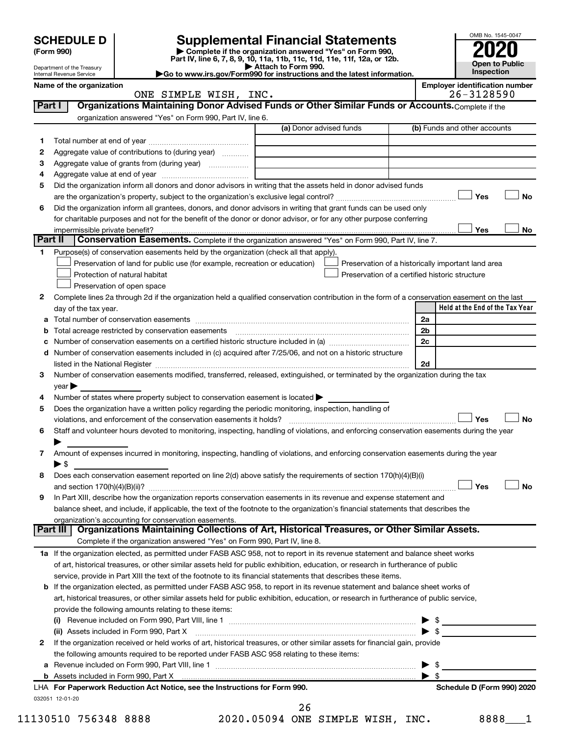|         |                                  |                                                                                                        | <b>Supplemental Financial Statements</b>                                                                                                                    |                | OMB No. 1545-0047                                   |
|---------|----------------------------------|--------------------------------------------------------------------------------------------------------|-------------------------------------------------------------------------------------------------------------------------------------------------------------|----------------|-----------------------------------------------------|
|         | <b>SCHEDULE D</b><br>(Form 990)  |                                                                                                        |                                                                                                                                                             |                |                                                     |
|         | Department of the Treasury       |                                                                                                        | Complete if the organization answered "Yes" on Form 990,<br>Part IV, line 6, 7, 8, 9, 10, 11a, 11b, 11c, 11d, 11e, 11f, 12a, or 12b.<br>Attach to Form 990. |                | <b>Open to Public</b>                               |
|         | Internal Revenue Service         |                                                                                                        | Go to www.irs.gov/Form990 for instructions and the latest information.                                                                                      |                | Inspection                                          |
|         | Name of the organization         | ONE SIMPLE WISH, INC.                                                                                  |                                                                                                                                                             |                | <b>Employer identification number</b><br>26-3128590 |
| Part I  |                                  |                                                                                                        | Organizations Maintaining Donor Advised Funds or Other Similar Funds or Accounts. Complete if the                                                           |                |                                                     |
|         |                                  | organization answered "Yes" on Form 990, Part IV, line 6.                                              |                                                                                                                                                             |                |                                                     |
|         |                                  |                                                                                                        | (a) Donor advised funds                                                                                                                                     |                | (b) Funds and other accounts                        |
| 1       |                                  |                                                                                                        |                                                                                                                                                             |                |                                                     |
| 2       |                                  | Aggregate value of contributions to (during year)                                                      |                                                                                                                                                             |                |                                                     |
| з       |                                  | Aggregate value of grants from (during year)                                                           |                                                                                                                                                             |                |                                                     |
| 4       |                                  |                                                                                                        |                                                                                                                                                             |                |                                                     |
| 5       |                                  |                                                                                                        | Did the organization inform all donors and donor advisors in writing that the assets held in donor advised funds                                            |                | Yes<br>No                                           |
| 6       |                                  |                                                                                                        | Did the organization inform all grantees, donors, and donor advisors in writing that grant funds can be used only                                           |                |                                                     |
|         |                                  |                                                                                                        | for charitable purposes and not for the benefit of the donor or donor advisor, or for any other purpose conferring                                          |                |                                                     |
|         | impermissible private benefit?   |                                                                                                        |                                                                                                                                                             |                | Yes<br>No                                           |
| Part II |                                  |                                                                                                        | Conservation Easements. Complete if the organization answered "Yes" on Form 990, Part IV, line 7.                                                           |                |                                                     |
| 1.      |                                  | Purpose(s) of conservation easements held by the organization (check all that apply).                  |                                                                                                                                                             |                |                                                     |
|         |                                  | Preservation of land for public use (for example, recreation or education)                             | Preservation of a historically important land area                                                                                                          |                |                                                     |
|         |                                  | Protection of natural habitat                                                                          | Preservation of a certified historic structure                                                                                                              |                |                                                     |
| 2       |                                  | Preservation of open space                                                                             | Complete lines 2a through 2d if the organization held a qualified conservation contribution in the form of a conservation easement on the last              |                |                                                     |
|         | day of the tax year.             |                                                                                                        |                                                                                                                                                             |                | Held at the End of the Tax Year                     |
|         |                                  |                                                                                                        |                                                                                                                                                             | 2a             |                                                     |
| b       |                                  | Total acreage restricted by conservation easements                                                     |                                                                                                                                                             | 2 <sub>b</sub> |                                                     |
| с       |                                  |                                                                                                        | Number of conservation easements on a certified historic structure included in (a) manufacture included in (a)                                              | 2c             |                                                     |
| d       |                                  |                                                                                                        | Number of conservation easements included in (c) acquired after 7/25/06, and not on a historic structure                                                    |                |                                                     |
|         |                                  |                                                                                                        |                                                                                                                                                             | 2d             |                                                     |
| З       |                                  |                                                                                                        | Number of conservation easements modified, transferred, released, extinguished, or terminated by the organization during the tax                            |                |                                                     |
| 4       | $\vee$ ear $\blacktriangleright$ | Number of states where property subject to conservation easement is located >                          |                                                                                                                                                             |                |                                                     |
| 5       |                                  | Does the organization have a written policy regarding the periodic monitoring, inspection, handling of |                                                                                                                                                             |                |                                                     |
|         |                                  | violations, and enforcement of the conservation easements it holds?                                    |                                                                                                                                                             |                | Yes<br>No                                           |
| 6       |                                  |                                                                                                        | Staff and volunteer hours devoted to monitoring, inspecting, handling of violations, and enforcing conservation easements during the year                   |                |                                                     |
|         |                                  |                                                                                                        |                                                                                                                                                             |                |                                                     |
| 7       |                                  |                                                                                                        | Amount of expenses incurred in monitoring, inspecting, handling of violations, and enforcing conservation easements during the year                         |                |                                                     |
|         | $\blacktriangleright$ \$         |                                                                                                        |                                                                                                                                                             |                |                                                     |
| 8       |                                  |                                                                                                        | Does each conservation easement reported on line 2(d) above satisfy the requirements of section 170(h)(4)(B)(i)                                             |                | <b>No</b>                                           |
| 9       |                                  |                                                                                                        | In Part XIII, describe how the organization reports conservation easements in its revenue and expense statement and                                         |                | Yes                                                 |
|         |                                  |                                                                                                        | balance sheet, and include, if applicable, the text of the footnote to the organization's financial statements that describes the                           |                |                                                     |
|         |                                  | organization's accounting for conservation easements.                                                  |                                                                                                                                                             |                |                                                     |
|         | Part III                         |                                                                                                        | Organizations Maintaining Collections of Art, Historical Treasures, or Other Similar Assets.                                                                |                |                                                     |
|         |                                  | Complete if the organization answered "Yes" on Form 990, Part IV, line 8.                              |                                                                                                                                                             |                |                                                     |
|         |                                  |                                                                                                        | 1a If the organization elected, as permitted under FASB ASC 958, not to report in its revenue statement and balance sheet works                             |                |                                                     |
|         |                                  |                                                                                                        | of art, historical treasures, or other similar assets held for public exhibition, education, or research in furtherance of public                           |                |                                                     |
|         |                                  |                                                                                                        | service, provide in Part XIII the text of the footnote to its financial statements that describes these items.                                              |                |                                                     |
|         |                                  |                                                                                                        | <b>b</b> If the organization elected, as permitted under FASB ASC 958, to report in its revenue statement and balance sheet works of                        |                |                                                     |
|         |                                  | provide the following amounts relating to these items:                                                 | art, historical treasures, or other similar assets held for public exhibition, education, or research in furtherance of public service,                     |                |                                                     |
|         |                                  |                                                                                                        |                                                                                                                                                             |                |                                                     |
|         |                                  |                                                                                                        | (ii) Assets included in Form 990, Part X [11] [2000] [2010] Assets included in Form 990, Part X [11] [11] Assets included in Form 990, Part X               |                |                                                     |
| 2       |                                  |                                                                                                        | If the organization received or held works of art, historical treasures, or other similar assets for financial gain, provide                                |                |                                                     |
|         |                                  | the following amounts required to be reported under FASB ASC 958 relating to these items:              |                                                                                                                                                             |                |                                                     |
| а       |                                  |                                                                                                        |                                                                                                                                                             |                |                                                     |
|         |                                  |                                                                                                        |                                                                                                                                                             | -\$            |                                                     |
|         |                                  | LHA For Paperwork Reduction Act Notice, see the Instructions for Form 990.                             |                                                                                                                                                             |                | Schedule D (Form 990) 2020                          |
|         | 032051 12-01-20                  |                                                                                                        | 26                                                                                                                                                          |                |                                                     |

11130510 756348 8888 2020.05094 ONE SIMPLE WISH, INC. 8888 1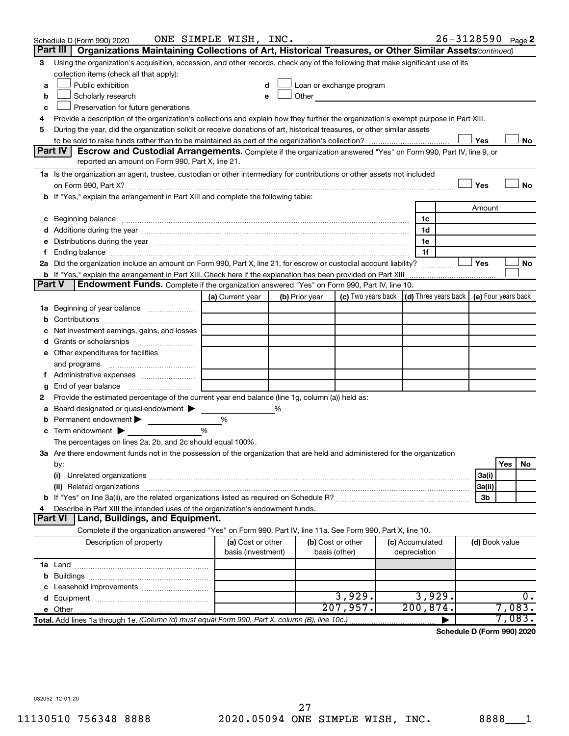|               | Schedule D (Form 990) 2020                                                                                                                                                                                                     | ONE SIMPLE WISH, INC.                   |   |                |                                                                                                                      |                                 | 26-3128590 Page 2 |                |        |    |
|---------------|--------------------------------------------------------------------------------------------------------------------------------------------------------------------------------------------------------------------------------|-----------------------------------------|---|----------------|----------------------------------------------------------------------------------------------------------------------|---------------------------------|-------------------|----------------|--------|----|
|               | Organizations Maintaining Collections of Art, Historical Treasures, or Other Similar Assets (continued)<br>Part III                                                                                                            |                                         |   |                |                                                                                                                      |                                 |                   |                |        |    |
| 3             | Using the organization's acquisition, accession, and other records, check any of the following that make significant use of its                                                                                                |                                         |   |                |                                                                                                                      |                                 |                   |                |        |    |
|               | collection items (check all that apply):                                                                                                                                                                                       |                                         |   |                |                                                                                                                      |                                 |                   |                |        |    |
| a             | Public exhibition                                                                                                                                                                                                              |                                         |   |                | Loan or exchange program                                                                                             |                                 |                   |                |        |    |
| b             | Scholarly research                                                                                                                                                                                                             |                                         |   | Other          | <u> 1980 - Jan Barbarat, prima prima prima prima prima prima prima prima prima prima prima prima prima prima pri</u> |                                 |                   |                |        |    |
| c             | Preservation for future generations                                                                                                                                                                                            |                                         |   |                |                                                                                                                      |                                 |                   |                |        |    |
| 4             | Provide a description of the organization's collections and explain how they further the organization's exempt purpose in Part XIII.                                                                                           |                                         |   |                |                                                                                                                      |                                 |                   |                |        |    |
| 5             | During the year, did the organization solicit or receive donations of art, historical treasures, or other similar assets                                                                                                       |                                         |   |                |                                                                                                                      |                                 |                   |                |        |    |
|               |                                                                                                                                                                                                                                |                                         |   |                |                                                                                                                      |                                 |                   | Yes            |        | No |
|               | Part IV<br><b>Escrow and Custodial Arrangements.</b> Complete if the organization answered "Yes" on Form 990, Part IV, line 9, or                                                                                              |                                         |   |                |                                                                                                                      |                                 |                   |                |        |    |
|               | reported an amount on Form 990, Part X, line 21.                                                                                                                                                                               |                                         |   |                |                                                                                                                      |                                 |                   |                |        |    |
|               | 1a Is the organization an agent, trustee, custodian or other intermediary for contributions or other assets not included                                                                                                       |                                         |   |                |                                                                                                                      |                                 |                   |                |        |    |
|               | on Form 990, Part X? [11] matter continuum matter contract to the contract of the contract of the contract of t                                                                                                                |                                         |   |                |                                                                                                                      |                                 |                   | Yes            |        | No |
|               | b If "Yes," explain the arrangement in Part XIII and complete the following table:                                                                                                                                             |                                         |   |                |                                                                                                                      |                                 |                   |                |        |    |
|               |                                                                                                                                                                                                                                |                                         |   |                |                                                                                                                      |                                 |                   | Amount         |        |    |
|               | c Beginning balance measurements and the contract of the contract of the contract of the contract of the contract of the contract of the contract of the contract of the contract of the contract of the contract of the contr |                                         |   |                |                                                                                                                      | 1c                              |                   |                |        |    |
|               |                                                                                                                                                                                                                                |                                         |   |                |                                                                                                                      | 1d                              |                   |                |        |    |
| е<br>f.       | Distributions during the year manufactured and an account of the year manufactured and the year manufactured and the year manufactured and the year manufactured and the year manufactured and the year manufactured and the y |                                         |   |                |                                                                                                                      | 1e<br>1f                        |                   |                |        |    |
|               | 2a Did the organization include an amount on Form 990, Part X, line 21, for escrow or custodial account liability?                                                                                                             |                                         |   |                |                                                                                                                      |                                 |                   | Yes            |        | No |
|               | <b>b</b> If "Yes," explain the arrangement in Part XIII. Check here if the explanation has been provided on Part XIII                                                                                                          |                                         |   |                |                                                                                                                      |                                 |                   |                |        |    |
| <b>Part V</b> | Endowment Funds. Complete if the organization answered "Yes" on Form 990, Part IV, line 10.                                                                                                                                    |                                         |   |                |                                                                                                                      |                                 |                   |                |        |    |
|               |                                                                                                                                                                                                                                | (a) Current year                        |   | (b) Prior year | (c) Two years back $\vert$ (d) Three years back $\vert$ (e) Four years back                                          |                                 |                   |                |        |    |
|               | 1a Beginning of year balance                                                                                                                                                                                                   |                                         |   |                |                                                                                                                      |                                 |                   |                |        |    |
| b             |                                                                                                                                                                                                                                |                                         |   |                |                                                                                                                      |                                 |                   |                |        |    |
| с             | Net investment earnings, gains, and losses                                                                                                                                                                                     |                                         |   |                |                                                                                                                      |                                 |                   |                |        |    |
| d             | Grants or scholarships                                                                                                                                                                                                         |                                         |   |                |                                                                                                                      |                                 |                   |                |        |    |
|               | e Other expenditures for facilities                                                                                                                                                                                            |                                         |   |                |                                                                                                                      |                                 |                   |                |        |    |
|               | and programs                                                                                                                                                                                                                   |                                         |   |                |                                                                                                                      |                                 |                   |                |        |    |
|               | Administrative expenses                                                                                                                                                                                                        |                                         |   |                |                                                                                                                      |                                 |                   |                |        |    |
| g             |                                                                                                                                                                                                                                |                                         |   |                |                                                                                                                      |                                 |                   |                |        |    |
| 2             | Provide the estimated percentage of the current year end balance (line 1g, column (a)) held as:                                                                                                                                |                                         |   |                |                                                                                                                      |                                 |                   |                |        |    |
| а             | Board designated or quasi-endowment $\blacktriangleright$                                                                                                                                                                      |                                         | % |                |                                                                                                                      |                                 |                   |                |        |    |
| b             | Permanent endowment                                                                                                                                                                                                            | %                                       |   |                |                                                                                                                      |                                 |                   |                |        |    |
| c             | Term endowment $\blacktriangleright$                                                                                                                                                                                           | %                                       |   |                |                                                                                                                      |                                 |                   |                |        |    |
|               | The percentages on lines 2a, 2b, and 2c should equal 100%.                                                                                                                                                                     |                                         |   |                |                                                                                                                      |                                 |                   |                |        |    |
|               | 3a Are there endowment funds not in the possession of the organization that are held and administered for the organization                                                                                                     |                                         |   |                |                                                                                                                      |                                 |                   |                |        |    |
|               | by:                                                                                                                                                                                                                            |                                         |   |                |                                                                                                                      |                                 |                   |                | Yes    | No |
|               | (i)                                                                                                                                                                                                                            |                                         |   |                |                                                                                                                      |                                 |                   | 3a(i)          |        |    |
|               |                                                                                                                                                                                                                                |                                         |   |                |                                                                                                                      |                                 |                   | 3a(ii)         |        |    |
|               |                                                                                                                                                                                                                                |                                         |   |                |                                                                                                                      |                                 |                   | 3b             |        |    |
| 4             | Describe in Part XIII the intended uses of the organization's endowment funds.                                                                                                                                                 |                                         |   |                |                                                                                                                      |                                 |                   |                |        |    |
|               | <b>Part VI</b><br>  Land, Buildings, and Equipment.                                                                                                                                                                            |                                         |   |                |                                                                                                                      |                                 |                   |                |        |    |
|               | Complete if the organization answered "Yes" on Form 990, Part IV, line 11a. See Form 990, Part X, line 10.                                                                                                                     |                                         |   |                |                                                                                                                      |                                 |                   |                |        |    |
|               | Description of property                                                                                                                                                                                                        | (a) Cost or other<br>basis (investment) |   | basis (other)  | (b) Cost or other                                                                                                    | (c) Accumulated<br>depreciation |                   | (d) Book value |        |    |
|               |                                                                                                                                                                                                                                |                                         |   |                |                                                                                                                      |                                 |                   |                |        |    |
| b             |                                                                                                                                                                                                                                |                                         |   |                |                                                                                                                      |                                 |                   |                |        |    |
| с             | Leasehold improvements                                                                                                                                                                                                         |                                         |   |                |                                                                                                                      |                                 |                   |                |        |    |
| d             |                                                                                                                                                                                                                                |                                         |   |                | 3,929.                                                                                                               | 3,929.                          |                   |                |        | 0. |
|               |                                                                                                                                                                                                                                |                                         |   |                | 207,957.                                                                                                             | 200, 874.                       |                   |                | 7,083. |    |
|               | Total. Add lines 1a through 1e. (Column (d) must equal Form 990, Part X, column (B), line 10c.)                                                                                                                                |                                         |   |                |                                                                                                                      |                                 |                   |                | 7,083. |    |

**Schedule D (Form 990) 2020**

032052 12-01-20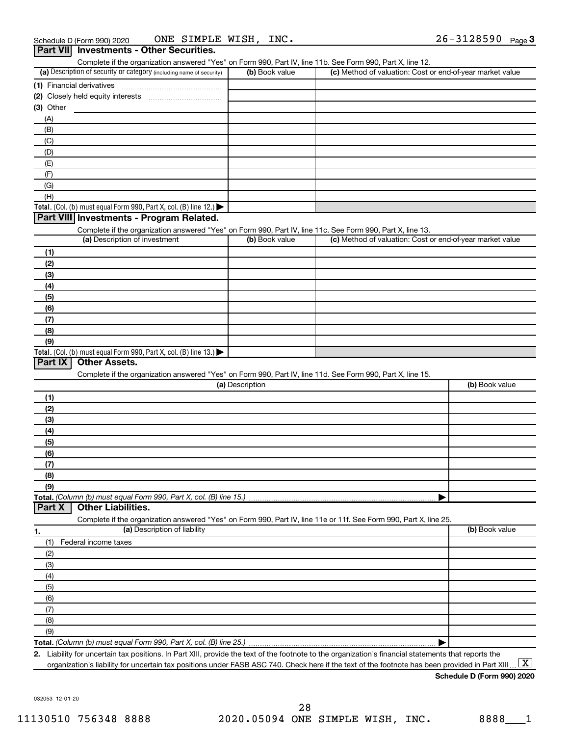|                           | Complete if the organization answered "Yes" on Form 990, Part IV, line 11b. See Form 990, Part X, line 12.<br>(a) Description of security or category (including name of security) | (b) Book value  | (c) Method of valuation: Cost or end-of-year market value |                |
|---------------------------|------------------------------------------------------------------------------------------------------------------------------------------------------------------------------------|-----------------|-----------------------------------------------------------|----------------|
| (1) Financial derivatives |                                                                                                                                                                                    |                 |                                                           |                |
|                           |                                                                                                                                                                                    |                 |                                                           |                |
| (3) Other                 |                                                                                                                                                                                    |                 |                                                           |                |
| (A)                       |                                                                                                                                                                                    |                 |                                                           |                |
| (B)                       |                                                                                                                                                                                    |                 |                                                           |                |
| (C)                       |                                                                                                                                                                                    |                 |                                                           |                |
| (D)                       |                                                                                                                                                                                    |                 |                                                           |                |
| (E)                       |                                                                                                                                                                                    |                 |                                                           |                |
| (F)                       |                                                                                                                                                                                    |                 |                                                           |                |
| (G)                       |                                                                                                                                                                                    |                 |                                                           |                |
| (H)                       |                                                                                                                                                                                    |                 |                                                           |                |
|                           | Total. (Col. (b) must equal Form 990, Part X, col. (B) line 12.)                                                                                                                   |                 |                                                           |                |
|                           | Part VIII Investments - Program Related.                                                                                                                                           |                 |                                                           |                |
|                           | Complete if the organization answered "Yes" on Form 990, Part IV, line 11c. See Form 990, Part X, line 13.                                                                         |                 |                                                           |                |
|                           | (a) Description of investment                                                                                                                                                      | (b) Book value  | (c) Method of valuation: Cost or end-of-year market value |                |
| (1)                       |                                                                                                                                                                                    |                 |                                                           |                |
| (2)                       |                                                                                                                                                                                    |                 |                                                           |                |
| (3)                       |                                                                                                                                                                                    |                 |                                                           |                |
| (4)                       |                                                                                                                                                                                    |                 |                                                           |                |
| (5)                       |                                                                                                                                                                                    |                 |                                                           |                |
| (6)                       |                                                                                                                                                                                    |                 |                                                           |                |
| (7)                       |                                                                                                                                                                                    |                 |                                                           |                |
|                           |                                                                                                                                                                                    |                 |                                                           |                |
| (8)                       |                                                                                                                                                                                    |                 |                                                           |                |
| (9)                       |                                                                                                                                                                                    |                 |                                                           |                |
| Part IX                   | Total. (Col. (b) must equal Form 990, Part X, col. (B) line $13.$ )<br><b>Other Assets.</b>                                                                                        |                 |                                                           |                |
|                           |                                                                                                                                                                                    |                 |                                                           |                |
|                           | Complete if the organization answered "Yes" on Form 990, Part IV, line 11d. See Form 990, Part X, line 15.                                                                         | (a) Description |                                                           | (b) Book value |
|                           |                                                                                                                                                                                    |                 |                                                           |                |
| (1)                       |                                                                                                                                                                                    |                 |                                                           |                |
| (2)                       |                                                                                                                                                                                    |                 |                                                           |                |
| (3)                       |                                                                                                                                                                                    |                 |                                                           |                |
| (4)                       |                                                                                                                                                                                    |                 |                                                           |                |
| (5)                       |                                                                                                                                                                                    |                 |                                                           |                |
| (6)                       |                                                                                                                                                                                    |                 |                                                           |                |
| (7)                       |                                                                                                                                                                                    |                 |                                                           |                |
| (8)                       |                                                                                                                                                                                    |                 |                                                           |                |
| (9)                       |                                                                                                                                                                                    |                 |                                                           |                |
|                           | Total. (Column (b) must equal Form 990, Part X, col. (B) line 15.)<br><b>Other Liabilities.</b>                                                                                    |                 |                                                           |                |
|                           |                                                                                                                                                                                    |                 |                                                           |                |
|                           | Complete if the organization answered "Yes" on Form 990, Part IV, line 11e or 11f. See Form 990, Part X, line 25.<br>(a) Description of liability                                  |                 |                                                           | (b) Book value |
|                           |                                                                                                                                                                                    |                 |                                                           |                |
| (1)                       | Federal income taxes                                                                                                                                                               |                 |                                                           |                |
| (2)                       |                                                                                                                                                                                    |                 |                                                           |                |
| (3)                       |                                                                                                                                                                                    |                 |                                                           |                |
| (4)                       |                                                                                                                                                                                    |                 |                                                           |                |
| (5)                       |                                                                                                                                                                                    |                 |                                                           |                |
| (6)                       |                                                                                                                                                                                    |                 |                                                           |                |
| Part X<br>1.<br>(7)       |                                                                                                                                                                                    |                 |                                                           |                |
| (8)<br>(9)                |                                                                                                                                                                                    |                 |                                                           |                |

**2.** Liability for uncertain tax positions. In Part XIII, provide the text of the footnote to the organization's financial statements that reports the organization's liability for uncertain tax positions under FASB ASC 740. Check here if the text of the footnote has been provided in Part XIII ...  $\fbox{\bf X}$ 

**Schedule D (Form 990) 2020**

032053 12-01-20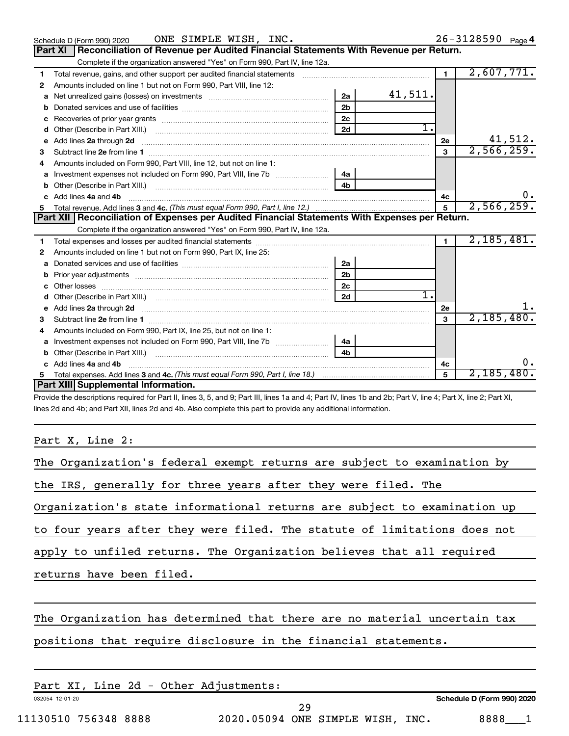|   | ONE SIMPLE WISH, INC.<br>Schedule D (Form 990) 2020                                                                                                                                                                                 |                |         |                | 26-3128590 Page 4 |
|---|-------------------------------------------------------------------------------------------------------------------------------------------------------------------------------------------------------------------------------------|----------------|---------|----------------|-------------------|
|   | Reconciliation of Revenue per Audited Financial Statements With Revenue per Return.<br><b>Part XI</b>                                                                                                                               |                |         |                |                   |
|   | Complete if the organization answered "Yes" on Form 990, Part IV, line 12a.                                                                                                                                                         |                |         |                |                   |
| 1 | Total revenue, gains, and other support per audited financial statements [[[[[[[[[[[[[[[[[[[[[[[[]]]]]]]]]]]]                                                                                                                       |                |         | $\blacksquare$ | 2,607,771.        |
| 2 | Amounts included on line 1 but not on Form 990, Part VIII, line 12:                                                                                                                                                                 |                |         |                |                   |
| a | Net unrealized gains (losses) on investments [111] [12] matter was uncontracted by the unrealized gains (losses) on investments                                                                                                     | 2a             | 41,511. |                |                   |
| b |                                                                                                                                                                                                                                     | 2 <sub>b</sub> |         |                |                   |
| c |                                                                                                                                                                                                                                     | 2c             |         |                |                   |
|   |                                                                                                                                                                                                                                     | 2d             | 1.      |                |                   |
| e | Add lines 2a through 2d <b>continuum continuum contracts</b> and an analysis of the contract of the contract of the contract of the contract of the contract of the contract of the contract of the contract of the contract of the |                |         | 2e             | 41,512.           |
| з |                                                                                                                                                                                                                                     |                |         | 3              | 2,566,259.        |
|   | Amounts included on Form 990, Part VIII, line 12, but not on line 1:                                                                                                                                                                |                |         |                |                   |
| a |                                                                                                                                                                                                                                     | 4a             |         |                |                   |
|   |                                                                                                                                                                                                                                     | 4b             |         |                |                   |
|   | Add lines 4a and 4b                                                                                                                                                                                                                 |                |         | 4c             |                   |
| 5 |                                                                                                                                                                                                                                     |                |         | $\overline{5}$ | 2,566,259.        |
|   | Part XII   Reconciliation of Expenses per Audited Financial Statements With Expenses per Return.                                                                                                                                    |                |         |                |                   |
|   |                                                                                                                                                                                                                                     |                |         |                |                   |
|   | Complete if the organization answered "Yes" on Form 990, Part IV, line 12a.                                                                                                                                                         |                |         |                |                   |
| 1 |                                                                                                                                                                                                                                     |                |         | $\blacksquare$ | 2,185,481.        |
| 2 | Amounts included on line 1 but not on Form 990, Part IX, line 25:                                                                                                                                                                   |                |         |                |                   |
| a |                                                                                                                                                                                                                                     | 2a             |         |                |                   |
| b |                                                                                                                                                                                                                                     | 2 <sub>b</sub> |         |                |                   |
|   |                                                                                                                                                                                                                                     | 2 <sub>c</sub> |         |                |                   |
|   |                                                                                                                                                                                                                                     | 2d             | 1.      |                |                   |
|   |                                                                                                                                                                                                                                     |                |         | 2e             |                   |
| 3 |                                                                                                                                                                                                                                     |                |         | 3              | 2,185,480.        |
| 4 | Amounts included on Form 990, Part IX, line 25, but not on line 1:                                                                                                                                                                  |                |         |                |                   |
|   |                                                                                                                                                                                                                                     | 4a             |         |                |                   |
|   |                                                                                                                                                                                                                                     | 4b             |         |                |                   |
|   | c Add lines 4a and 4b                                                                                                                                                                                                               |                |         | 4c             |                   |
|   | Part XIII Supplemental Information.                                                                                                                                                                                                 |                |         | 5              | 2,185,480.        |

Provide the descriptions required for Part II, lines 3, 5, and 9; Part III, lines 1a and 4; Part IV, lines 1b and 2b; Part V, line 4; Part X, line 2; Part XI, lines 2d and 4b; and Part XII, lines 2d and 4b. Also complete this part to provide any additional information.

Part X, Line 2:

| The Organization's federal exempt returns are subject to examination by  |
|--------------------------------------------------------------------------|
| the IRS, generally for three years after they were filed. The            |
| Organization's state informational returns are subject to examination up |
| to four years after they were filed. The statute of limitations does not |
| apply to unfiled returns. The Organization believes that all required    |
| returns have been filed.                                                 |
|                                                                          |
| The Organization has determined that there are no material uncertain tax |
| positions that require disclosure in the financial statements.           |
|                                                                          |
|                                                                          |

|                      |  |  |  | Part XI, Line 2d - Other Adjustments: |  |  |                            |
|----------------------|--|--|--|---------------------------------------|--|--|----------------------------|
| 032054 12-01-20      |  |  |  |                                       |  |  | Schedule D (Form 990) 2020 |
| 11130510 756348 8888 |  |  |  | 2020.05094 ONE SIMPLE WISH, INC.      |  |  | 8888                       |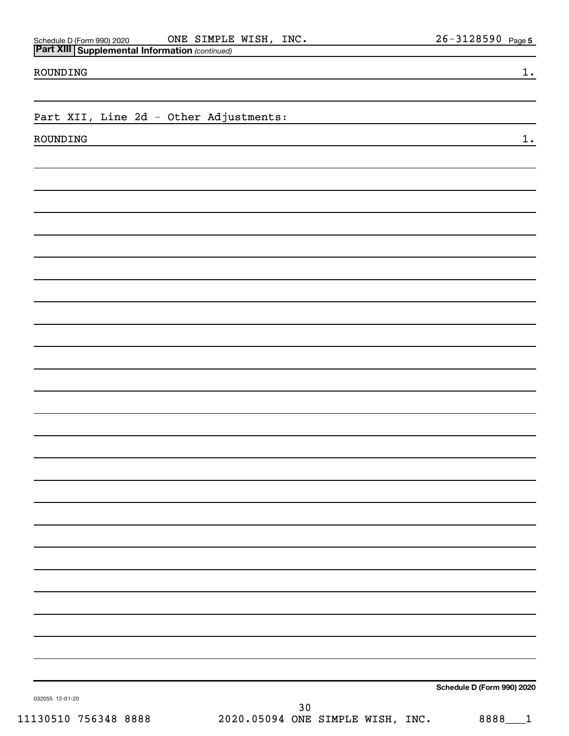Schedule D (Form 990) 2020 Page ONE SIMPLE WISH, INC. 26-3128590

ROUNDING 1.

Part XII, Line 2d - Other Adjustments:

ROUNDING 1.

**Schedule D (Form 990) 2020**

032055 12-01-20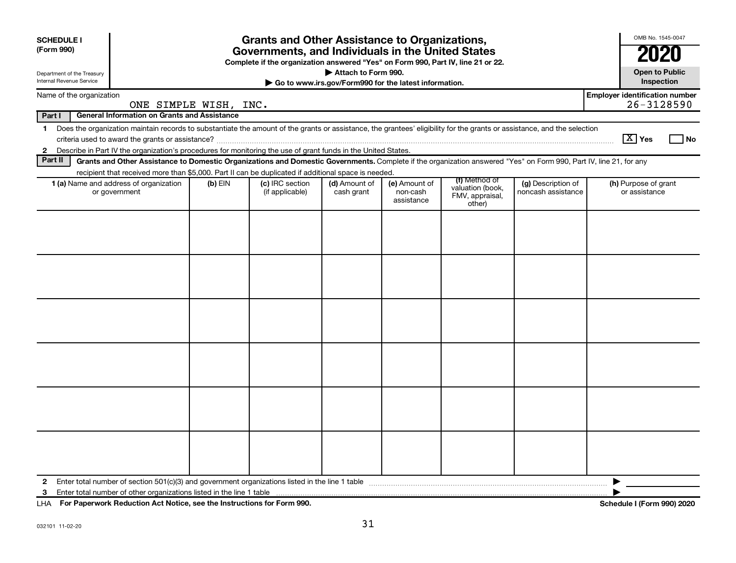| <b>SCHEDULE I</b><br>(Form 990)<br>Department of the Treasury<br>Internal Revenue Service                                                                                                                                                                                                                | <b>Grants and Other Assistance to Organizations,</b><br>Governments, and Individuals in the United States<br>Complete if the organization answered "Yes" on Form 990, Part IV, line 21 or 22.<br>Attach to Form 990.<br>Go to www.irs.gov/Form990 for the latest information. |         |                                                                                                                                                                    |                             |                                         |                                                                |                                          |                                                         |
|----------------------------------------------------------------------------------------------------------------------------------------------------------------------------------------------------------------------------------------------------------------------------------------------------------|-------------------------------------------------------------------------------------------------------------------------------------------------------------------------------------------------------------------------------------------------------------------------------|---------|--------------------------------------------------------------------------------------------------------------------------------------------------------------------|-----------------------------|-----------------------------------------|----------------------------------------------------------------|------------------------------------------|---------------------------------------------------------|
|                                                                                                                                                                                                                                                                                                          |                                                                                                                                                                                                                                                                               |         |                                                                                                                                                                    |                             |                                         |                                                                |                                          |                                                         |
| Name of the organization<br>ONE SIMPLE WISH, INC.                                                                                                                                                                                                                                                        |                                                                                                                                                                                                                                                                               |         |                                                                                                                                                                    |                             |                                         |                                                                |                                          | <b>Employer identification number</b><br>$26 - 3128590$ |
| Part I                                                                                                                                                                                                                                                                                                   | <b>General Information on Grants and Assistance</b>                                                                                                                                                                                                                           |         |                                                                                                                                                                    |                             |                                         |                                                                |                                          |                                                         |
| Does the organization maintain records to substantiate the amount of the grants or assistance, the grantees' eligibility for the grants or assistance, and the selection<br>$\mathbf 1$<br>Describe in Part IV the organization's procedures for monitoring the use of grant funds in the United States. |                                                                                                                                                                                                                                                                               |         |                                                                                                                                                                    |                             |                                         |                                                                |                                          | $\boxed{\text{X}}$ Yes<br>l No                          |
| $\mathbf{2}$<br>Part II                                                                                                                                                                                                                                                                                  |                                                                                                                                                                                                                                                                               |         | Grants and Other Assistance to Domestic Organizations and Domestic Governments. Complete if the organization answered "Yes" on Form 990, Part IV, line 21, for any |                             |                                         |                                                                |                                          |                                                         |
|                                                                                                                                                                                                                                                                                                          |                                                                                                                                                                                                                                                                               |         | recipient that received more than \$5,000. Part II can be duplicated if additional space is needed.                                                                |                             |                                         |                                                                |                                          |                                                         |
| 1 (a) Name and address of organization<br>or government                                                                                                                                                                                                                                                  |                                                                                                                                                                                                                                                                               | (b) EIN | (c) IRC section<br>(if applicable)                                                                                                                                 | (d) Amount of<br>cash grant | (e) Amount of<br>non-cash<br>assistance | (f) Method of<br>valuation (book,<br>FMV, appraisal,<br>other) | (g) Description of<br>noncash assistance | (h) Purpose of grant<br>or assistance                   |
|                                                                                                                                                                                                                                                                                                          |                                                                                                                                                                                                                                                                               |         |                                                                                                                                                                    |                             |                                         |                                                                |                                          |                                                         |
| $\mathbf{2}$<br>3                                                                                                                                                                                                                                                                                        |                                                                                                                                                                                                                                                                               |         |                                                                                                                                                                    |                             |                                         |                                                                |                                          | ▶                                                       |

**For Paperwork Reduction Act Notice, see the Instructions for Form 990. Schedule I (Form 990) 2020** LHA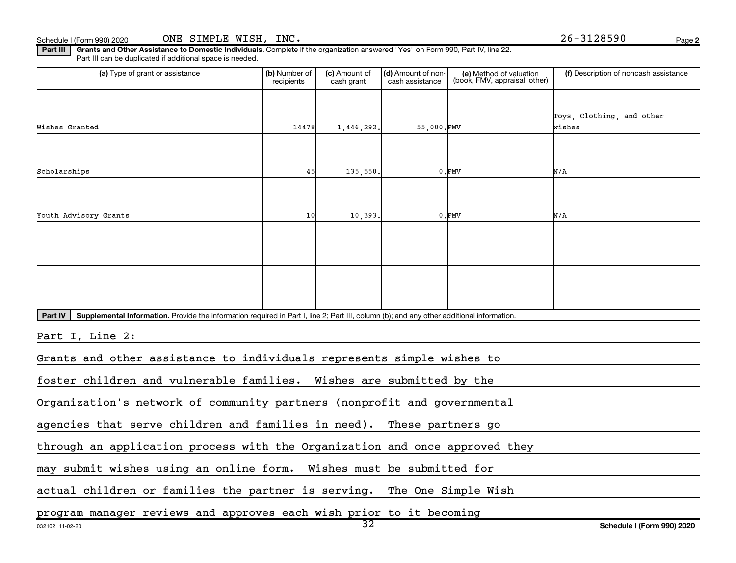Part III | Grants and Other Assistance to Domestic Individuals. Complete if the organization answered "Yes" on Form 990, Part IV, line 22. Part III can be duplicated if additional space is needed.

| (a) Type of grant or assistance                                                                                                                      | (b) Number of<br>recipients | (c) Amount of<br>cash grant | (d) Amount of non-<br>cash assistance | (e) Method of valuation<br>(book, FMV, appraisal, other) | (f) Description of noncash assistance |  |
|------------------------------------------------------------------------------------------------------------------------------------------------------|-----------------------------|-----------------------------|---------------------------------------|----------------------------------------------------------|---------------------------------------|--|
| Wishes Granted                                                                                                                                       | 14478                       | 1,446,292.                  | 55,000.FMV                            |                                                          | Toys, Clothing, and other<br>wishes   |  |
|                                                                                                                                                      |                             |                             |                                       |                                                          |                                       |  |
| Scholarships                                                                                                                                         | 45                          | 135,550.                    |                                       | $0.$ $FMV$                                               | N/A                                   |  |
| Youth Advisory Grants                                                                                                                                | 10                          | 10,393.                     |                                       | $0.$ $FMV$                                               | N/A                                   |  |
|                                                                                                                                                      |                             |                             |                                       |                                                          |                                       |  |
|                                                                                                                                                      |                             |                             |                                       |                                                          |                                       |  |
| Part IV<br>Supplemental Information. Provide the information required in Part I, line 2; Part III, column (b); and any other additional information. |                             |                             |                                       |                                                          |                                       |  |
| Part I, Line 2:                                                                                                                                      |                             |                             |                                       |                                                          |                                       |  |
| Grants and other assistance to individuals represents simple wishes to                                                                               |                             |                             |                                       |                                                          |                                       |  |
| foster children and vulnerable families. Wishes are submitted by the                                                                                 |                             |                             |                                       |                                                          |                                       |  |
| Organization's network of community partners (nonprofit and governmental                                                                             |                             |                             |                                       |                                                          |                                       |  |
| agencies that serve children and families in need).                                                                                                  |                             |                             | These partners go                     |                                                          |                                       |  |
| through an application process with the Organization and once approved they                                                                          |                             |                             |                                       |                                                          |                                       |  |
| may submit wishes using an online form. Wishes must be submitted for                                                                                 |                             |                             |                                       |                                                          |                                       |  |
| actual children or families the partner is serving. The One Simple Wish                                                                              |                             |                             |                                       |                                                          |                                       |  |
| program manager reviews and approves each wish prior to it becoming                                                                                  |                             |                             |                                       |                                                          |                                       |  |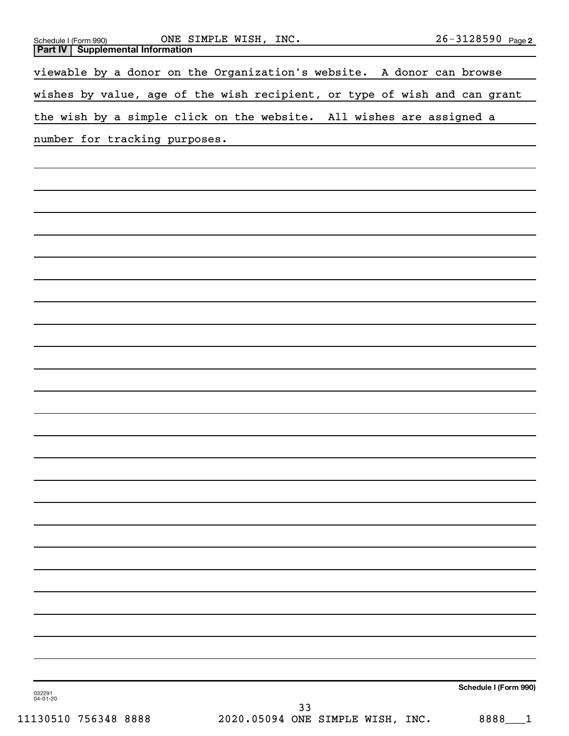| ONE SIMPLE WISH, INC.<br>Schedule I (Form 990)<br><b>Supplemental Information</b><br><b>Part IV</b> | 26-3128590 Page 2     |
|-----------------------------------------------------------------------------------------------------|-----------------------|
|                                                                                                     |                       |
| viewable by a donor on the Organization's website. A donor can browse                               |                       |
| wishes by value, age of the wish recipient, or type of wish and can grant                           |                       |
| the wish by a simple click on the website. All wishes are assigned a                                |                       |
| number for tracking purposes.                                                                       |                       |
|                                                                                                     |                       |
|                                                                                                     |                       |
|                                                                                                     |                       |
|                                                                                                     |                       |
|                                                                                                     |                       |
|                                                                                                     |                       |
|                                                                                                     |                       |
|                                                                                                     |                       |
|                                                                                                     |                       |
|                                                                                                     |                       |
|                                                                                                     |                       |
|                                                                                                     |                       |
|                                                                                                     |                       |
|                                                                                                     |                       |
|                                                                                                     |                       |
|                                                                                                     |                       |
|                                                                                                     |                       |
|                                                                                                     |                       |
|                                                                                                     |                       |
|                                                                                                     |                       |
|                                                                                                     |                       |
|                                                                                                     |                       |
|                                                                                                     |                       |
|                                                                                                     |                       |
|                                                                                                     |                       |
|                                                                                                     |                       |
|                                                                                                     |                       |
|                                                                                                     |                       |
| 032291<br>04-01-20                                                                                  | Schedule I (Form 990) |
| 33                                                                                                  |                       |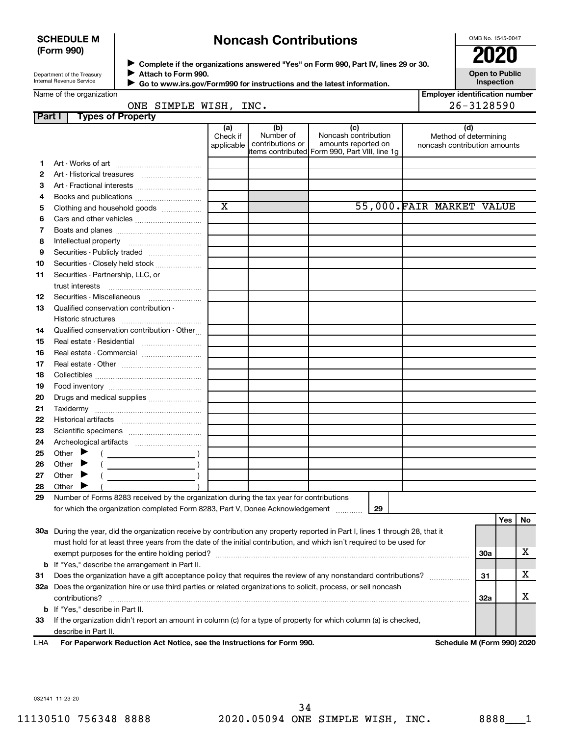### **SCHEDULE M (Form 990)**

# **Noncash Contributions**

OMB No. 1545-0047

| Department of the Treasury |  |
|----------------------------|--|
| Internal Revenue Service   |  |

◆ Complete if the organizations answered "Yes" on Form 990, Part IV, lines 29 or 30.<br>● Complete if the organizations answered "Yes" on Form 990, Part IV, lines 29 or 30. **Attach to Form 990.** J

**Open to Public Inspection**

|  | Name of the organization |
|--|--------------------------|
|  |                          |

 $\blacksquare$ 

 **Go to www.irs.gov/Form990 for instructions and the latest information.**

|    | Name of the organization<br>ONE SIMPLE WISH, INC.                                                                                                                                                                                                       |                               |                                      |                                                                                                      | <b>Emplover identification number</b><br>26-3128590          |            |     |    |
|----|---------------------------------------------------------------------------------------------------------------------------------------------------------------------------------------------------------------------------------------------------------|-------------------------------|--------------------------------------|------------------------------------------------------------------------------------------------------|--------------------------------------------------------------|------------|-----|----|
|    | <b>Types of Property</b><br>Part I                                                                                                                                                                                                                      |                               |                                      |                                                                                                      |                                                              |            |     |    |
|    |                                                                                                                                                                                                                                                         | (a)<br>Check if<br>applicable | (b)<br>Number of<br>contributions or | (c)<br>Noncash contribution<br>amounts reported on<br>items contributed Form 990, Part VIII, line 1g | (d)<br>Method of determining<br>noncash contribution amounts |            |     |    |
| 1. |                                                                                                                                                                                                                                                         |                               |                                      |                                                                                                      |                                                              |            |     |    |
| 2  |                                                                                                                                                                                                                                                         |                               |                                      |                                                                                                      |                                                              |            |     |    |
| 3  | Art - Fractional interests                                                                                                                                                                                                                              |                               |                                      |                                                                                                      |                                                              |            |     |    |
| 4  |                                                                                                                                                                                                                                                         |                               |                                      |                                                                                                      |                                                              |            |     |    |
| 5  | Clothing and household goods                                                                                                                                                                                                                            | $\overline{\text{x}}$         |                                      |                                                                                                      | 55,000. FAIR MARKET VALUE                                    |            |     |    |
| 6  |                                                                                                                                                                                                                                                         |                               |                                      |                                                                                                      |                                                              |            |     |    |
| 7  |                                                                                                                                                                                                                                                         |                               |                                      |                                                                                                      |                                                              |            |     |    |
| 8  |                                                                                                                                                                                                                                                         |                               |                                      |                                                                                                      |                                                              |            |     |    |
| 9  | Securities - Publicly traded                                                                                                                                                                                                                            |                               |                                      |                                                                                                      |                                                              |            |     |    |
| 10 | Securities - Closely held stock                                                                                                                                                                                                                         |                               |                                      |                                                                                                      |                                                              |            |     |    |
| 11 | Securities - Partnership, LLC, or<br>trust interests                                                                                                                                                                                                    |                               |                                      |                                                                                                      |                                                              |            |     |    |
| 12 | Securities - Miscellaneous                                                                                                                                                                                                                              |                               |                                      |                                                                                                      |                                                              |            |     |    |
| 13 | Qualified conservation contribution -                                                                                                                                                                                                                   |                               |                                      |                                                                                                      |                                                              |            |     |    |
| 14 | Qualified conservation contribution - Other                                                                                                                                                                                                             |                               |                                      |                                                                                                      |                                                              |            |     |    |
| 15 | Real estate - Residential                                                                                                                                                                                                                               |                               |                                      |                                                                                                      |                                                              |            |     |    |
| 16 | Real estate - Commercial                                                                                                                                                                                                                                |                               |                                      |                                                                                                      |                                                              |            |     |    |
| 17 |                                                                                                                                                                                                                                                         |                               |                                      |                                                                                                      |                                                              |            |     |    |
| 18 |                                                                                                                                                                                                                                                         |                               |                                      |                                                                                                      |                                                              |            |     |    |
| 19 |                                                                                                                                                                                                                                                         |                               |                                      |                                                                                                      |                                                              |            |     |    |
| 20 | Drugs and medical supplies                                                                                                                                                                                                                              |                               |                                      |                                                                                                      |                                                              |            |     |    |
| 21 |                                                                                                                                                                                                                                                         |                               |                                      |                                                                                                      |                                                              |            |     |    |
| 22 |                                                                                                                                                                                                                                                         |                               |                                      |                                                                                                      |                                                              |            |     |    |
| 23 |                                                                                                                                                                                                                                                         |                               |                                      |                                                                                                      |                                                              |            |     |    |
| 24 |                                                                                                                                                                                                                                                         |                               |                                      |                                                                                                      |                                                              |            |     |    |
| 25 | Other $\blacktriangleright$<br>$\overline{\phantom{a}}$ )                                                                                                                                                                                               |                               |                                      |                                                                                                      |                                                              |            |     |    |
| 26 | Other $\blacktriangleright$<br>$\overline{\phantom{a}}$ )                                                                                                                                                                                               |                               |                                      |                                                                                                      |                                                              |            |     |    |
| 27 | Other $\blacktriangleright$<br><u> 1980 - Jan Barbara Barbara, mandat a shekara 1980 - An tsa a tsa a tsa a tsa a tsa a tsa a tsa a tsa a tsa a</u>                                                                                                     |                               |                                      |                                                                                                      |                                                              |            |     |    |
| 28 | Other                                                                                                                                                                                                                                                   |                               |                                      |                                                                                                      |                                                              |            |     |    |
| 29 | Number of Forms 8283 received by the organization during the tax year for contributions                                                                                                                                                                 |                               |                                      |                                                                                                      |                                                              |            |     |    |
|    | for which the organization completed Form 8283, Part V, Donee Acknowledgement                                                                                                                                                                           |                               |                                      | 29                                                                                                   |                                                              |            |     |    |
|    |                                                                                                                                                                                                                                                         |                               |                                      |                                                                                                      |                                                              |            | Yes | No |
|    | 30a During the year, did the organization receive by contribution any property reported in Part I, lines 1 through 28, that it<br>must hold for at least three years from the date of the initial contribution, and which isn't required to be used for |                               |                                      |                                                                                                      |                                                              |            |     |    |
|    |                                                                                                                                                                                                                                                         |                               |                                      |                                                                                                      |                                                              | 30a        |     | x  |
|    | <b>b</b> If "Yes," describe the arrangement in Part II.                                                                                                                                                                                                 |                               |                                      |                                                                                                      |                                                              |            |     |    |
| 31 | Does the organization have a gift acceptance policy that requires the review of any nonstandard contributions?                                                                                                                                          |                               |                                      |                                                                                                      |                                                              | 31         |     | х  |
|    | 32a Does the organization hire or use third parties or related organizations to solicit, process, or sell noncash                                                                                                                                       |                               |                                      |                                                                                                      |                                                              |            |     |    |
|    |                                                                                                                                                                                                                                                         |                               |                                      |                                                                                                      |                                                              | <b>32a</b> |     | х  |
|    | <b>b</b> If "Yes," describe in Part II.<br>If the organization didn't report an amount in column (c) for a type of property for which column (a) is checked,                                                                                            |                               |                                      |                                                                                                      |                                                              |            |     |    |
| 33 |                                                                                                                                                                                                                                                         |                               |                                      |                                                                                                      |                                                              |            |     |    |

**For Paperwork Reduction Act Notice, see the Instructions for Form 990. Schedule M (Form 990) 2020** LHA

032141 11-23-20

describe in Part II.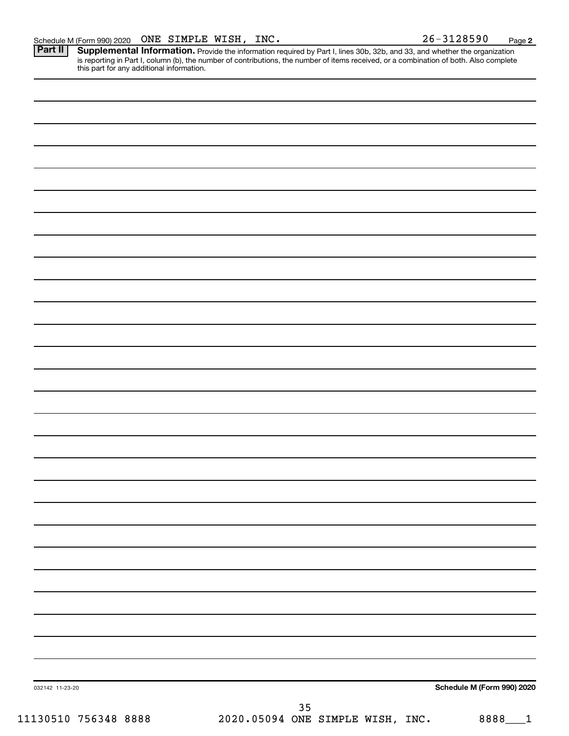Provide the information required by Part I, lines 30b, 32b, and 33, and whether the organization is reporting in Part I, column (b), the number of contributions, the number of items received, or a combination of both. Also complete this part for any additional information. **Part II Supplemental Information.** 

|                 | Schedule M (Form 990) 2020 |
|-----------------|----------------------------|
| 032142 11-23-20 |                            |
| $35\,$          |                            |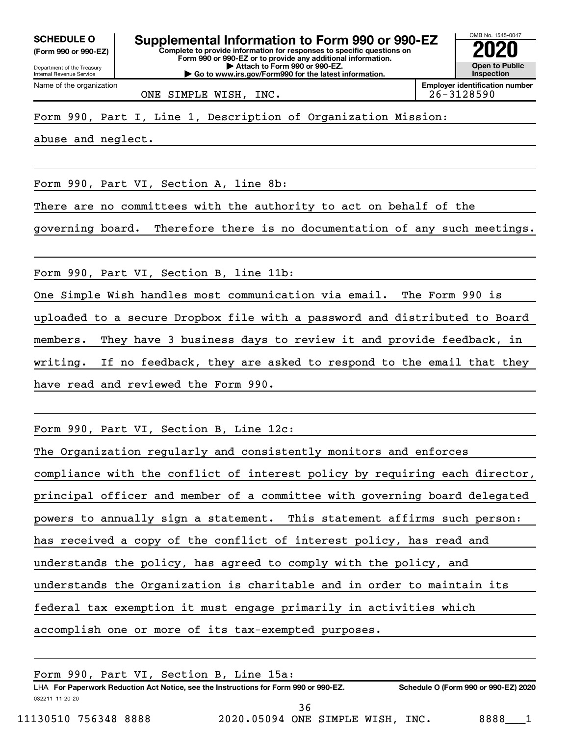**(Form 990 or 990-EZ)**

Department of the Treasury

Name of the organization

Internal Revenue Service

**Complete to provide information for responses to specific questions on Form 990 or 990-EZ or to provide any additional information. | Attach to Form 990 or 990-EZ. | Go to www.irs.gov/Form990 for the latest information. SCHEDULE O Supplemental Information to Form 990 or 990-EZ 2020** 



ONE SIMPLE WISH, INC. 26-3128590

Form 990, Part I, Line 1, Description of Organization Mission:

abuse and neglect.

Form 990, Part VI, Section A, line 8b:

There are no committees with the authority to act on behalf of the

governing board. Therefore there is no documentation of any such meetings.

Form 990, Part VI, Section B, line 11b:

One Simple Wish handles most communication via email. The Form 990 is uploaded to a secure Dropbox file with a password and distributed to Board members. They have 3 business days to review it and provide feedback, in writing. If no feedback, they are asked to respond to the email that they have read and reviewed the Form 990.

Form 990, Part VI, Section B, Line 12c:

| The Organization regularly and consistently monitors and enforces           |  |  |  |  |
|-----------------------------------------------------------------------------|--|--|--|--|
| compliance with the conflict of interest policy by requiring each director, |  |  |  |  |
| principal officer and member of a committee with governing board delegated  |  |  |  |  |
| powers to annually sign a statement. This statement affirms such person:    |  |  |  |  |
| has received a copy of the conflict of interest policy, has read and        |  |  |  |  |
| understands the policy, has agreed to comply with the policy, and           |  |  |  |  |
| understands the Organization is charitable and in order to maintain its     |  |  |  |  |
| federal tax exemption it must engage primarily in activities which          |  |  |  |  |
| accomplish one or more of its tax-exempted purposes.                        |  |  |  |  |

| Form 990, Part VI, Section B, Line 15a: |                                                                                      |                                      |
|-----------------------------------------|--------------------------------------------------------------------------------------|--------------------------------------|
|                                         | LHA For Paperwork Reduction Act Notice, see the Instructions for Form 990 or 990-EZ. | Schedule O (Form 990 or 990-EZ) 2020 |
| 032211 11-20-20                         |                                                                                      |                                      |
|                                         | 36                                                                                   |                                      |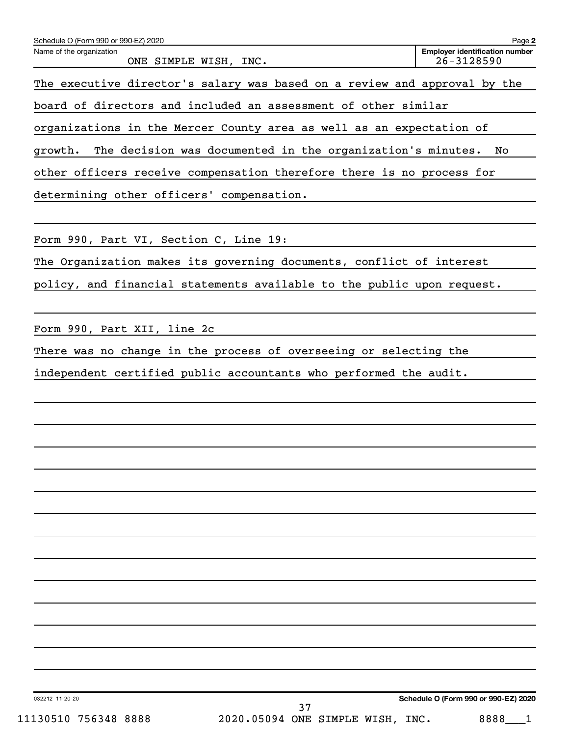| Schedule O (Form 990 or 990-EZ) 2020                                      | Page 2                                              |
|---------------------------------------------------------------------------|-----------------------------------------------------|
| Name of the organization<br>ONE SIMPLE WISH, INC.                         | <b>Employer identification number</b><br>26-3128590 |
| The executive director's salary was based on a review and approval by the |                                                     |
| board of directors and included an assessment of other similar            |                                                     |
| organizations in the Mercer County area as well as an expectation of      |                                                     |
| The decision was documented in the organization's minutes.<br>growth.     | No                                                  |
| other officers receive compensation therefore there is no process for     |                                                     |
| determining other officers' compensation.                                 |                                                     |
|                                                                           |                                                     |
| Form 990, Part VI, Section C, Line 19:                                    |                                                     |
| The Organization makes its governing documents, conflict of interest      |                                                     |
| policy, and financial statements available to the public upon request.    |                                                     |
| Form 990, Part XII, line 2c                                               |                                                     |
| There was no change in the process of overseeing or selecting the         |                                                     |
| independent certified public accountants who performed the audit.         |                                                     |
|                                                                           |                                                     |
|                                                                           |                                                     |
|                                                                           |                                                     |
|                                                                           |                                                     |
|                                                                           |                                                     |
|                                                                           |                                                     |
|                                                                           |                                                     |
|                                                                           |                                                     |
|                                                                           |                                                     |
|                                                                           |                                                     |
|                                                                           |                                                     |
|                                                                           |                                                     |

032212 11-20-20

**Schedule O (Form 990 or 990-EZ) 2020**

37